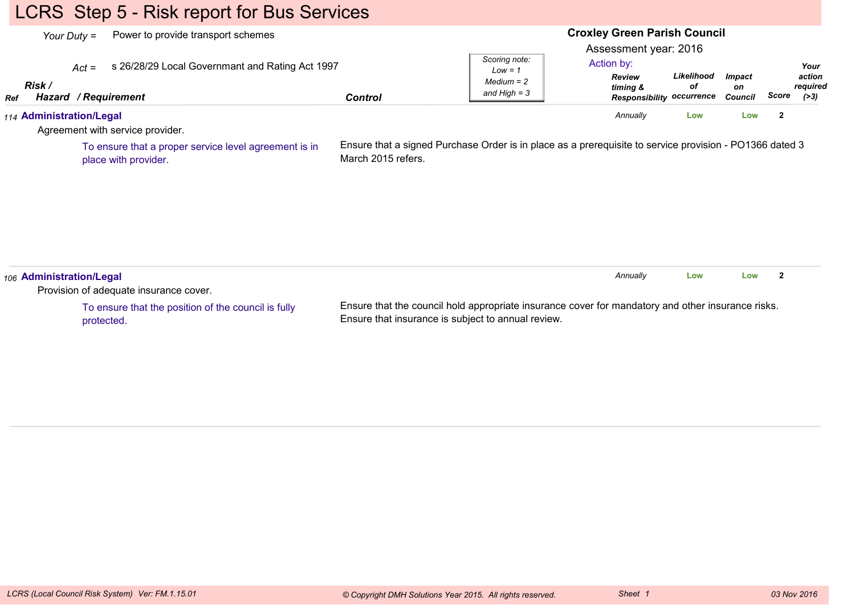# LCRS Step 5 - Risk report for Bus Services

| Power to provide transport schemes<br>Your Duty =                                                          |                    |                                                                                                         | <b>Croxley Green Parish Council</b><br>Assessment year: 2016         |                  |                                       |                         |                                     |
|------------------------------------------------------------------------------------------------------------|--------------------|---------------------------------------------------------------------------------------------------------|----------------------------------------------------------------------|------------------|---------------------------------------|-------------------------|-------------------------------------|
| s 26/28/29 Local Governmant and Rating Act 1997<br>$Act =$<br>Risk /<br>Hazard / Requirement<br><b>Ref</b> | <b>Control</b>     | Scoring note:<br>$Low = 1$<br>$Median = 2$<br>and $High = 3$                                            | Action by:<br>Review<br>timing &<br><b>Responsibility occurrence</b> | Likelihood<br>оf | <b>Impact</b><br>on<br><b>Council</b> | Score                   | Your<br>action<br>required<br>( >3) |
| 114 Administration/Legal<br>Agreement with service provider.                                               |                    |                                                                                                         | Annually                                                             | Low              | Low                                   | $\mathbf{2}$            |                                     |
| To ensure that a proper service level agreement is in<br>place with provider.                              | March 2015 refers. | Ensure that a signed Purchase Order is in place as a prerequisite to service provision - PO1366 dated 3 |                                                                      |                  |                                       |                         |                                     |
| 106 Administration/Legal<br>Provision of adequate insurance cover.                                         |                    |                                                                                                         | Annually                                                             | Low              | Low                                   | $\overline{\mathbf{2}}$ |                                     |

To ensure that the position of the council is fullyprotected.

Ensure that the council hold appropriate insurance cover for mandatory and other insurance risks.Ensure that insurance is subject to annual review.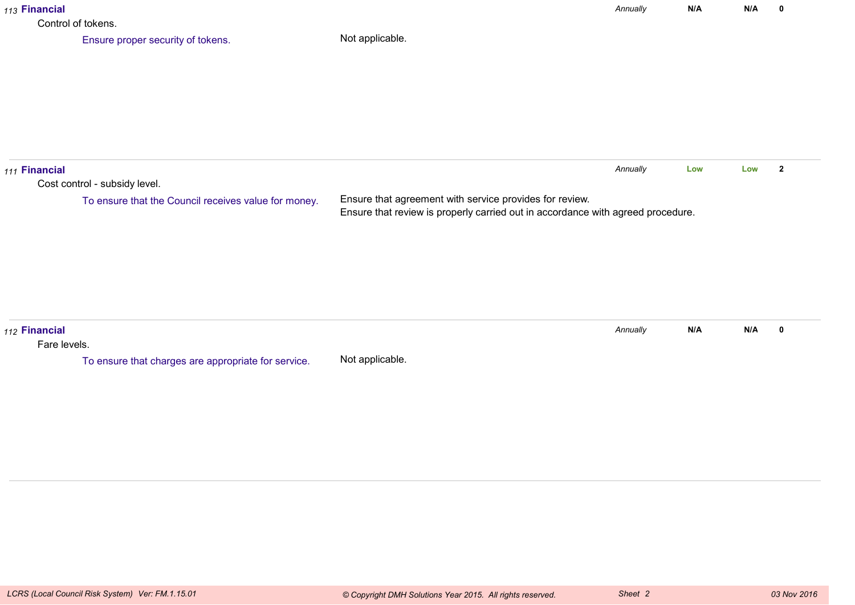| 113 Financial<br>Control of tokens. |                                                                                       |                                                                                                                                            | Annually | N/A | N/A | $\mathbf 0$    |
|-------------------------------------|---------------------------------------------------------------------------------------|--------------------------------------------------------------------------------------------------------------------------------------------|----------|-----|-----|----------------|
|                                     | Ensure proper security of tokens.                                                     | Not applicable.                                                                                                                            |          |     |     |                |
| 111 Financial                       | Cost control - subsidy level.<br>To ensure that the Council receives value for money. | Ensure that agreement with service provides for review.<br>Ensure that review is properly carried out in accordance with agreed procedure. | Annually | Low | Low | $\overline{2}$ |
| 112 Financial<br>Fare levels.       | To ensure that charges are appropriate for service.                                   | Not applicable.                                                                                                                            | Annually | N/A | N/A | $\mathbf 0$    |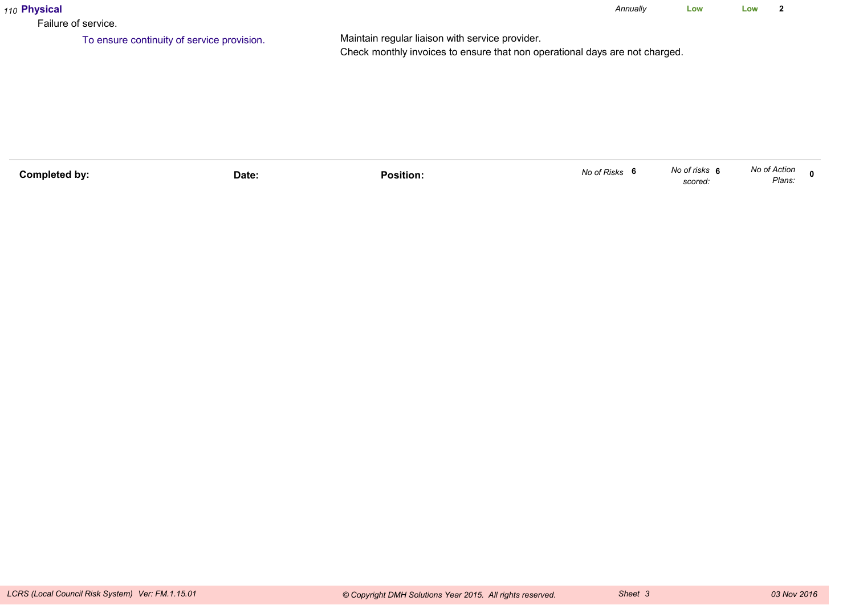| 110 Physical<br>Failure of service. |                                            |                                                                                                                                | Annually | Low | Low |  |
|-------------------------------------|--------------------------------------------|--------------------------------------------------------------------------------------------------------------------------------|----------|-----|-----|--|
|                                     | To ensure continuity of service provision. | Maintain regular liaison with service provider.<br>Check monthly invoices to ensure that non operational days are not charged. |          |     |     |  |

| Completed by: | Date: | Position. | No of Risks | No of risks<br>scored | No of Action<br>Plans: | n |
|---------------|-------|-----------|-------------|-----------------------|------------------------|---|
|               |       |           |             |                       |                        |   |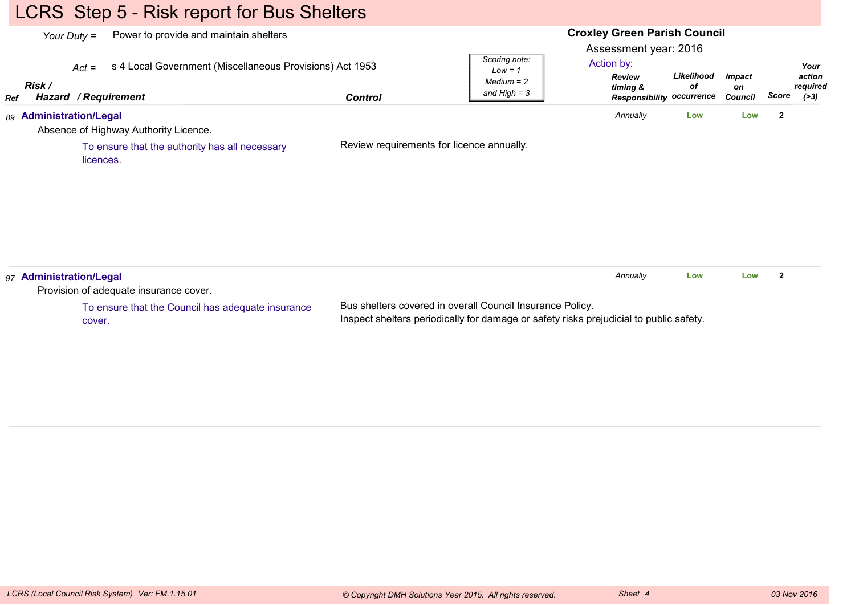# LCRS Step 5 - Risk report for Bus Shelters

| Ref | Your Duty =<br>Risk / | Power to provide and maintain shelters<br>s 4 Local Government (Miscellaneous Provisions) Act 1953<br>$Act =$<br>Hazard / Requirement | <b>Control</b> | Scoring note:<br>$Low = 1$<br>$Median = 2$<br>and $High = 3$ | <b>Croxley Green Parish Council</b><br>Assessment year: 2016<br>Action by:<br>Review<br>timing &<br><b>Responsibility occurrence</b> | Likelihood<br>оf | <b>Impact</b><br>on<br><b>Council</b> | Score          | Your<br>action<br>required<br>( > 3) |
|-----|-----------------------|---------------------------------------------------------------------------------------------------------------------------------------|----------------|--------------------------------------------------------------|--------------------------------------------------------------------------------------------------------------------------------------|------------------|---------------------------------------|----------------|--------------------------------------|
|     |                       | 89 Administration/Legal<br>Absence of Highway Authority Licence.                                                                      |                |                                                              | Annually                                                                                                                             | Low              | Low                                   | $\overline{2}$ |                                      |
|     |                       | To ensure that the authority has all necessary<br>licences.                                                                           |                | Review requirements for licence annually.                    |                                                                                                                                      |                  |                                       |                |                                      |
|     |                       | 97 Administration/Legal<br>Provision of adequate insurance cover.                                                                     |                |                                                              | Annually                                                                                                                             | Low              | Low                                   | $\mathbf{2}$   |                                      |

To ensure that the Council has adequate insurancecover.

Bus shelters covered in overall Council Insurance Policy.Inspect shelters periodically for damage or safety risks prejudicial to public safety.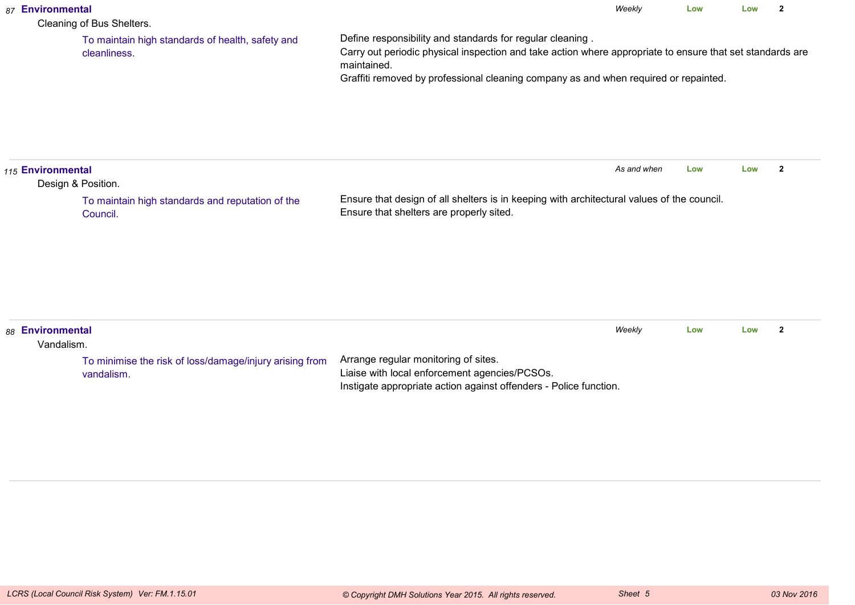| 87 Environmental               | Cleaning of Bus Shelters.                                             |                                                                                                                                                                                                                                                                               | Weekly      | Low | Low | $\overline{2}$ |
|--------------------------------|-----------------------------------------------------------------------|-------------------------------------------------------------------------------------------------------------------------------------------------------------------------------------------------------------------------------------------------------------------------------|-------------|-----|-----|----------------|
|                                | To maintain high standards of health, safety and<br>cleanliness.      | Define responsibility and standards for regular cleaning.<br>Carry out periodic physical inspection and take action where appropriate to ensure that set standards are<br>maintained.<br>Graffiti removed by professional cleaning company as and when required or repainted. |             |     |     |                |
| 115 Environmental              | Design & Position.                                                    |                                                                                                                                                                                                                                                                               | As and when | Low | Low | $\overline{2}$ |
|                                | To maintain high standards and reputation of the<br>Council.          | Ensure that design of all shelters is in keeping with architectural values of the council.<br>Ensure that shelters are properly sited.                                                                                                                                        |             |     |     |                |
| 88 Environmental<br>Vandalism. |                                                                       |                                                                                                                                                                                                                                                                               | Weekly      | Low | Low | $\overline{2}$ |
|                                | To minimise the risk of loss/damage/injury arising from<br>vandalism. | Arrange regular monitoring of sites.<br>Liaise with local enforcement agencies/PCSOs.<br>Instigate appropriate action against offenders - Police function.                                                                                                                    |             |     |     |                |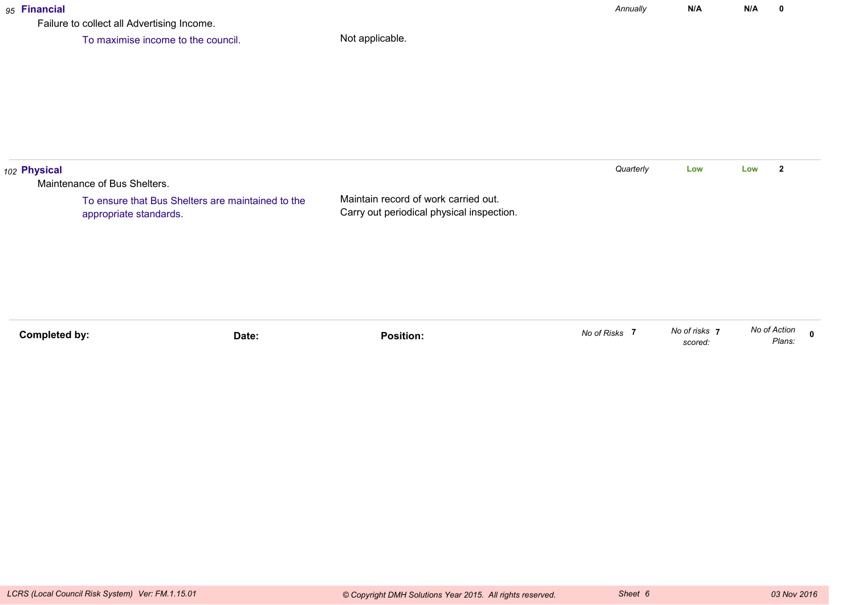#### *95* **Financial**

Failure to collect all Advertising Income.

To maximise income to the council.

| 102 Physical |                                                                             |                                                                                   | Quarterly | Low | Low | $\overline{2}$ |
|--------------|-----------------------------------------------------------------------------|-----------------------------------------------------------------------------------|-----------|-----|-----|----------------|
|              | Maintenance of Bus Shelters.                                                |                                                                                   |           |     |     |                |
|              | To ensure that Bus Shelters are maintained to the<br>appropriate standards. | Maintain record of work carried out.<br>Carry out periodical physical inspection. |           |     |     |                |
|              |                                                                             |                                                                                   |           |     |     |                |
|              |                                                                             |                                                                                   |           |     |     |                |

| No of Action | Plans.                 |
|--------------|------------------------|
|              | No of risks<br>scored. |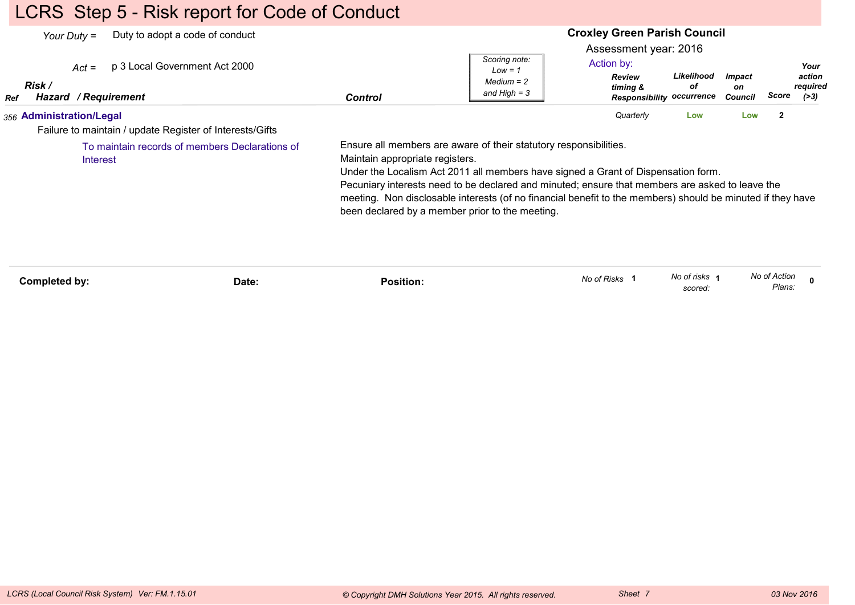# LCRS Step 5 - Risk report for Code of Conduct

|            | Duty to adopt a code of conduct<br>Your Duty $=$<br>p 3 Local Government Act 2000<br>$Act =$<br>Risk / |                                                                                    | Scoring note:<br>$Low = 1$<br>$Median = 2$                                                                                                                                                                                                                                                                                                                              | <b>Croxley Green Parish Council</b><br>Assessment year: 2016<br>Action by:<br><b>Review</b><br>timing & | Likelihood<br>οf         | <b>Impact</b><br>on |                        | Your<br>action<br>required |
|------------|--------------------------------------------------------------------------------------------------------|------------------------------------------------------------------------------------|-------------------------------------------------------------------------------------------------------------------------------------------------------------------------------------------------------------------------------------------------------------------------------------------------------------------------------------------------------------------------|---------------------------------------------------------------------------------------------------------|--------------------------|---------------------|------------------------|----------------------------|
| <b>Ref</b> | Hazard / Requirement                                                                                   | <b>Control</b>                                                                     | and High $=$ 3                                                                                                                                                                                                                                                                                                                                                          | <b>Responsibility occurrence</b>                                                                        |                          | <b>Council</b>      | Score                  | ( > 3)                     |
|            | 356 Administration/Legal                                                                               |                                                                                    |                                                                                                                                                                                                                                                                                                                                                                         | Quarterly                                                                                               | Low                      | Low                 | $\overline{2}$         |                            |
|            | Failure to maintain / update Register of Interests/Gifts                                               |                                                                                    |                                                                                                                                                                                                                                                                                                                                                                         |                                                                                                         |                          |                     |                        |                            |
|            | To maintain records of members Declarations of<br>Interest                                             | Maintain appropriate registers.<br>been declared by a member prior to the meeting. | Ensure all members are aware of their statutory responsibilities.<br>Under the Localism Act 2011 all members have signed a Grant of Dispensation form.<br>Pecuniary interests need to be declared and minuted; ensure that members are asked to leave the<br>meeting. Non disclosable interests (of no financial benefit to the members) should be minuted if they have |                                                                                                         |                          |                     |                        |                            |
|            | Completed by:<br>Date:                                                                                 | <b>Position:</b>                                                                   |                                                                                                                                                                                                                                                                                                                                                                         | No of Risks 1                                                                                           | No of risks 1<br>scored: |                     | No of Action<br>Plans: |                            |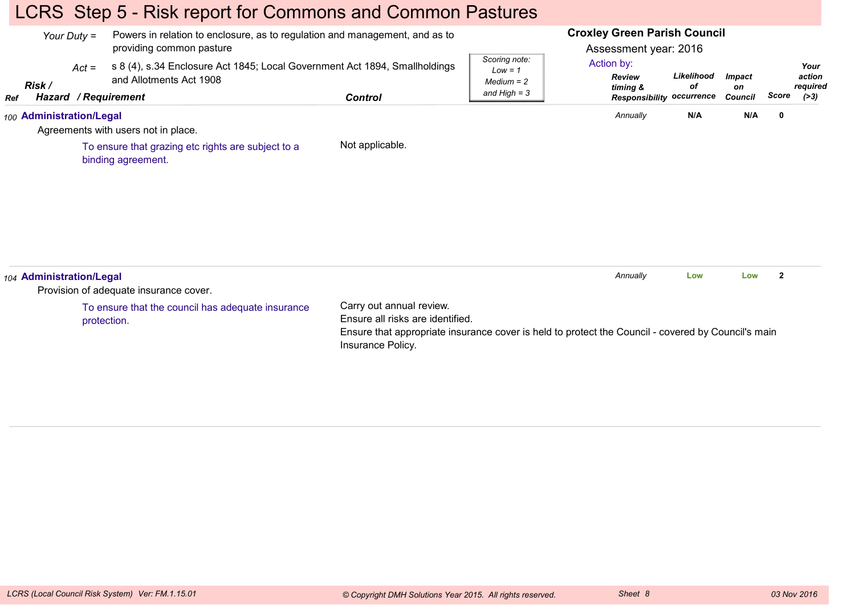# LCRS Step 5 - Risk report for Commons and Common Pastures

| Your Duty $=$ |                          |             | Powers in relation to enclosure, as to regulation and management, and as to<br>providing common pasture |                                                                                                                                                                                         |                                                              | <b>Croxley Green Parish Council</b><br>Assessment year: 2016 |                  |                     |                |                            |
|---------------|--------------------------|-------------|---------------------------------------------------------------------------------------------------------|-----------------------------------------------------------------------------------------------------------------------------------------------------------------------------------------|--------------------------------------------------------------|--------------------------------------------------------------|------------------|---------------------|----------------|----------------------------|
|               | Risk /                   | $Act =$     | s 8 (4), s.34 Enclosure Act 1845; Local Government Act 1894, Smallholdings<br>and Allotments Act 1908   |                                                                                                                                                                                         | Scoring note:<br>$Low = 1$<br>$Median = 2$<br>and High $=$ 3 | Action by:<br><b>Review</b><br>timing &                      | Likelihood<br>оf | <b>Impact</b><br>on |                | Your<br>action<br>required |
| <b>Ref</b>    | Hazard / Requirement     |             |                                                                                                         | <b>Control</b>                                                                                                                                                                          |                                                              | <b>Responsibility occurrence</b>                             |                  | Council             | Score          | ( >3)                      |
|               | 100 Administration/Legal |             | Agreements with users not in place.                                                                     |                                                                                                                                                                                         |                                                              | Annually                                                     | N/A              | N/A                 | $\mathbf 0$    |                            |
|               |                          |             | To ensure that grazing etc rights are subject to a<br>binding agreement.                                | Not applicable.                                                                                                                                                                         |                                                              |                                                              |                  |                     |                |                            |
|               | 104 Administration/Legal |             | Provision of adequate insurance cover.                                                                  |                                                                                                                                                                                         |                                                              | Annually                                                     | Low              | Low                 | $\overline{2}$ |                            |
|               |                          | protection. | To ensure that the council has adequate insurance                                                       | Carry out annual review.<br>Ensure all risks are identified.<br>Ensure that appropriate insurance cover is held to protect the Council - covered by Council's main<br>Insurance Policy. |                                                              |                                                              |                  |                     |                |                            |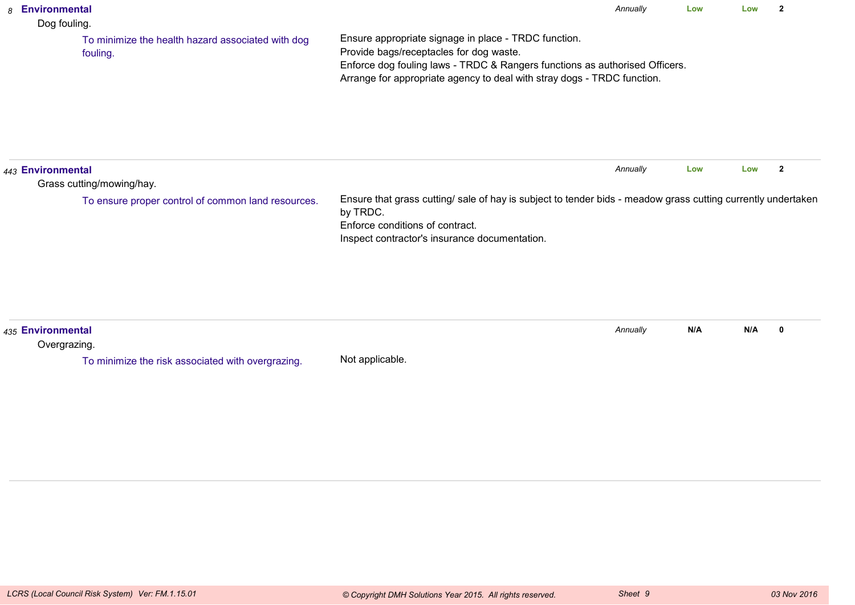| 8 Environmental<br>Dog fouling.   |                                                               |                                                                                                                                                                                                                                                           | Annually | Low | Low | $\overline{2}$ |
|-----------------------------------|---------------------------------------------------------------|-----------------------------------------------------------------------------------------------------------------------------------------------------------------------------------------------------------------------------------------------------------|----------|-----|-----|----------------|
|                                   | To minimize the health hazard associated with dog<br>fouling. | Ensure appropriate signage in place - TRDC function.<br>Provide bags/receptacles for dog waste.<br>Enforce dog fouling laws - TRDC & Rangers functions as authorised Officers.<br>Arrange for appropriate agency to deal with stray dogs - TRDC function. |          |     |     |                |
| 443 Environmental                 | Grass cutting/mowing/hay.                                     |                                                                                                                                                                                                                                                           | Annually | Low | Low | $\overline{2}$ |
|                                   | To ensure proper control of common land resources.            | Ensure that grass cutting/ sale of hay is subject to tender bids - meadow grass cutting currently undertaken<br>by TRDC.<br>Enforce conditions of contract.<br>Inspect contractor's insurance documentation.                                              |          |     |     |                |
| 435 Environmental<br>Overgrazing. |                                                               |                                                                                                                                                                                                                                                           | Annually | N/A | N/A | $\mathbf 0$    |
|                                   | To minimize the risk associated with overgrazing.             | Not applicable.                                                                                                                                                                                                                                           |          |     |     |                |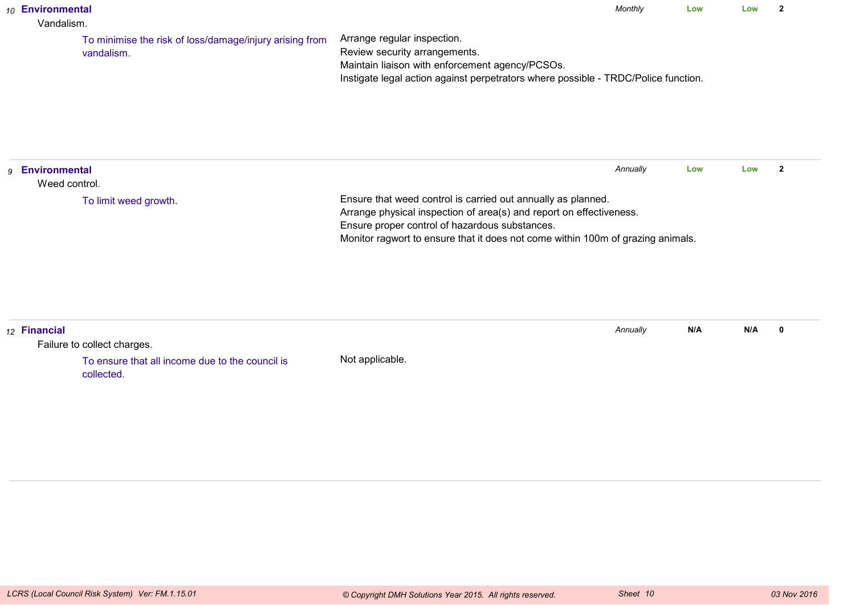| 10 Environmental<br>Vandalism.   |                                                                       |                                                                                                                                                                                                                                                                          | Monthly  | Low | Low | $\overline{2}$ |
|----------------------------------|-----------------------------------------------------------------------|--------------------------------------------------------------------------------------------------------------------------------------------------------------------------------------------------------------------------------------------------------------------------|----------|-----|-----|----------------|
|                                  | To minimise the risk of loss/damage/injury arising from<br>vandalism. | Arrange regular inspection.<br>Review security arrangements.<br>Maintain liaison with enforcement agency/PCSOs.<br>Instigate legal action against perpetrators where possible - TRDC/Police function.                                                                    |          |     |     |                |
| 9 Environmental<br>Weed control. |                                                                       |                                                                                                                                                                                                                                                                          | Annually | Low | Low | $\overline{2}$ |
|                                  | To limit weed growth.                                                 | Ensure that weed control is carried out annually as planned.<br>Arrange physical inspection of area(s) and report on effectiveness.<br>Ensure proper control of hazardous substances.<br>Monitor ragwort to ensure that it does not come within 100m of grazing animals. |          |     |     |                |
| 12 Financial                     | Failure to collect charges.                                           |                                                                                                                                                                                                                                                                          | Annually | N/A | N/A | $\mathbf 0$    |
|                                  | To ensure that all income due to the council is<br>collected.         | Not applicable.                                                                                                                                                                                                                                                          |          |     |     |                |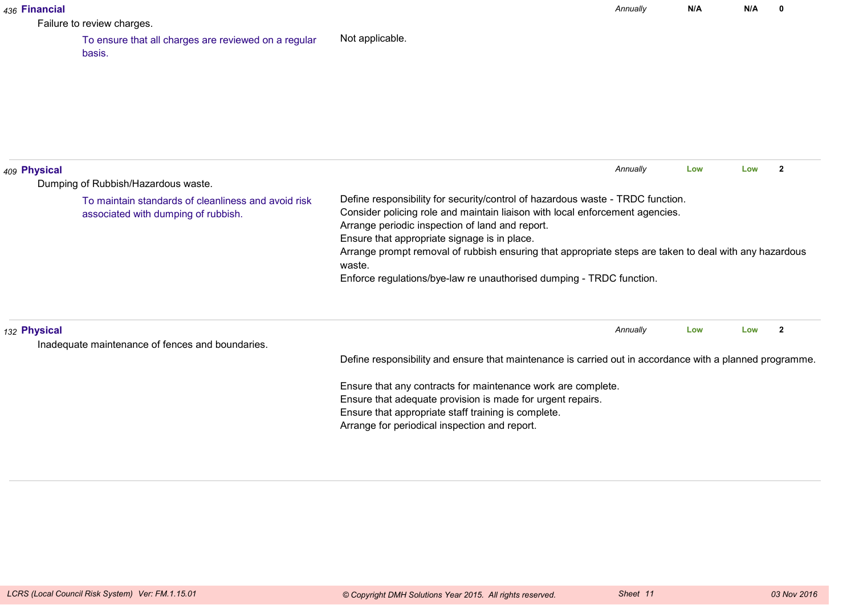| 436 Financial |                                                                                            |                                                                                                                                                                                                                                                                   | Annually | N/A | N/A | $\mathbf{0}$   |
|---------------|--------------------------------------------------------------------------------------------|-------------------------------------------------------------------------------------------------------------------------------------------------------------------------------------------------------------------------------------------------------------------|----------|-----|-----|----------------|
|               | Failure to review charges.                                                                 |                                                                                                                                                                                                                                                                   |          |     |     |                |
|               | To ensure that all charges are reviewed on a regular<br>basis.                             | Not applicable.                                                                                                                                                                                                                                                   |          |     |     |                |
|               |                                                                                            |                                                                                                                                                                                                                                                                   |          |     |     |                |
| 409 Physical  | Dumping of Rubbish/Hazardous waste.                                                        |                                                                                                                                                                                                                                                                   | Annually | Low | Low | $\overline{2}$ |
|               | To maintain standards of cleanliness and avoid risk<br>associated with dumping of rubbish. | Define responsibility for security/control of hazardous waste - TRDC function.<br>Consider policing role and maintain liaison with local enforcement agencies.<br>Arrange periodic inspection of land and report.<br>Ensure that appropriate signage is in place. |          |     |     |                |
|               |                                                                                            | Arrange prompt removal of rubbish ensuring that appropriate steps are taken to deal with any hazardous<br>waste.<br>Enforce regulations/bye-law re unauthorised dumping - TRDC function.                                                                          |          |     |     |                |
| 132 Physical  |                                                                                            |                                                                                                                                                                                                                                                                   | Annually | Low | Low | $\overline{2}$ |
|               | Inadequate maintenance of fences and boundaries.                                           | Define responsibility and ensure that maintenance is carried out in accordance with a planned programme.                                                                                                                                                          |          |     |     |                |
|               |                                                                                            | Ensure that any contracts for maintenance work are complete.                                                                                                                                                                                                      |          |     |     |                |
|               |                                                                                            | Ensure that adequate provision is made for urgent repairs.                                                                                                                                                                                                        |          |     |     |                |
|               |                                                                                            | Ensure that appropriate staff training is complete.                                                                                                                                                                                                               |          |     |     |                |
|               |                                                                                            | Arrange for periodical inspection and report.                                                                                                                                                                                                                     |          |     |     |                |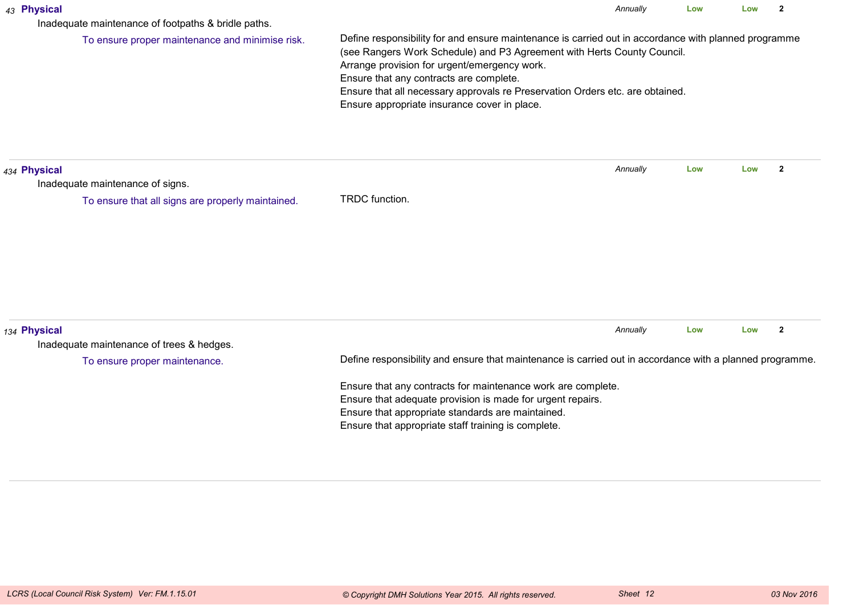| 43 Physical  | Inadequate maintenance of footpaths & bridle paths. |                                                                                                                                                                                                                                                                                                                                                                                                             | Annually | Low | Low | $\overline{2}$ |  |  |
|--------------|-----------------------------------------------------|-------------------------------------------------------------------------------------------------------------------------------------------------------------------------------------------------------------------------------------------------------------------------------------------------------------------------------------------------------------------------------------------------------------|----------|-----|-----|----------------|--|--|
|              | To ensure proper maintenance and minimise risk.     | Define responsibility for and ensure maintenance is carried out in accordance with planned programme<br>(see Rangers Work Schedule) and P3 Agreement with Herts County Council.<br>Arrange provision for urgent/emergency work.<br>Ensure that any contracts are complete.<br>Ensure that all necessary approvals re Preservation Orders etc. are obtained.<br>Ensure appropriate insurance cover in place. |          |     |     |                |  |  |
| 434 Physical | Inadequate maintenance of signs.                    |                                                                                                                                                                                                                                                                                                                                                                                                             | Annually | Low | Low | $\mathbf{2}$   |  |  |
|              | To ensure that all signs are properly maintained.   | TRDC function.                                                                                                                                                                                                                                                                                                                                                                                              |          |     |     |                |  |  |
| 134 Physical | Inadequate maintenance of trees & hedges.           |                                                                                                                                                                                                                                                                                                                                                                                                             | Annually | Low | Low | $\overline{2}$ |  |  |
|              | To ensure proper maintenance.                       | Define responsibility and ensure that maintenance is carried out in accordance with a planned programme.                                                                                                                                                                                                                                                                                                    |          |     |     |                |  |  |
|              |                                                     | Ensure that any contracts for maintenance work are complete.<br>Ensure that adequate provision is made for urgent repairs.<br>Ensure that appropriate standards are maintained.<br>Ensure that appropriate staff training is complete.                                                                                                                                                                      |          |     |     |                |  |  |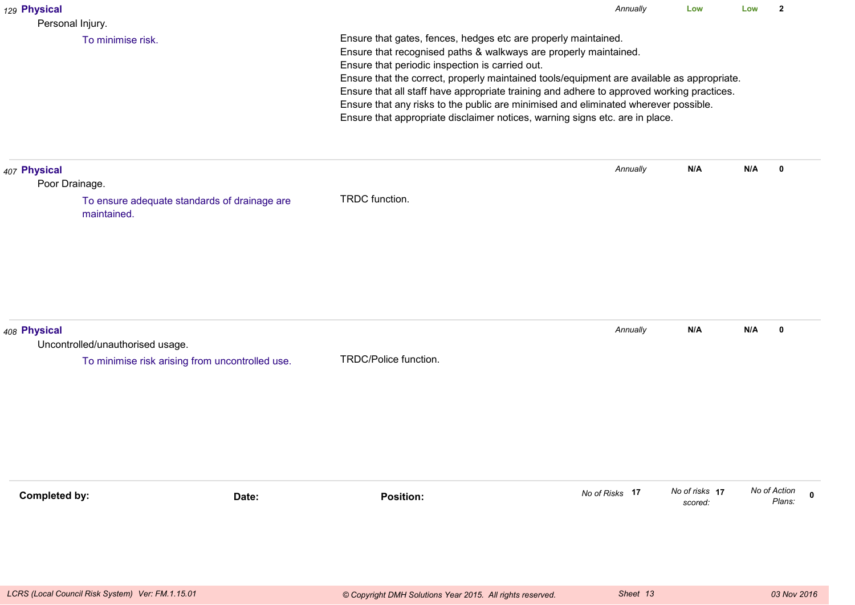| 129 Physical                   |                                                                                     |                                                                                                                                                                                                                                                                                                                                                                                                                                                                                                                                                         | Annually       | Low                       | Low          | $\overline{2}$        |
|--------------------------------|-------------------------------------------------------------------------------------|---------------------------------------------------------------------------------------------------------------------------------------------------------------------------------------------------------------------------------------------------------------------------------------------------------------------------------------------------------------------------------------------------------------------------------------------------------------------------------------------------------------------------------------------------------|----------------|---------------------------|--------------|-----------------------|
| Personal Injury.               | To minimise risk.                                                                   | Ensure that gates, fences, hedges etc are properly maintained.<br>Ensure that recognised paths & walkways are properly maintained.<br>Ensure that periodic inspection is carried out.<br>Ensure that the correct, properly maintained tools/equipment are available as appropriate.<br>Ensure that all staff have appropriate training and adhere to approved working practices.<br>Ensure that any risks to the public are minimised and eliminated wherever possible.<br>Ensure that appropriate disclaimer notices, warning signs etc. are in place. |                |                           |              |                       |
| 407 Physical<br>Poor Drainage. | To ensure adequate standards of drainage are<br>maintained.                         | TRDC function.                                                                                                                                                                                                                                                                                                                                                                                                                                                                                                                                          | Annually       | N/A                       | N/A          | 0                     |
| 408 Physical                   | Uncontrolled/unauthorised usage.<br>To minimise risk arising from uncontrolled use. | TRDC/Police function.                                                                                                                                                                                                                                                                                                                                                                                                                                                                                                                                   | Annually       | N/A                       | N/A          | $\mathbf 0$           |
| <b>Completed by:</b>           | Date:                                                                               | <b>Position:</b>                                                                                                                                                                                                                                                                                                                                                                                                                                                                                                                                        | No of Risks 17 | No of risks 17<br>scored: | No of Action | $\mathbf 0$<br>Plans: |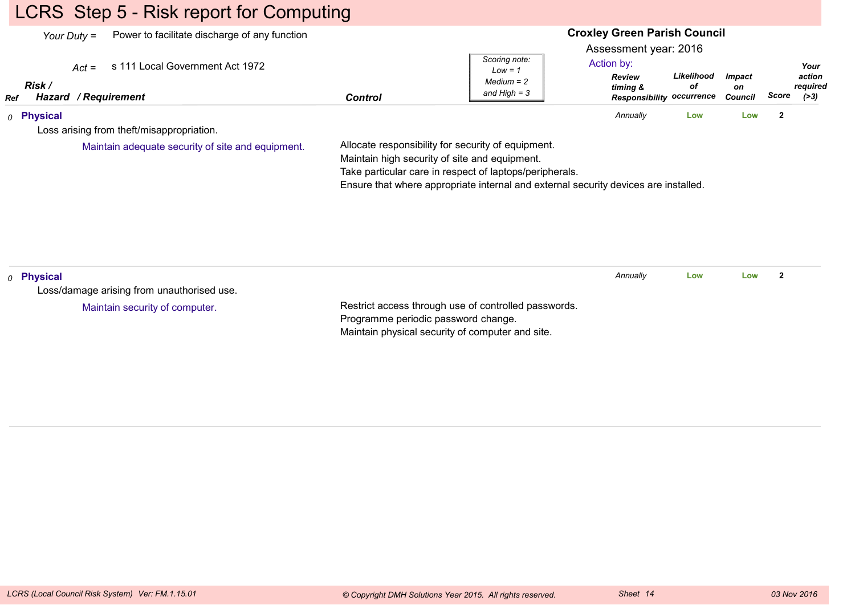# LCRS Step 5 - Risk report for Computing

|                       | Power to facilitate discharge of any function<br>Your Duty $=$     |                                                                                                                                                                                                                                                       |                                                              | <b>Croxley Green Parish Council</b><br>Assessment year: 2016                |                  |                                |                                               |
|-----------------------|--------------------------------------------------------------------|-------------------------------------------------------------------------------------------------------------------------------------------------------------------------------------------------------------------------------------------------------|--------------------------------------------------------------|-----------------------------------------------------------------------------|------------------|--------------------------------|-----------------------------------------------|
| Risk /<br>Ref         | s 111 Local Government Act 1972<br>$Act =$<br>Hazard / Requirement | <b>Control</b>                                                                                                                                                                                                                                        | Scoring note:<br>$Low = 1$<br>$Median = 2$<br>and High $=$ 3 | Action by:<br><b>Review</b><br>timing &<br><b>Responsibility occurrence</b> | Likelihood<br>оf | <b>Impact</b><br>on<br>Council | Your<br>action<br>required<br>Score<br>( > 3) |
| 0 Physical            |                                                                    |                                                                                                                                                                                                                                                       |                                                              | Annually                                                                    | Low              | Low                            | $\mathbf{2}$                                  |
|                       | Loss arising from theft/misappropriation.                          |                                                                                                                                                                                                                                                       |                                                              |                                                                             |                  |                                |                                               |
|                       | Maintain adequate security of site and equipment.                  | Allocate responsibility for security of equipment.<br>Maintain high security of site and equipment.<br>Take particular care in respect of laptops/peripherals.<br>Ensure that where appropriate internal and external security devices are installed. |                                                              |                                                                             |                  |                                |                                               |
| <sub>0</sub> Physical | Loss/damage arising from unauthorised use.                         |                                                                                                                                                                                                                                                       |                                                              | Annually                                                                    | Low              | Low                            | $\mathbf{2}$                                  |
|                       | Maintain security of computer.                                     | Restrict access through use of controlled passwords.<br>Programme periodic password change.<br>Maintain physical security of computer and site.                                                                                                       |                                                              |                                                                             |                  |                                |                                               |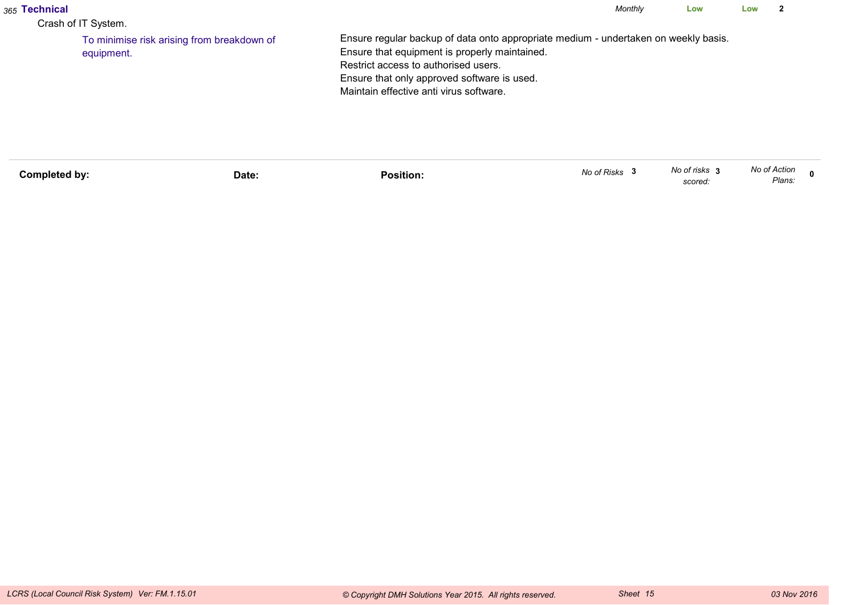| <sub>365</sub> Technical<br>Crash of IT System.          |                                                                                                                                                                                                                                                                        | Monthly | Low | Low |  |
|----------------------------------------------------------|------------------------------------------------------------------------------------------------------------------------------------------------------------------------------------------------------------------------------------------------------------------------|---------|-----|-----|--|
| To minimise risk arising from breakdown of<br>equipment. | Ensure regular backup of data onto appropriate medium - undertaken on weekly basis.<br>Ensure that equipment is properly maintained.<br>Restrict access to authorised users.<br>Ensure that only approved software is used.<br>Maintain effective anti virus software. |         |     |     |  |

| Completed by: | Date: | .<br>Position: | No of Risks | No of risks<br>scored: | No of Action<br>Plans: |  |
|---------------|-------|----------------|-------------|------------------------|------------------------|--|
|               |       |                |             |                        |                        |  |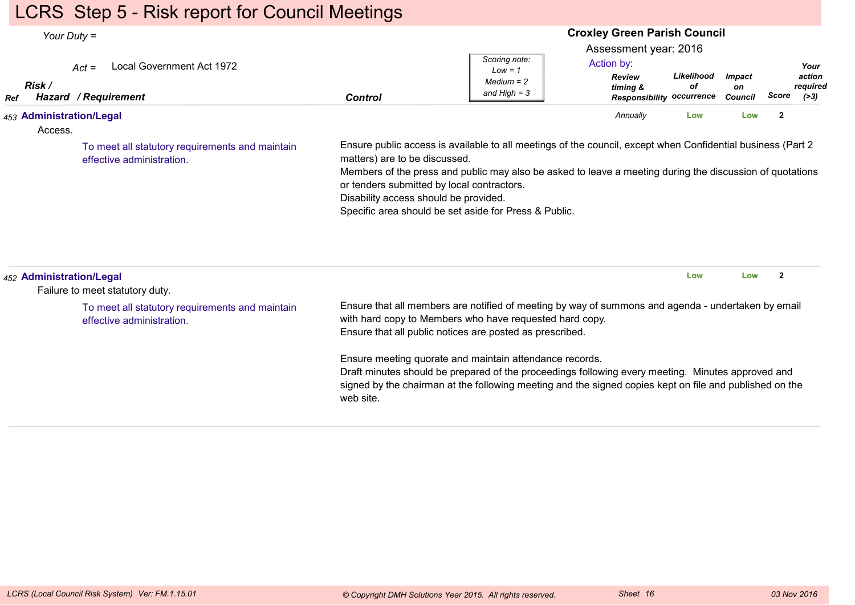# LCRS Step 5 - Risk report for Council Meetings

| Your Duty $=$                       |                                                                                                                 | <b>Croxley Green Parish Council</b><br>Assessment year: 2016                                                                                                                                                                                                                                                                                                                                                                                                                                                      |                                                              |                                                                             |                  |                                       |                |                                      |
|-------------------------------------|-----------------------------------------------------------------------------------------------------------------|-------------------------------------------------------------------------------------------------------------------------------------------------------------------------------------------------------------------------------------------------------------------------------------------------------------------------------------------------------------------------------------------------------------------------------------------------------------------------------------------------------------------|--------------------------------------------------------------|-----------------------------------------------------------------------------|------------------|---------------------------------------|----------------|--------------------------------------|
| Risk /<br>Ref                       | Local Government Act 1972<br>$Act =$<br>Hazard / Requirement                                                    | <b>Control</b>                                                                                                                                                                                                                                                                                                                                                                                                                                                                                                    | Scoring note:<br>$Low = 1$<br>$Median = 2$<br>and $High = 3$ | Action by:<br><b>Review</b><br>timing &<br><b>Responsibility occurrence</b> | Likelihood<br>οf | <b>Impact</b><br>on<br><b>Council</b> | Score          | Your<br>action<br>required<br>( > 3) |
| 453 Administration/Legal<br>Access. | To meet all statutory requirements and maintain<br>effective administration.                                    | Ensure public access is available to all meetings of the council, except when Confidential business (Part 2<br>matters) are to be discussed.<br>Members of the press and public may also be asked to leave a meeting during the discussion of quotations<br>or tenders submitted by local contractors.<br>Disability access should be provided.<br>Specific area should be set aside for Press & Public.                                                                                                          |                                                              | Annually                                                                    | Low              | Low                                   | $\overline{2}$ |                                      |
| 452 Administration/Legal            | Failure to meet statutory duty.<br>To meet all statutory requirements and maintain<br>effective administration. | Ensure that all members are notified of meeting by way of summons and agenda - undertaken by email<br>with hard copy to Members who have requested hard copy.<br>Ensure that all public notices are posted as prescribed.<br>Ensure meeting quorate and maintain attendance records.<br>Draft minutes should be prepared of the proceedings following every meeting. Minutes approved and<br>signed by the chairman at the following meeting and the signed copies kept on file and published on the<br>web site. |                                                              |                                                                             | Low              | Low                                   | $\overline{2}$ |                                      |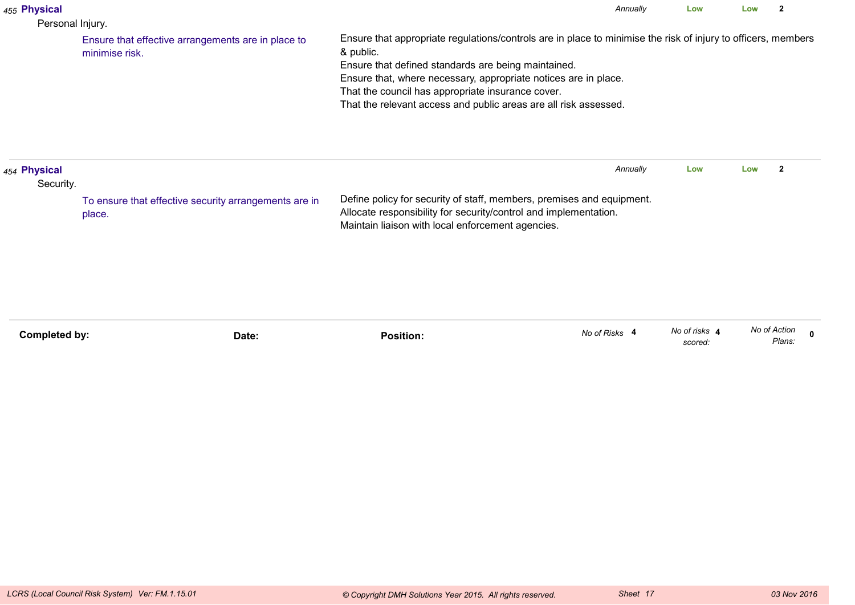| 455 Physical<br>Personal Injury. |                                                                      |                                                                                                                                                                                                                                                                                                                                                                               | Annually      | Low                      | Low          | $\overline{\mathbf{2}}$ |
|----------------------------------|----------------------------------------------------------------------|-------------------------------------------------------------------------------------------------------------------------------------------------------------------------------------------------------------------------------------------------------------------------------------------------------------------------------------------------------------------------------|---------------|--------------------------|--------------|-------------------------|
|                                  | Ensure that effective arrangements are in place to<br>minimise risk. | Ensure that appropriate regulations/controls are in place to minimise the risk of injury to officers, members<br>& public.<br>Ensure that defined standards are being maintained.<br>Ensure that, where necessary, appropriate notices are in place.<br>That the council has appropriate insurance cover.<br>That the relevant access and public areas are all risk assessed. |               |                          |              |                         |
| 454 Physical<br>Security.        | To ensure that effective security arrangements are in<br>place.      | Define policy for security of staff, members, premises and equipment.<br>Allocate responsibility for security/control and implementation.<br>Maintain liaison with local enforcement agencies.                                                                                                                                                                                | Annually      | Low                      | Low          | $\overline{\mathbf{2}}$ |
| <b>Completed by:</b>             | Date:                                                                | <b>Position:</b>                                                                                                                                                                                                                                                                                                                                                              | No of Risks 4 | No of risks 4<br>scored: | No of Action | $\mathbf{0}$<br>Plans:  |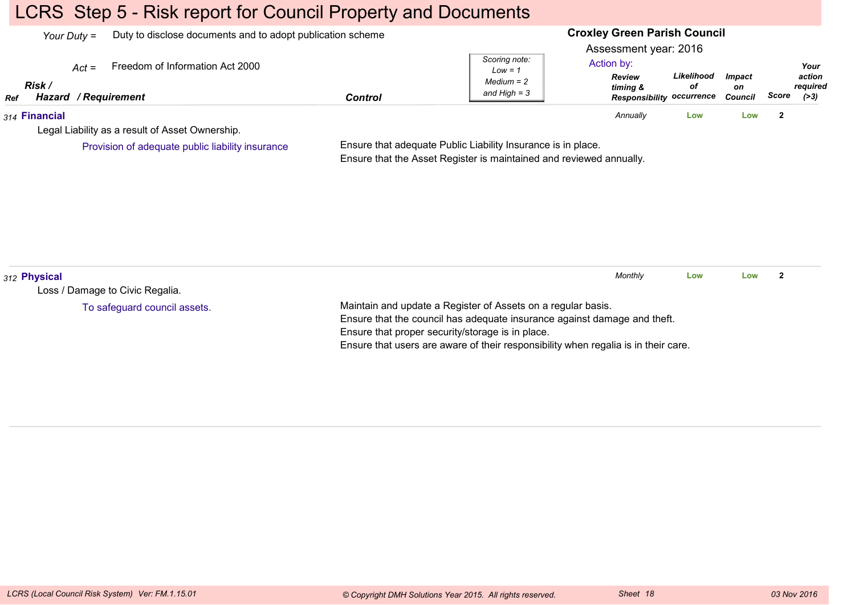# LCRS Step 5 - Risk report for Council Property and Documents

|     | Your Duty $=$                             |                                                  | Duty to disclose documents and to adopt publication scheme |                                                              |                                                                                                      | <b>Croxley Green Parish Council</b> |                                       |              |                                    |  |  |  |
|-----|-------------------------------------------|--------------------------------------------------|------------------------------------------------------------|--------------------------------------------------------------|------------------------------------------------------------------------------------------------------|-------------------------------------|---------------------------------------|--------------|------------------------------------|--|--|--|
| Ref | $Act =$<br>Risk /<br>Hazard / Requirement | Freedom of Information Act 2000                  | <b>Control</b>                                             | Scoring note:<br>$Low = 1$<br>$Median = 2$<br>and High $=$ 3 | Assessment year: 2016<br>Action by:<br><b>Review</b><br>timing &<br><b>Responsibility occurrence</b> | Likelihood<br>οf                    | <i><b>Impact</b></i><br>on<br>Council | Score        | Your<br>action<br>reauired<br>(>3) |  |  |  |
|     | 314 Financial                             |                                                  |                                                            |                                                              | Annually                                                                                             | LOW                                 | Low                                   | $\mathbf{2}$ |                                    |  |  |  |
|     |                                           | Legal Liability as a result of Asset Ownership.  |                                                            |                                                              |                                                                                                      |                                     |                                       |              |                                    |  |  |  |
|     |                                           | Provision of adequate public liability insurance |                                                            | Ensure that adequate Public Liability Insurance is in place. |                                                                                                      |                                     |                                       |              |                                    |  |  |  |

Ensure that the Asset Register is maintained and reviewed annually.

| 312 Physical                    |                                                                                    | Monthly | Low | Low |  |  |  |  |  |
|---------------------------------|------------------------------------------------------------------------------------|---------|-----|-----|--|--|--|--|--|
| Loss / Damage to Civic Regalia. |                                                                                    |         |     |     |  |  |  |  |  |
| To safeguard council assets.    | Maintain and update a Register of Assets on a regular basis.                       |         |     |     |  |  |  |  |  |
|                                 | Ensure that the council has adequate insurance against damage and theft.           |         |     |     |  |  |  |  |  |
|                                 | Ensure that proper security/storage is in place.                                   |         |     |     |  |  |  |  |  |
|                                 | Ensure that users are aware of their responsibility when regalia is in their care. |         |     |     |  |  |  |  |  |
|                                 |                                                                                    |         |     |     |  |  |  |  |  |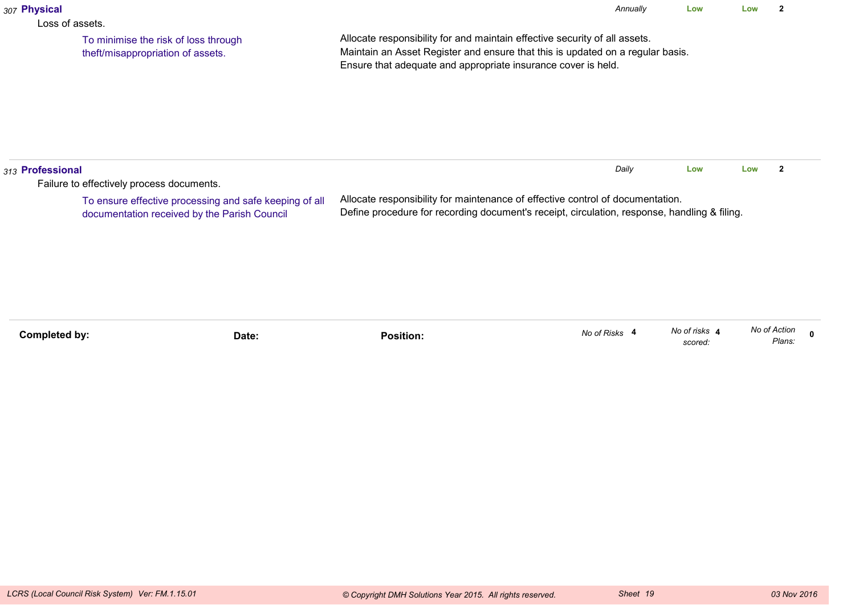| 307 Physical                                                                                                                                        |                                                                           |                                                                                                                                                                                                                               | Annually      | Low                      | Low          | $\mathbf{2}$ |              |
|-----------------------------------------------------------------------------------------------------------------------------------------------------|---------------------------------------------------------------------------|-------------------------------------------------------------------------------------------------------------------------------------------------------------------------------------------------------------------------------|---------------|--------------------------|--------------|--------------|--------------|
| Loss of assets.                                                                                                                                     | To minimise the risk of loss through<br>theft/misappropriation of assets. | Allocate responsibility for and maintain effective security of all assets.<br>Maintain an Asset Register and ensure that this is updated on a regular basis.<br>Ensure that adequate and appropriate insurance cover is held. |               |                          |              |              |              |
| 313 Professional                                                                                                                                    |                                                                           |                                                                                                                                                                                                                               | Daily         | Low                      | Low          | $\mathbf{2}$ |              |
| Failure to effectively process documents.<br>To ensure effective processing and safe keeping of all<br>documentation received by the Parish Council |                                                                           | Allocate responsibility for maintenance of effective control of documentation.<br>Define procedure for recording document's receipt, circulation, response, handling & filing.                                                |               |                          |              |              |              |
| <b>Completed by:</b>                                                                                                                                | Date:                                                                     | <b>Position:</b>                                                                                                                                                                                                              | No of Risks 4 | No of risks 4<br>scored: | No of Action | Plans:       | $\mathbf{0}$ |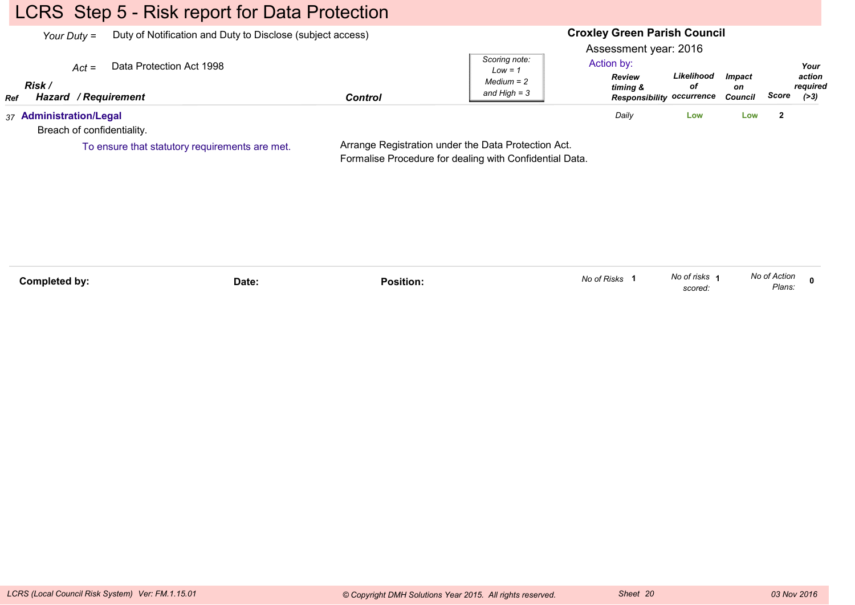# LCRS Step 5 - Risk report for Data Protection

| Duty of Notification and Duty to Disclose (subject access)<br>Your Duty $=$ |                          |                |                                                              | <b>Croxley Green Parish Council</b>                              |                                                      |                         |                         |                                      |  |
|-----------------------------------------------------------------------------|--------------------------|----------------|--------------------------------------------------------------|------------------------------------------------------------------|------------------------------------------------------|-------------------------|-------------------------|--------------------------------------|--|
| $Act =$<br>Risk<br>Hazard / Requirement<br><b>Ref</b>                       | Data Protection Act 1998 | <b>Control</b> | Scoring note:<br>$Low = 1$<br>$Median = 2$<br>and High $=$ 3 | Assessment year: 2016<br>Action by:<br><b>Review</b><br>timing & | Likelihood<br>οf<br><b>Responsibility occurrence</b> | Impact<br>on<br>Council | Score                   | Your<br>action<br>reauired<br>( > 3) |  |
| 37 Administration/Legal<br>Breach of confidentiality.                       |                          |                |                                                              | Daily                                                            | Low                                                  | Low                     | $\overline{\mathbf{2}}$ |                                      |  |

To ensure that statutory requirements are met.

Arrange Registration under the Data Protection Act.Formalise Procedure for dealing with Confidential Data.

| Completed by: | Date:<br>. | .<br>Position: | No of Risks | No of risks<br>scored: | No of Action<br>Plans: |  |
|---------------|------------|----------------|-------------|------------------------|------------------------|--|
|---------------|------------|----------------|-------------|------------------------|------------------------|--|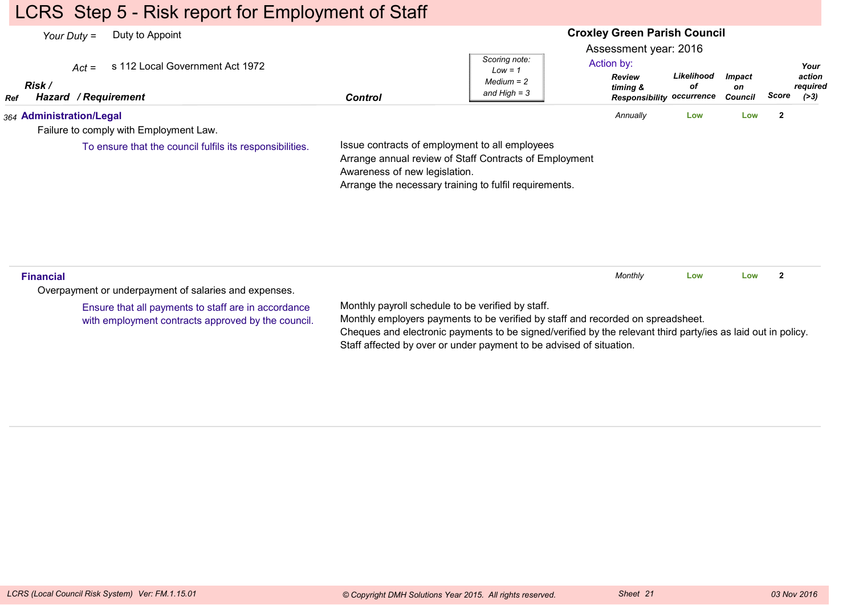## LCRS Step 5 - Risk report for Employment of Staff

#### **Croxley Green Parish Council**Assessment year: 2016*Your Duty =* Duty to Appoint *Act =* s 112 Local Government Act 1972 *RefRisk / Hazard Control / RequirementReview timing & ResponsibilityoccurrenceLikelihoodofImpacton Council ScoreScoring note:Low = 1 Medium = 2 and High = 3Your action required(>3)*Action by:*364* **Administration/Legal** Failure to comply with Employment Law.Issue contracts of employment to all employees Arrange annual review of Staff Contracts of Employment Awareness of new legislation. Arrange the necessary training to fulfil requirements. *Annually* **Low Low <sup>2</sup>** To ensure that the council fulfils its responsibilities.**Financial**Overpayment or underpayment of salaries and expenses.Monthly payroll schedule to be verified by staff.Monthly employers payments to be verified by staff and recorded on spreadsheet.Cheques and electronic payments to be signed/verified by the relevant third party/ies as laid out in policy.Staff affected by over or under payment to be advised of situation.*Monthly* **Low Low <sup>2</sup>** Ensure that all payments to staff are in accordancewith employment contracts approved by the council.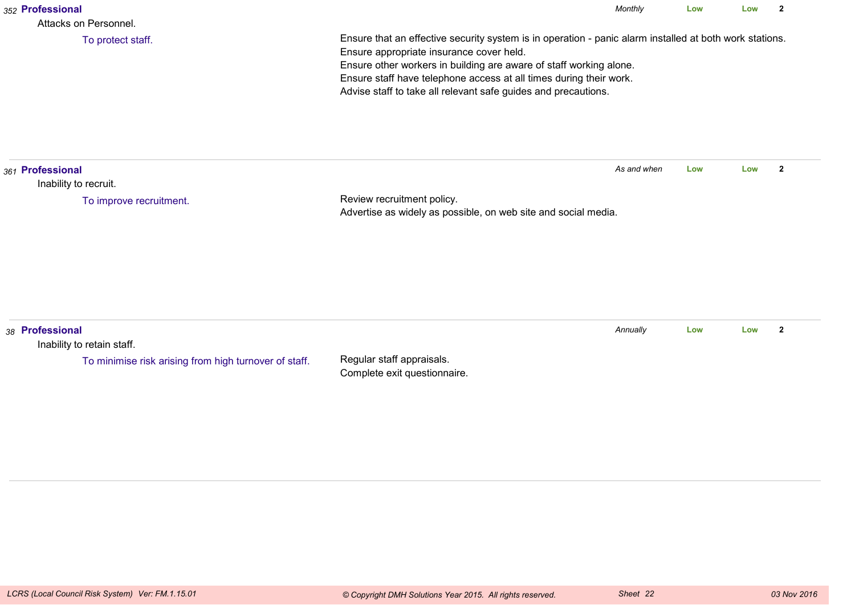| 352 Professional<br>Attacks on Personnel.                                                              |                                                                                                                                                                                                                                                                                                                                                                   | Monthly     | Low | Low | $\mathbf{2}$   |  |
|--------------------------------------------------------------------------------------------------------|-------------------------------------------------------------------------------------------------------------------------------------------------------------------------------------------------------------------------------------------------------------------------------------------------------------------------------------------------------------------|-------------|-----|-----|----------------|--|
| To protect staff.                                                                                      | Ensure that an effective security system is in operation - panic alarm installed at both work stations.<br>Ensure appropriate insurance cover held.<br>Ensure other workers in building are aware of staff working alone.<br>Ensure staff have telephone access at all times during their work.<br>Advise staff to take all relevant safe guides and precautions. |             |     |     |                |  |
| 361 Professional<br>Inability to recruit.                                                              |                                                                                                                                                                                                                                                                                                                                                                   | As and when | Low | Low | $\overline{2}$ |  |
| To improve recruitment.                                                                                | Review recruitment policy.<br>Advertise as widely as possible, on web site and social media.                                                                                                                                                                                                                                                                      |             |     |     |                |  |
| 38 Professional<br>Inability to retain staff.<br>To minimise risk arising from high turnover of staff. | Regular staff appraisals.<br>Complete exit questionnaire.                                                                                                                                                                                                                                                                                                         | Annually    | Low | Low | $\mathbf{2}$   |  |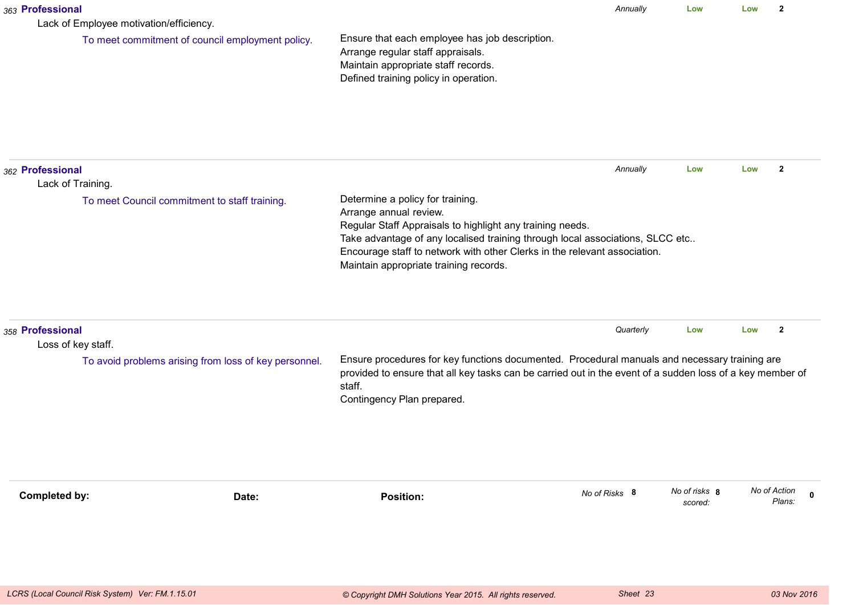| 363 Professional<br>Lack of Employee motivation/efficiency. |                                                       |                                                                                                                                                                                                                                                                                                                                 | Annually      | Low                      | Low | $\mathbf{2}$                          |
|-------------------------------------------------------------|-------------------------------------------------------|---------------------------------------------------------------------------------------------------------------------------------------------------------------------------------------------------------------------------------------------------------------------------------------------------------------------------------|---------------|--------------------------|-----|---------------------------------------|
|                                                             | To meet commitment of council employment policy.      | Ensure that each employee has job description.<br>Arrange regular staff appraisals.<br>Maintain appropriate staff records.<br>Defined training policy in operation.                                                                                                                                                             |               |                          |     |                                       |
| 362 Professional<br>Lack of Training.                       |                                                       |                                                                                                                                                                                                                                                                                                                                 | Annually      | Low                      | Low | $\mathbf{2}$                          |
|                                                             | To meet Council commitment to staff training.         | Determine a policy for training.<br>Arrange annual review.<br>Regular Staff Appraisals to highlight any training needs.<br>Take advantage of any localised training through local associations, SLCC etc<br>Encourage staff to network with other Clerks in the relevant association.<br>Maintain appropriate training records. |               |                          |     |                                       |
| 358 Professional<br>Loss of key staff.                      |                                                       |                                                                                                                                                                                                                                                                                                                                 | Quarterly     | Low                      | Low | $\overline{2}$                        |
|                                                             | To avoid problems arising from loss of key personnel. | Ensure procedures for key functions documented. Procedural manuals and necessary training are<br>provided to ensure that all key tasks can be carried out in the event of a sudden loss of a key member of<br>staff.<br>Contingency Plan prepared.                                                                              |               |                          |     |                                       |
| Completed by:                                               | Date:                                                 | <b>Position:</b>                                                                                                                                                                                                                                                                                                                | No of Risks 8 | No of risks 8<br>scored: |     | No of Action<br>$\mathbf 0$<br>Plans: |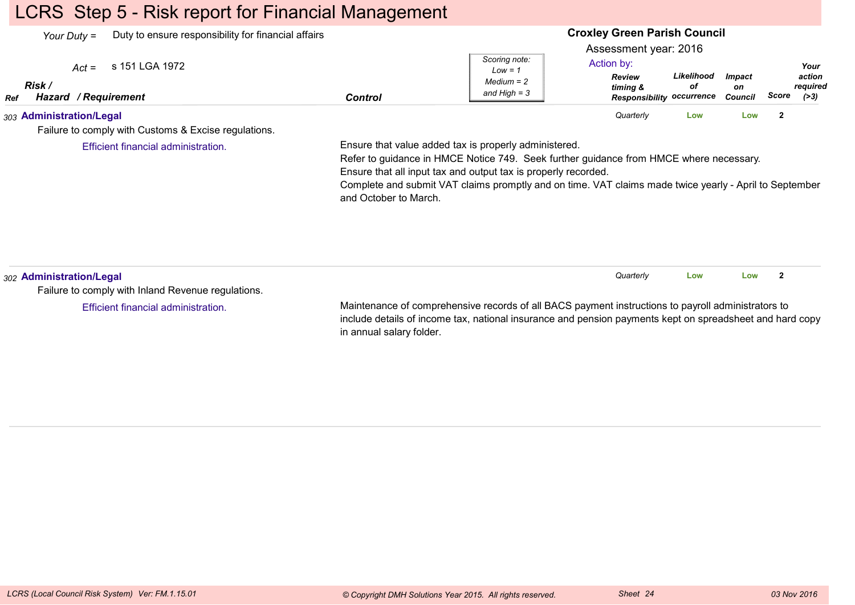## LCRS Step 5 - Risk report for Financial Management

| Your Duty =                                             | Duty to ensure responsibility for financial affairs  |                | <b>Croxley Green Parish Council</b>                          |                                                                                                      |                  |                                |       |                                      |  |
|---------------------------------------------------------|------------------------------------------------------|----------------|--------------------------------------------------------------|------------------------------------------------------------------------------------------------------|------------------|--------------------------------|-------|--------------------------------------|--|
| $Act =$<br>Risk /<br><b>Hazard / Requirement</b><br>Ref | s 151 LGA 1972                                       | <b>Control</b> | Scoring note:<br>$Low = 1$<br>$Median = 2$<br>and High $=$ 3 | Assessment year: 2016<br>Action by:<br><b>Review</b><br>timina &<br><b>Responsibility occurrence</b> | Likelihood<br>οf | <i>Impact</i><br>on<br>Council | Score | Your<br>action<br>required<br>( > 3) |  |
| 303 Administration/Legal                                | Failure to comply with Customs & Excise regulations. |                |                                                              | Quarterly                                                                                            | Low              | Low                            | -2    |                                      |  |

Efficient financial administration.

Ensure that value added tax is properly administered.

Refer to guidance in HMCE Notice 749. Seek further guidance from HMCE where necessary.Ensure that all input tax and output tax is properly recorded.

 Complete and submit VAT claims promptly and on time. VAT claims made twice yearly - April to Septemberand October to March.

| 302 Administration/Legal                                                                                 |                                                                                                    | Quarterly | Low | Low |  |  |
|----------------------------------------------------------------------------------------------------------|----------------------------------------------------------------------------------------------------|-----------|-----|-----|--|--|
| Failure to comply with Inland Revenue regulations.                                                       |                                                                                                    |           |     |     |  |  |
| Efficient financial administration.                                                                      | Maintenance of comprehensive records of all BACS payment instructions to payroll administrators to |           |     |     |  |  |
| include details of income tax, national insurance and pension payments kept on spreadsheet and hard copy |                                                                                                    |           |     |     |  |  |

in annual salary folder.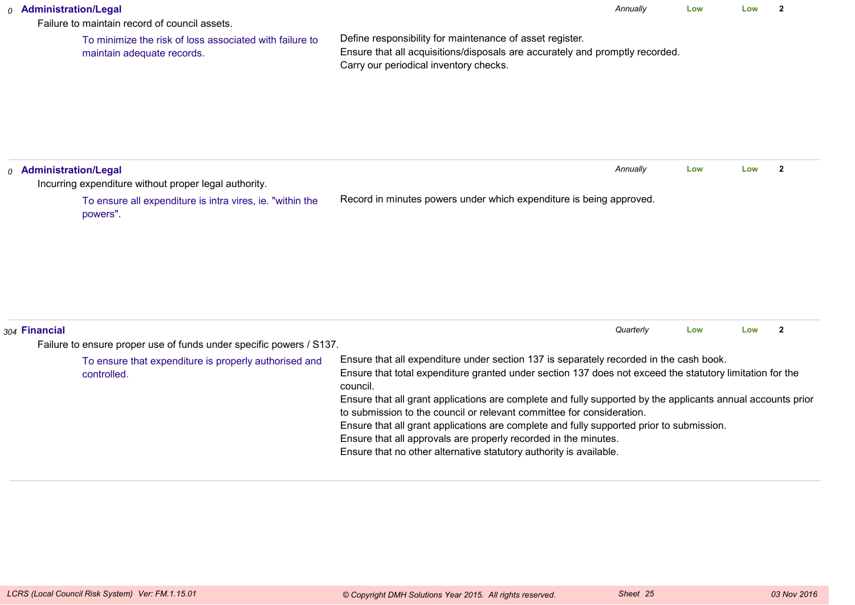|                                                                                                                                                                                                                                                                                                                                                                                                                                                                                                                                                                                                                                                                                                                     | 0 Administration/Legal<br>Failure to maintain record of council assets.                    | Annually<br>$\overline{2}$<br>Low<br>Low                                                                                                                                           |     |     |                |  |  |  |
|---------------------------------------------------------------------------------------------------------------------------------------------------------------------------------------------------------------------------------------------------------------------------------------------------------------------------------------------------------------------------------------------------------------------------------------------------------------------------------------------------------------------------------------------------------------------------------------------------------------------------------------------------------------------------------------------------------------------|--------------------------------------------------------------------------------------------|------------------------------------------------------------------------------------------------------------------------------------------------------------------------------------|-----|-----|----------------|--|--|--|
|                                                                                                                                                                                                                                                                                                                                                                                                                                                                                                                                                                                                                                                                                                                     | To minimize the risk of loss associated with failure to<br>maintain adequate records.      | Define responsibility for maintenance of asset register.<br>Ensure that all acquisitions/disposals are accurately and promptly recorded.<br>Carry our periodical inventory checks. |     |     |                |  |  |  |
|                                                                                                                                                                                                                                                                                                                                                                                                                                                                                                                                                                                                                                                                                                                     | <sub>0</sub> Administration/Legal<br>Incurring expenditure without proper legal authority. | Annually                                                                                                                                                                           | Low | Low | $\overline{2}$ |  |  |  |
|                                                                                                                                                                                                                                                                                                                                                                                                                                                                                                                                                                                                                                                                                                                     | To ensure all expenditure is intra vires, ie. "within the<br>powers".                      | Record in minutes powers under which expenditure is being approved.                                                                                                                |     |     |                |  |  |  |
|                                                                                                                                                                                                                                                                                                                                                                                                                                                                                                                                                                                                                                                                                                                     | 304 Financial<br>Failure to ensure proper use of funds under specific powers / S137.       | Quarterly                                                                                                                                                                          | Low | Low | $\overline{2}$ |  |  |  |
| Ensure that all expenditure under section 137 is separately recorded in the cash book.<br>To ensure that expenditure is properly authorised and<br>Ensure that total expenditure granted under section 137 does not exceed the statutory limitation for the<br>controlled.<br>council.<br>Ensure that all grant applications are complete and fully supported by the applicants annual accounts prior<br>to submission to the council or relevant committee for consideration.<br>Ensure that all grant applications are complete and fully supported prior to submission.<br>Ensure that all approvals are properly recorded in the minutes.<br>Ensure that no other alternative statutory authority is available. |                                                                                            |                                                                                                                                                                                    |     |     |                |  |  |  |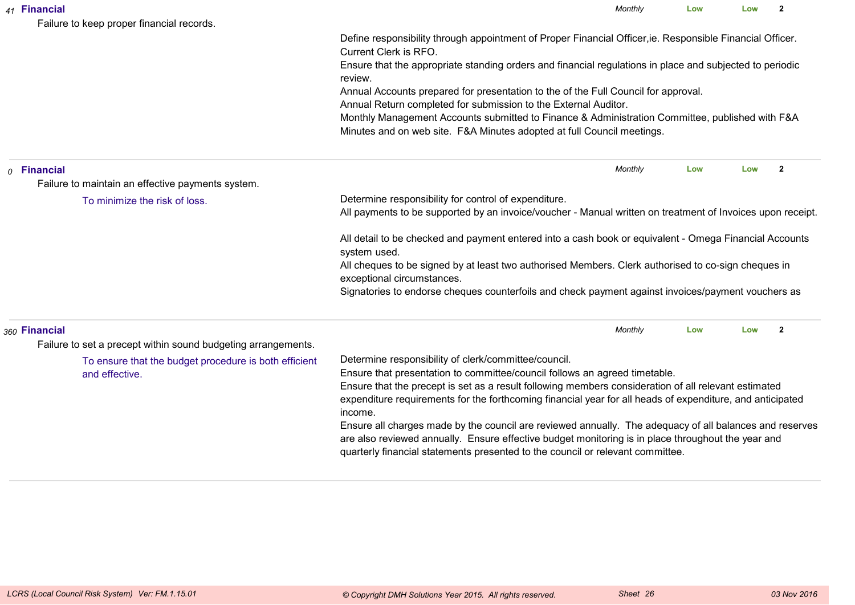|  | 41 Financial<br>Failure to keep proper financial records.                                                                                                                                                                                                                                       | Monthly                                                                                                                                                                                                                                                                                                                                                            | Low | Low | $\mathbf{2}$   |  |  |
|--|-------------------------------------------------------------------------------------------------------------------------------------------------------------------------------------------------------------------------------------------------------------------------------------------------|--------------------------------------------------------------------------------------------------------------------------------------------------------------------------------------------------------------------------------------------------------------------------------------------------------------------------------------------------------------------|-----|-----|----------------|--|--|
|  |                                                                                                                                                                                                                                                                                                 | Define responsibility through appointment of Proper Financial Officer, ie. Responsible Financial Officer.<br>Current Clerk is RFO.                                                                                                                                                                                                                                 |     |     |                |  |  |
|  |                                                                                                                                                                                                                                                                                                 | Ensure that the appropriate standing orders and financial regulations in place and subjected to periodic<br>review.                                                                                                                                                                                                                                                |     |     |                |  |  |
|  |                                                                                                                                                                                                                                                                                                 | Annual Accounts prepared for presentation to the of the Full Council for approval.<br>Annual Return completed for submission to the External Auditor.                                                                                                                                                                                                              |     |     |                |  |  |
|  |                                                                                                                                                                                                                                                                                                 | Monthly Management Accounts submitted to Finance & Administration Committee, published with F&A<br>Minutes and on web site. F&A Minutes adopted at full Council meetings.                                                                                                                                                                                          |     |     |                |  |  |
|  | $o$ Financial                                                                                                                                                                                                                                                                                   | Monthly                                                                                                                                                                                                                                                                                                                                                            | Low | Low | $\overline{2}$ |  |  |
|  | Failure to maintain an effective payments system.                                                                                                                                                                                                                                               |                                                                                                                                                                                                                                                                                                                                                                    |     |     |                |  |  |
|  | To minimize the risk of loss.                                                                                                                                                                                                                                                                   | Determine responsibility for control of expenditure.<br>All payments to be supported by an invoice/voucher - Manual written on treatment of Invoices upon receipt.                                                                                                                                                                                                 |     |     |                |  |  |
|  |                                                                                                                                                                                                                                                                                                 | All detail to be checked and payment entered into a cash book or equivalent - Omega Financial Accounts<br>system used.                                                                                                                                                                                                                                             |     |     |                |  |  |
|  |                                                                                                                                                                                                                                                                                                 | All cheques to be signed by at least two authorised Members. Clerk authorised to co-sign cheques in<br>exceptional circumstances.                                                                                                                                                                                                                                  |     |     |                |  |  |
|  |                                                                                                                                                                                                                                                                                                 | Signatories to endorse cheques counterfoils and check payment against invoices/payment vouchers as                                                                                                                                                                                                                                                                 |     |     |                |  |  |
|  | 360 Financial                                                                                                                                                                                                                                                                                   | Monthly                                                                                                                                                                                                                                                                                                                                                            | Low | Low | $\overline{2}$ |  |  |
|  | Failure to set a precept within sound budgeting arrangements.                                                                                                                                                                                                                                   |                                                                                                                                                                                                                                                                                                                                                                    |     |     |                |  |  |
|  | To ensure that the budget procedure is both efficient<br>and effective.                                                                                                                                                                                                                         | Determine responsibility of clerk/committee/council.<br>Ensure that presentation to committee/council follows an agreed timetable.<br>Ensure that the precept is set as a result following members consideration of all relevant estimated<br>expenditure requirements for the forthcoming financial year for all heads of expenditure, and anticipated<br>income. |     |     |                |  |  |
|  | Ensure all charges made by the council are reviewed annually. The adequacy of all balances and reserves<br>are also reviewed annually. Ensure effective budget monitoring is in place throughout the year and<br>quarterly financial statements presented to the council or relevant committee. |                                                                                                                                                                                                                                                                                                                                                                    |     |     |                |  |  |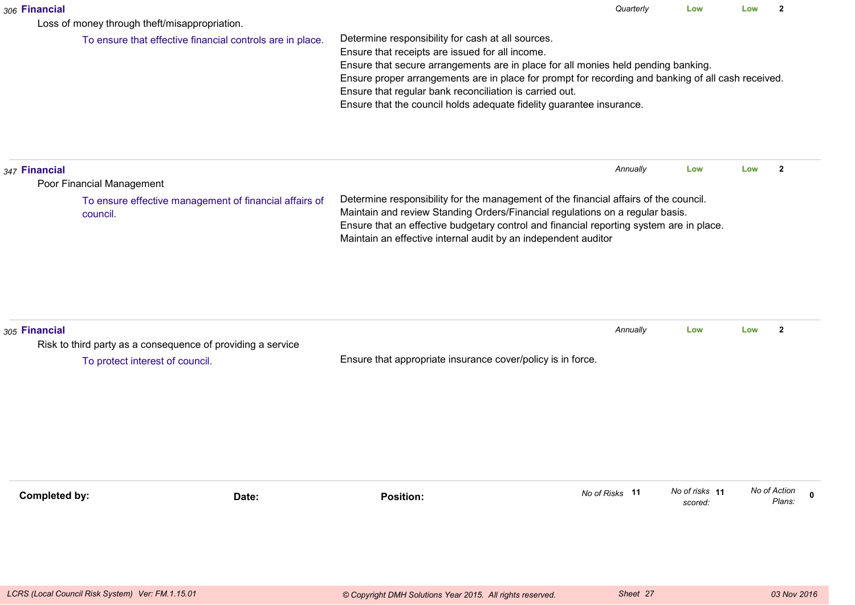| 306 Financial                                                                                              |                                                                                                                                                                                                                                                                                                                                                                                                                                    | Quarterly      | Low                       | Low | $\mathbf{2}$           |  |
|------------------------------------------------------------------------------------------------------------|------------------------------------------------------------------------------------------------------------------------------------------------------------------------------------------------------------------------------------------------------------------------------------------------------------------------------------------------------------------------------------------------------------------------------------|----------------|---------------------------|-----|------------------------|--|
| Loss of money through theft/misappropriation.<br>To ensure that effective financial controls are in place. | Determine responsibility for cash at all sources.<br>Ensure that receipts are issued for all income.<br>Ensure that secure arrangements are in place for all monies held pending banking.<br>Ensure proper arrangements are in place for prompt for recording and banking of all cash received.<br>Ensure that regular bank reconciliation is carried out.<br>Ensure that the council holds adequate fidelity guarantee insurance. |                |                           |     |                        |  |
| 347 Financial<br>Poor Financial Management                                                                 |                                                                                                                                                                                                                                                                                                                                                                                                                                    | Annually       | Low                       | Low | $\mathbf{2}$           |  |
| To ensure effective management of financial affairs of<br>council.                                         | Determine responsibility for the management of the financial affairs of the council.<br>Maintain and review Standing Orders/Financial regulations on a regular basis.<br>Ensure that an effective budgetary control and financial reporting system are in place.<br>Maintain an effective internal audit by an independent auditor                                                                                                 |                |                           |     |                        |  |
| 305 Financial<br>Risk to third party as a consequence of providing a service                               |                                                                                                                                                                                                                                                                                                                                                                                                                                    | Annually       | Low                       | Low | $\mathbf{2}$           |  |
| To protect interest of council.                                                                            | Ensure that appropriate insurance cover/policy is in force.                                                                                                                                                                                                                                                                                                                                                                        |                |                           |     |                        |  |
| <b>Completed by:</b><br>Date:                                                                              | <b>Position:</b>                                                                                                                                                                                                                                                                                                                                                                                                                   | No of Risks 11 | No of risks 11<br>scored: |     | No of Action<br>Plans: |  |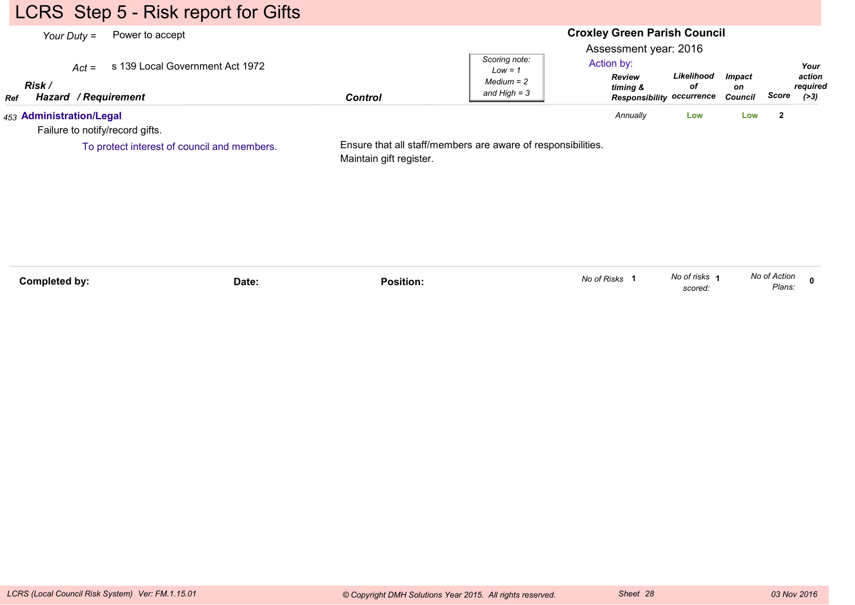# LCRS Step 5 - Risk report for Gifts

| Your Duty $=$                                               | Power to accept                             |                         | <b>Croxley Green Parish Council</b>                          |                                                                                                      |                  |                                |              |                                    |  |
|-------------------------------------------------------------|---------------------------------------------|-------------------------|--------------------------------------------------------------|------------------------------------------------------------------------------------------------------|------------------|--------------------------------|--------------|------------------------------------|--|
| $Act =$<br>Risk /<br><b>Hazard / Requirement</b><br>Ref     | s 139 Local Government Act 1972             | <b>Control</b>          | Scoring note:<br>$Low = 1$<br>$Median = 2$<br>and High $=$ 3 | Assessment year: 2016<br>Action by:<br><b>Review</b><br>timing &<br><b>Responsibility occurrence</b> | Likelihood<br>οf | <b>Impact</b><br>on<br>Council | Score        | Your<br>action<br>required<br>(>3) |  |
| 453 Administration/Legal<br>Failure to notify/record gifts. |                                             |                         |                                                              | Annually                                                                                             | Low              | Low                            | $\mathbf{2}$ |                                    |  |
|                                                             | To protect interest of council and members. | Maintain gift register. | Ensure that all staff/members are aware of responsibilities. |                                                                                                      |                  |                                |              |                                    |  |

| Completed by: | Date: | Position. | No of Risks | No of risks<br>scored. | No of Action<br>Plans: |  |
|---------------|-------|-----------|-------------|------------------------|------------------------|--|
|               |       |           |             |                        |                        |  |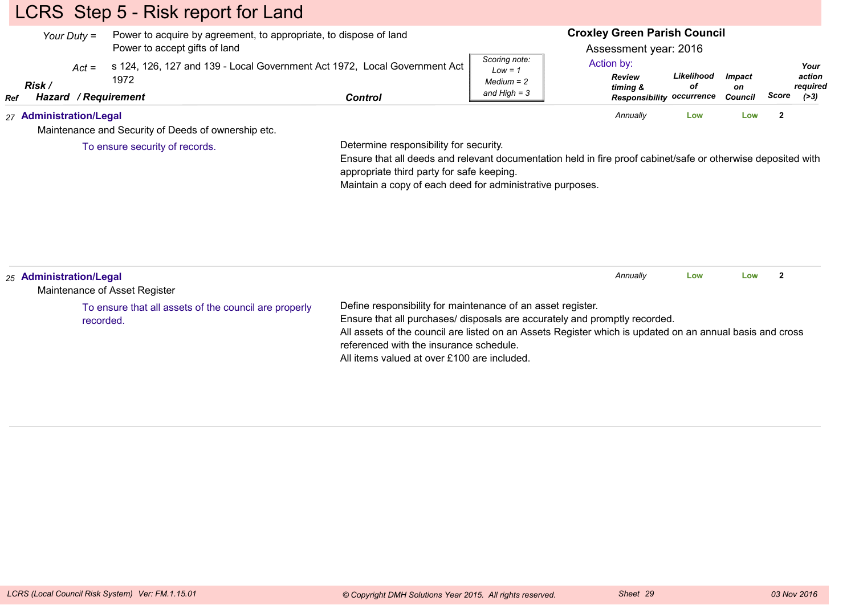# LCRS Step 5 - Risk report for Land

| Your Duty $=$ |                             | Power to acquire by agreement, to appropriate, to dispose of land<br>Power to accept gifts of land |                                                                           |         | <b>Croxley Green Parish Council</b><br>Assessment year: 2016 |                                                                      |                  |                                       |       |                                      |
|---------------|-----------------------------|----------------------------------------------------------------------------------------------------|---------------------------------------------------------------------------|---------|--------------------------------------------------------------|----------------------------------------------------------------------|------------------|---------------------------------------|-------|--------------------------------------|
| Ref           | $Act =$<br>Risk /<br>Hazard | 1972<br>/ Requirement                                                                              | s 124, 126, 127 and 139 - Local Government Act 1972, Local Government Act | Control | Scoring note:<br>$Low = 1$<br>$Median = 2$<br>and High $=$ 3 | Action by:<br><b>Review</b><br>timina &<br>Responsibility occurrence | Likelihood<br>οf | <i><b>Impact</b></i><br>on<br>Council | Score | Your<br>action<br>reauired<br>( > 3) |
|               | 27 Administration/Legal     |                                                                                                    | Maintenance and Security of Deeds of ownership etc.                       |         |                                                              | Annually                                                             | Low              | Low                                   |       |                                      |

To ensure security of records.

Determine responsibility for security.

 Ensure that all deeds and relevant documentation held in fire proof cabinet/safe or otherwise deposited withappropriate third party for safe keeping.

Maintain a copy of each deed for administrative purposes.

| 25 Administration/Legal<br>Maintenance of Asset Register           | Annually                                                                                                                                                                                                                                                                                                                                        | Low | Low |  |
|--------------------------------------------------------------------|-------------------------------------------------------------------------------------------------------------------------------------------------------------------------------------------------------------------------------------------------------------------------------------------------------------------------------------------------|-----|-----|--|
| To ensure that all assets of the council are properly<br>recorded. | Define responsibility for maintenance of an asset register.<br>Ensure that all purchases/ disposals are accurately and promptly recorded.<br>All assets of the council are listed on an Assets Register which is updated on an annual basis and cross<br>referenced with the insurance schedule.<br>All items valued at over £100 are included. |     |     |  |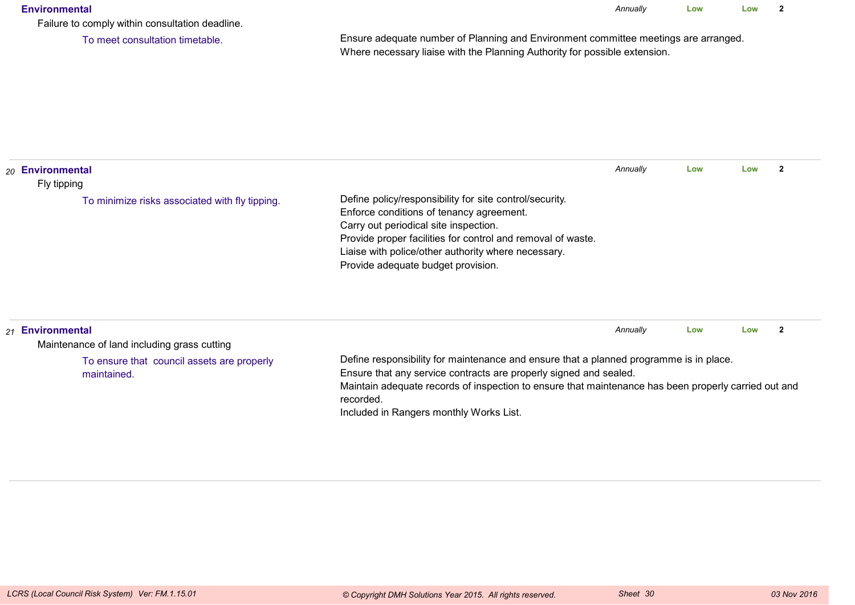#### **Environmental**

*Annually* **LowLow <sup>2</sup>**

Failure to comply within consultation deadline.

To meet consultation timetable.

Ensure adequate number of Planning and Environment committee meetings are arranged.Where necessary liaise with the Planning Authority for possible extension.

| 20 Environmental<br>Fly tipping                                 |                                                                                                                                                                                                                                                                                                          | Annually | Low | Low |  |
|-----------------------------------------------------------------|----------------------------------------------------------------------------------------------------------------------------------------------------------------------------------------------------------------------------------------------------------------------------------------------------------|----------|-----|-----|--|
| To minimize risks associated with fly tipping.                  | Define policy/responsibility for site control/security.<br>Enforce conditions of tenancy agreement.<br>Carry out periodical site inspection.<br>Provide proper facilities for control and removal of waste.<br>Liaise with police/other authority where necessary.<br>Provide adequate budget provision. |          |     |     |  |
| 21 Environmental<br>Maintenance of land including grass cutting |                                                                                                                                                                                                                                                                                                          | Annually | Low | Low |  |

To ensure that council assets are properlymaintained.

Define responsibility for maintenance and ensure that a planned programme is in place.

Ensure that any service contracts are properly signed and sealed.

 Maintain adequate records of inspection to ensure that maintenance has been properly carried out andrecorded.

Included in Rangers monthly Works List.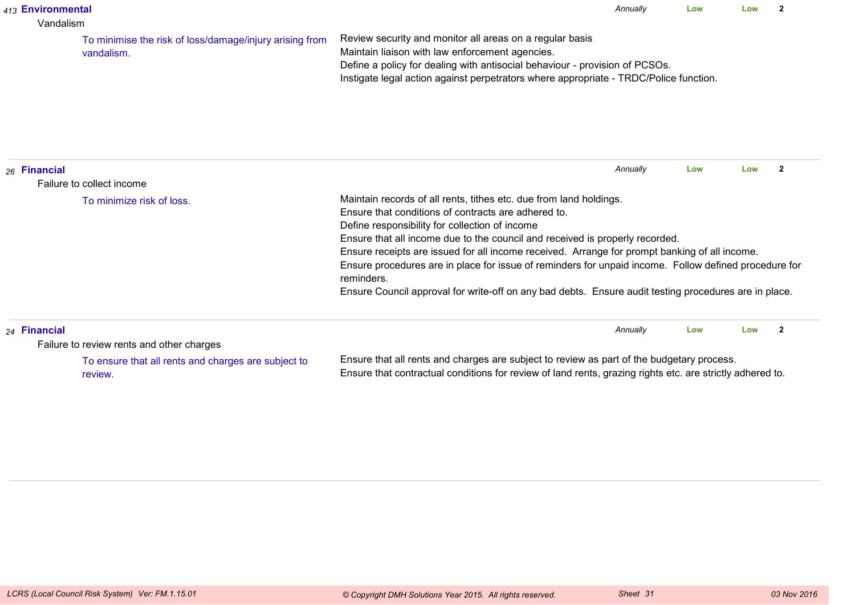| 413 Environmental<br>Vandalism |                                                                                                                                                                                                                                                                                                                                                                                                                                                                                                                                                                                                                                                        |                                                                       |                                                                                                                                                                                                                                                                                     | Annually | Low | l ow | $\overline{2}$ |
|--------------------------------|--------------------------------------------------------------------------------------------------------------------------------------------------------------------------------------------------------------------------------------------------------------------------------------------------------------------------------------------------------------------------------------------------------------------------------------------------------------------------------------------------------------------------------------------------------------------------------------------------------------------------------------------------------|-----------------------------------------------------------------------|-------------------------------------------------------------------------------------------------------------------------------------------------------------------------------------------------------------------------------------------------------------------------------------|----------|-----|------|----------------|
|                                |                                                                                                                                                                                                                                                                                                                                                                                                                                                                                                                                                                                                                                                        | To minimise the risk of loss/damage/injury arising from<br>vandalism. | Review security and monitor all areas on a regular basis<br>Maintain liaison with law enforcement agencies.<br>Define a policy for dealing with antisocial behaviour - provision of PCSOs.<br>Instigate legal action against perpetrators where appropriate - TRDC/Police function. |          |     |      |                |
|                                | 26 Financial                                                                                                                                                                                                                                                                                                                                                                                                                                                                                                                                                                                                                                           |                                                                       |                                                                                                                                                                                                                                                                                     | Annually | Low | Low  | $\overline{2}$ |
|                                | Failure to collect income<br>Maintain records of all rents, tithes etc. due from land holdings.<br>To minimize risk of loss.<br>Ensure that conditions of contracts are adhered to.<br>Define responsibility for collection of income<br>Ensure that all income due to the council and received is properly recorded.<br>Ensure receipts are issued for all income received. Arrange for prompt banking of all income.<br>Ensure procedures are in place for issue of reminders for unpaid income. Follow defined procedure for<br>reminders.<br>Ensure Council approval for write-off on any bad debts. Ensure audit testing procedures are in place. |                                                                       |                                                                                                                                                                                                                                                                                     |          |     |      |                |
|                                | 24 Financial                                                                                                                                                                                                                                                                                                                                                                                                                                                                                                                                                                                                                                           | Failure to review rents and other charges                             |                                                                                                                                                                                                                                                                                     | Annually | Low | Low  | $\overline{2}$ |
|                                |                                                                                                                                                                                                                                                                                                                                                                                                                                                                                                                                                                                                                                                        | To ensure that all rents and charges are subject to<br>review.        | Ensure that all rents and charges are subject to review as part of the budgetary process.<br>Ensure that contractual conditions for review of land rents, grazing rights etc. are strictly adhered to.                                                                              |          |     |      |                |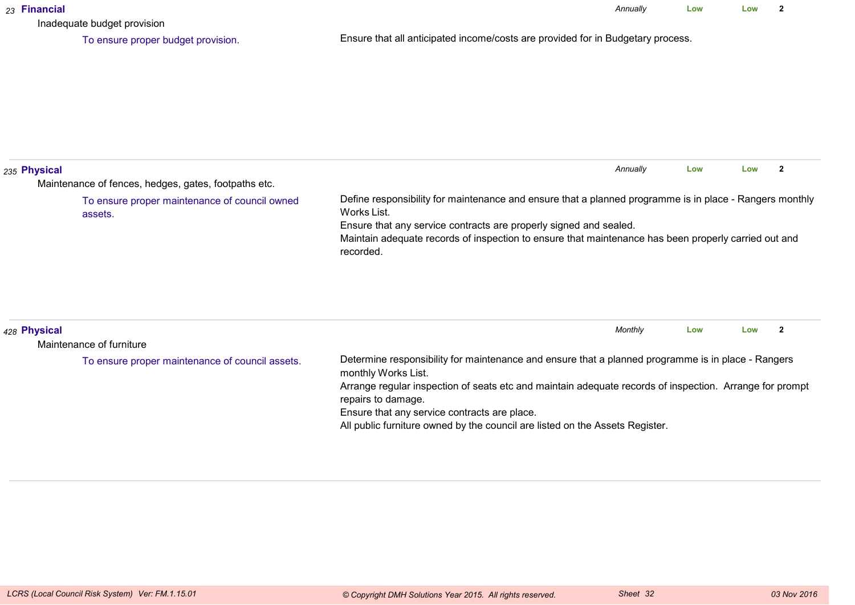| 23 Financial | Inadequate budget provision                              |                                                                                                                                                                                                                                                                                                                                                                                            | Annually | Low | Low | $\overline{2}$ |
|--------------|----------------------------------------------------------|--------------------------------------------------------------------------------------------------------------------------------------------------------------------------------------------------------------------------------------------------------------------------------------------------------------------------------------------------------------------------------------------|----------|-----|-----|----------------|
|              | To ensure proper budget provision.                       | Ensure that all anticipated income/costs are provided for in Budgetary process.                                                                                                                                                                                                                                                                                                            |          |     |     |                |
| 235 Physical | Maintenance of fences, hedges, gates, footpaths etc.     |                                                                                                                                                                                                                                                                                                                                                                                            | Annually | Low | Low | $\overline{2}$ |
|              | To ensure proper maintenance of council owned<br>assets. | Define responsibility for maintenance and ensure that a planned programme is in place - Rangers monthly<br>Works List.<br>Ensure that any service contracts are properly signed and sealed.<br>Maintain adequate records of inspection to ensure that maintenance has been properly carried out and<br>recorded.                                                                           |          |     |     |                |
| 428 Physical | Maintenance of furniture                                 |                                                                                                                                                                                                                                                                                                                                                                                            | Monthly  | Low | Low | $\overline{2}$ |
|              | To ensure proper maintenance of council assets.          | Determine responsibility for maintenance and ensure that a planned programme is in place - Rangers<br>monthly Works List.<br>Arrange regular inspection of seats etc and maintain adequate records of inspection. Arrange for prompt<br>repairs to damage.<br>Ensure that any service contracts are place.<br>All public furniture owned by the council are listed on the Assets Register. |          |     |     |                |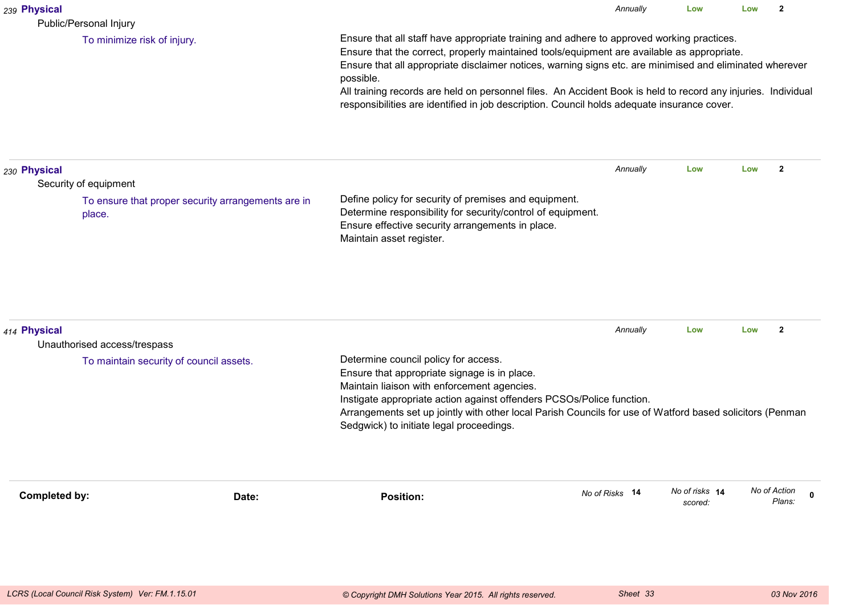| 239 Physical<br>Public/Personal Injury                                                                |                                                                                                                                                                                                                                                                                                                                                                                                                                                                                                                                  | Annually       | Low                       | Low | $\overline{2}$         |             |
|-------------------------------------------------------------------------------------------------------|----------------------------------------------------------------------------------------------------------------------------------------------------------------------------------------------------------------------------------------------------------------------------------------------------------------------------------------------------------------------------------------------------------------------------------------------------------------------------------------------------------------------------------|----------------|---------------------------|-----|------------------------|-------------|
| To minimize risk of injury.                                                                           | Ensure that all staff have appropriate training and adhere to approved working practices.<br>Ensure that the correct, properly maintained tools/equipment are available as appropriate.<br>Ensure that all appropriate disclaimer notices, warning signs etc. are minimised and eliminated wherever<br>possible.<br>All training records are held on personnel files. An Accident Book is held to record any injuries. Individual<br>responsibilities are identified in job description. Council holds adequate insurance cover. |                |                           |     |                        |             |
| 230 Physical<br>Security of equipment<br>To ensure that proper security arrangements are in<br>place. | Define policy for security of premises and equipment.<br>Determine responsibility for security/control of equipment.<br>Ensure effective security arrangements in place.<br>Maintain asset register.                                                                                                                                                                                                                                                                                                                             | Annually       | Low                       | Low | $\mathbf{2}$           |             |
| 414 Physical<br>Unauthorised access/trespass<br>To maintain security of council assets.               | Determine council policy for access.<br>Ensure that appropriate signage is in place.<br>Maintain liaison with enforcement agencies.<br>Instigate appropriate action against offenders PCSOs/Police function.                                                                                                                                                                                                                                                                                                                     | Annually       | Low                       | Low | $\overline{2}$         |             |
| <b>Completed by:</b><br>Date:                                                                         | Arrangements set up jointly with other local Parish Councils for use of Watford based solicitors (Penman<br>Sedgwick) to initiate legal proceedings.<br><b>Position:</b>                                                                                                                                                                                                                                                                                                                                                         | No of Risks 14 | No of risks 14<br>scored: |     | No of Action<br>Plans: | $\mathbf 0$ |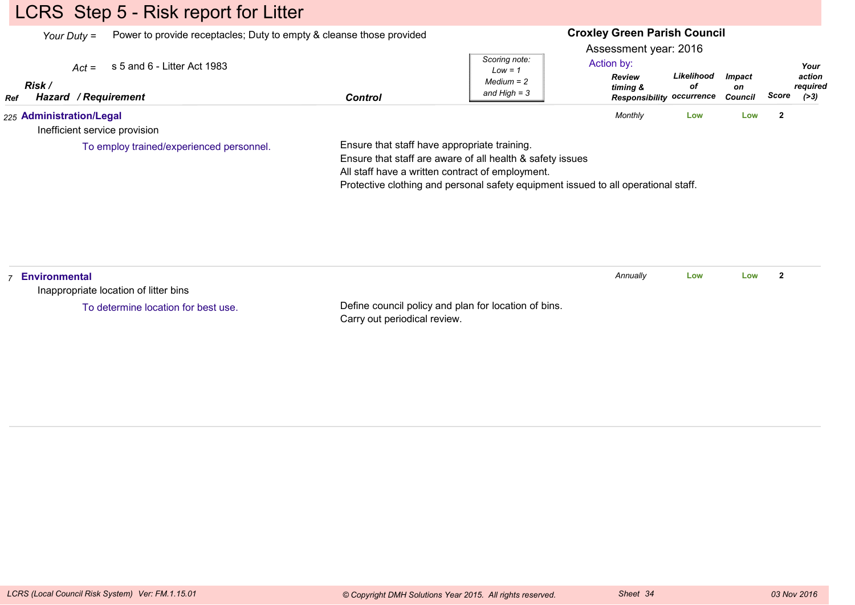## LCRS Step 5 - Risk report for Litter

*Your Duty =*Power to provide receptacles; Duty to empty & cleanse those provided

#### **Croxley Green Parish Council**

Assessment year: 2016

| <b>Risk</b><br>/ Requirement<br>Hazard<br>Control<br>Ref | Low = $\tilde{a}$<br>$Median = 2$<br>and High $=$ 3 | Review<br>timing &<br><b>Responsibility occurrence</b> | Likelihood<br>οf | <i><b>Impact</b></i><br>on<br>Council | Score | action<br>reauired<br>( > 3) |
|----------------------------------------------------------|-----------------------------------------------------|--------------------------------------------------------|------------------|---------------------------------------|-------|------------------------------|
|                                                          |                                                     | Monthly                                                |                  |                                       |       |                              |

Inefficient service provision

To employ trained/experienced personnel.

Ensure that staff have appropriate training.

Ensure that staff are aware of all health & safety issues

All staff have a written contract of employment.

Protective clothing and personal safety equipment issued to all operational staff.

| Environmental<br>Inappropriate location of litter bins |                                                                                      | Annually | Low | Low |  |
|--------------------------------------------------------|--------------------------------------------------------------------------------------|----------|-----|-----|--|
| To determine location for best use.                    | Define council policy and plan for location of bins.<br>Carry out periodical review. |          |     |     |  |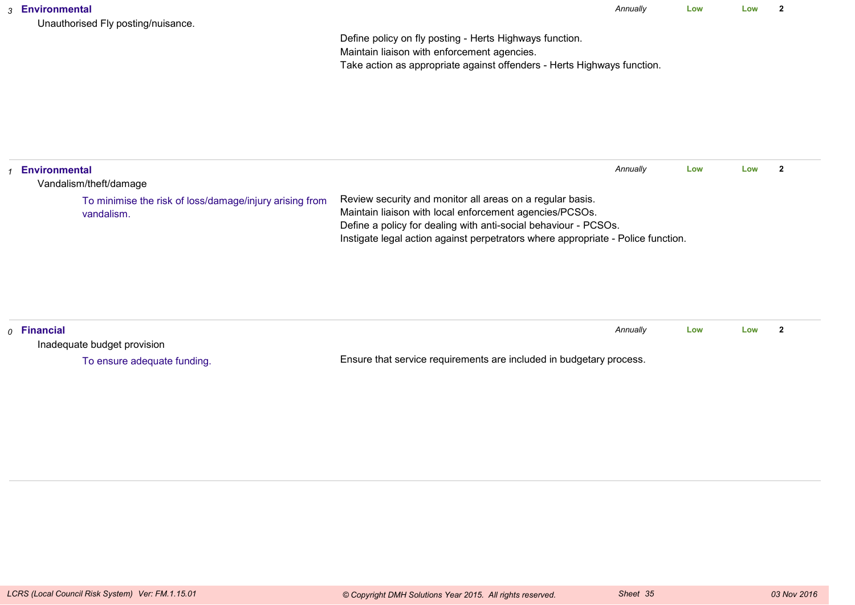| Unauthorised Fly posting/nuisance. |
|------------------------------------|
|------------------------------------|

*Annually* **LowLow <sup>2</sup>**

Define policy on fly posting - Herts Highways function.Maintain liaison with enforcement agencies.Take action as appropriate against offenders - Herts Highways function.

| <b>Environmental</b><br>Vandalism/theft/damage                        |                                                                                                                                                                                                                                                                             | Annually | Low | Low |  |
|-----------------------------------------------------------------------|-----------------------------------------------------------------------------------------------------------------------------------------------------------------------------------------------------------------------------------------------------------------------------|----------|-----|-----|--|
| To minimise the risk of loss/damage/injury arising from<br>vandalism. | Review security and monitor all areas on a regular basis.<br>Maintain liaison with local enforcement agencies/PCSOs.<br>Define a policy for dealing with anti-social behaviour - PCSOs.<br>Instigate legal action against perpetrators where appropriate - Police function. |          |     |     |  |

| $\rho$ Financial            |                                                                     | Annually | Low | Low |  |
|-----------------------------|---------------------------------------------------------------------|----------|-----|-----|--|
| Inadequate budget provision |                                                                     |          |     |     |  |
| To ensure adequate funding. | Ensure that service requirements are included in budgetary process. |          |     |     |  |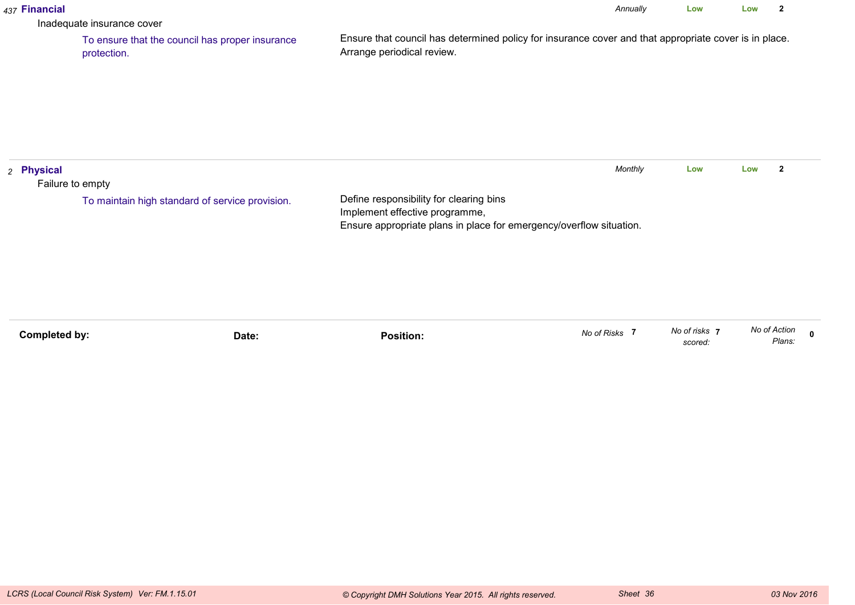|                                | Inadequate insurance cover                                     |                                                                                                                                                  |               |                          |              | $\overline{\mathbf{2}}$ |              |
|--------------------------------|----------------------------------------------------------------|--------------------------------------------------------------------------------------------------------------------------------------------------|---------------|--------------------------|--------------|-------------------------|--------------|
|                                | To ensure that the council has proper insurance<br>protection. | Ensure that council has determined policy for insurance cover and that appropriate cover is in place.<br>Arrange periodical review.              |               |                          |              |                         |              |
| 2 Physical<br>Failure to empty | To maintain high standard of service provision.                | Define responsibility for clearing bins<br>Implement effective programme,<br>Ensure appropriate plans in place for emergency/overflow situation. | Monthly       | Low                      | Low          | $\mathbf{2}$            |              |
| <b>Completed by:</b>           | Date:                                                          | <b>Position:</b>                                                                                                                                 | No of Risks 7 | No of risks 7<br>scored: | No of Action | Plans:                  | $\mathbf{0}$ |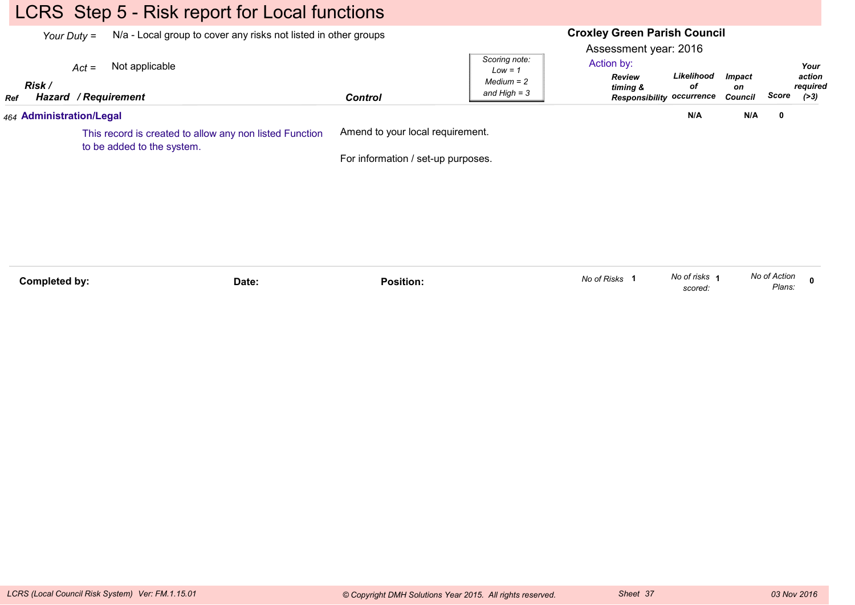## LCRS Step 5 - Risk report for Local functions

|     | N/a - Local group to cover any risks not listed in other groups<br>Your Duty =        |                                        |                                    |                | <b>Croxley Green Parish Council</b><br>Assessment year: 2016 |                                                                                          |                                |       |                                      |
|-----|---------------------------------------------------------------------------------------|----------------------------------------|------------------------------------|----------------|--------------------------------------------------------------|------------------------------------------------------------------------------------------|--------------------------------|-------|--------------------------------------|
| Ref | Risk /                                                                                | $Act =$<br><b>Hazard / Requirement</b> | Not applicable                     | <b>Control</b> | Scoring note:<br>$Low = 1$<br>$Median = 2$<br>and $High = 3$ | Action by:<br>Likelihood<br>Review<br>оf<br>timing &<br><b>Responsibility occurrence</b> | <b>Impact</b><br>on<br>Council | Score | Your<br>action<br>required<br>( > 3) |
|     |                                                                                       | 464 Administration/Legal               |                                    |                |                                                              | N/A                                                                                      | N/A                            | 0     |                                      |
|     | This record is created to allow any non listed Function<br>to be added to the system. |                                        | Amend to your local requirement.   |                |                                                              |                                                                                          |                                |       |                                      |
|     |                                                                                       |                                        | For information / set-up purposes. |                |                                                              |                                                                                          |                                |       |                                      |
|     |                                                                                       |                                        |                                    |                |                                                              |                                                                                          |                                |       |                                      |
|     |                                                                                       |                                        |                                    |                |                                                              |                                                                                          |                                |       |                                      |
|     |                                                                                       |                                        |                                    |                |                                                              |                                                                                          |                                |       |                                      |
|     |                                                                                       |                                        |                                    |                |                                                              |                                                                                          |                                |       |                                      |

| Completed by: | Date: | Position. | of Risks<br>ייס סעו | No of risks | ''-<br>Action<br><b>NO OT</b> |  |
|---------------|-------|-----------|---------------------|-------------|-------------------------------|--|
|               |       |           |                     | scored.     | Plans:                        |  |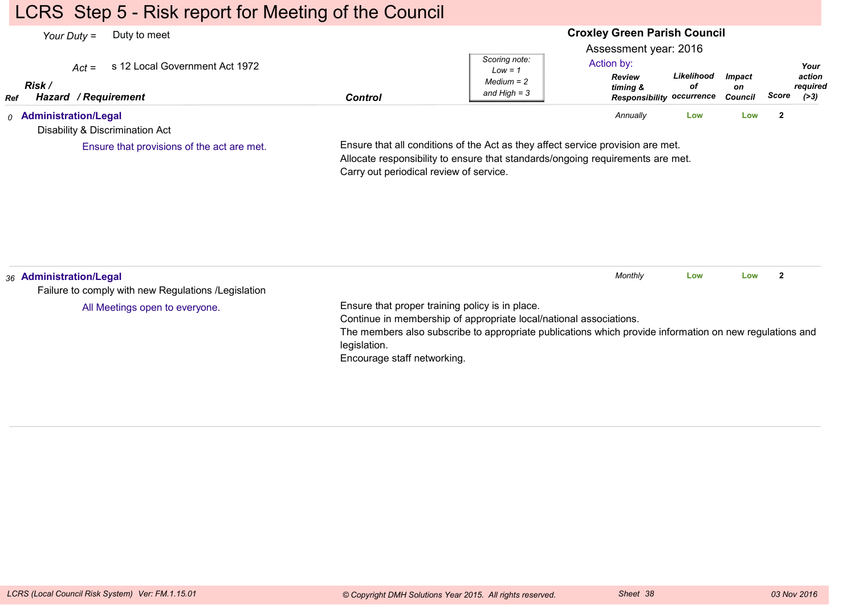## LCRS Step 5 - Risk report for Meeting of the Council

#### **Croxley Green Parish Council**Assessment year: 2016*Your Duty =* Duty to meet *Act =* s 12 Local Government Act 1972 *RefRisk / Hazard Control / RequirementReview timing & Responsibility occurrenceLikelihoodofImpacton Council ScoreScoring note:Low = 1 Medium = 2 and High = 3Your action required(>3)*Action by:*0* **Administration/Legal** Disability & Discrimination ActEnsure that all conditions of the Act as they affect service provision are met.Allocate responsibility to ensure that standards/ongoing requirements are met.Carry out periodical review of service.*Annually* **Low Low <sup>2</sup>** Ensure that provisions of the act are met.*36* **Administration/Legal** Failure to comply with new Regulations /LegislationEnsure that proper training policy is in place.Continue in membership of appropriate local/national associations.The members also subscribe to appropriate publications which provide information on new regulations andlegislation. Encourage staff networking.*Monthly* **Low Low <sup>2</sup>** All Meetings open to everyone.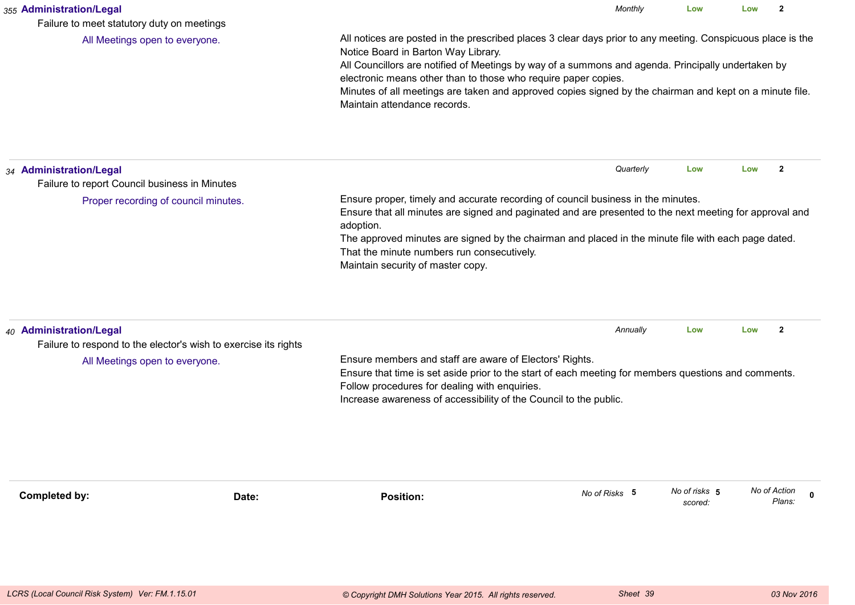|                                                                                                                                                                                                                                                                                                                                                                                                                                                                       | Monthly       | Low                                                                                                                          | Low                                                                              | $\mathbf{2}$                                                                                                                                                                                                                                                                                                           |  |  |
|-----------------------------------------------------------------------------------------------------------------------------------------------------------------------------------------------------------------------------------------------------------------------------------------------------------------------------------------------------------------------------------------------------------------------------------------------------------------------|---------------|------------------------------------------------------------------------------------------------------------------------------|----------------------------------------------------------------------------------|------------------------------------------------------------------------------------------------------------------------------------------------------------------------------------------------------------------------------------------------------------------------------------------------------------------------|--|--|
| All notices are posted in the prescribed places 3 clear days prior to any meeting. Conspicuous place is the<br>Notice Board in Barton Way Library.<br>All Councillors are notified of Meetings by way of a summons and agenda. Principally undertaken by<br>electronic means other than to those who require paper copies.<br>Minutes of all meetings are taken and approved copies signed by the chairman and kept on a minute file.<br>Maintain attendance records. |               |                                                                                                                              |                                                                                  |                                                                                                                                                                                                                                                                                                                        |  |  |
|                                                                                                                                                                                                                                                                                                                                                                                                                                                                       | Quarterly     | Low                                                                                                                          | Low                                                                              | $\overline{2}$                                                                                                                                                                                                                                                                                                         |  |  |
| adoption.<br>That the minute numbers run consecutively.<br>Maintain security of master copy.                                                                                                                                                                                                                                                                                                                                                                          |               |                                                                                                                              |                                                                                  |                                                                                                                                                                                                                                                                                                                        |  |  |
| Follow procedures for dealing with enquiries.                                                                                                                                                                                                                                                                                                                                                                                                                         | Annually      | Low                                                                                                                          | Low                                                                              | $\mathbf{2}$                                                                                                                                                                                                                                                                                                           |  |  |
| <b>Position:</b>                                                                                                                                                                                                                                                                                                                                                                                                                                                      | No of Risks 5 | No of risks 5<br>scored:                                                                                                     | No of Action                                                                     | $\mathbf 0$<br>Plans:                                                                                                                                                                                                                                                                                                  |  |  |
|                                                                                                                                                                                                                                                                                                                                                                                                                                                                       |               | Ensure members and staff are aware of Electors' Rights.<br>Increase awareness of accessibility of the Council to the public. | Ensure proper, timely and accurate recording of council business in the minutes. | Ensure that all minutes are signed and paginated and are presented to the next meeting for approval and<br>The approved minutes are signed by the chairman and placed in the minute file with each page dated.<br>Ensure that time is set aside prior to the start of each meeting for members questions and comments. |  |  |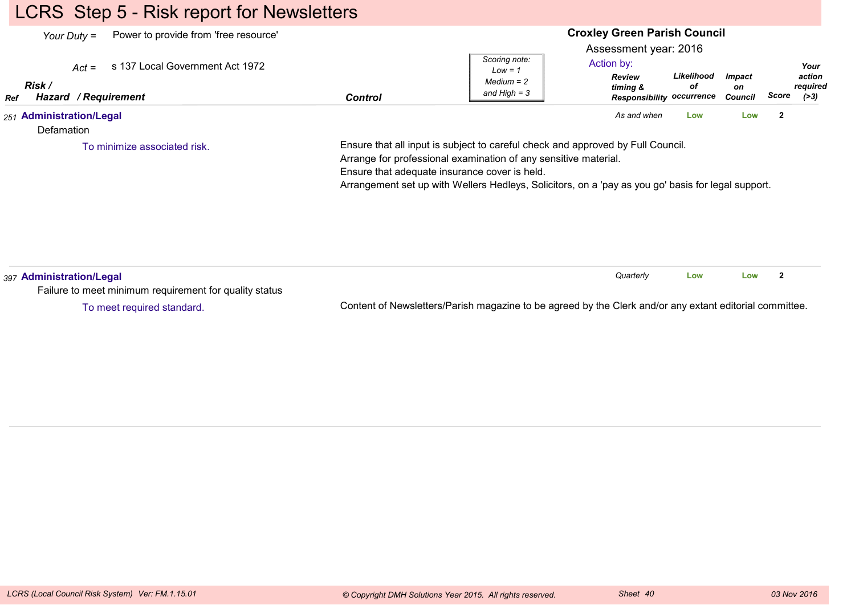# LCRS Step 5 - Risk report for Newsletters

| Power to provide from 'free resource'<br>Your Duty $=$<br>s 137 Local Government Act 1972<br>$Act =$<br>Risk /<br>Hazard / Requirement<br>Ref | <b>Control</b>                                                                                                                                                                                                                                                                                            | <b>Croxley Green Parish Council</b><br>Assessment year: 2016<br>Scoring note:<br>Action by:<br>$Low = 1$<br><b>Review</b><br>$Median = 2$<br>timing &<br>and High $=$ 3 | Likelihood<br>оf<br><b>Responsibility occurrence</b> | <b>Impact</b><br>on<br>Council | Your<br>action<br>required<br>Score<br>(>3) |
|-----------------------------------------------------------------------------------------------------------------------------------------------|-----------------------------------------------------------------------------------------------------------------------------------------------------------------------------------------------------------------------------------------------------------------------------------------------------------|-------------------------------------------------------------------------------------------------------------------------------------------------------------------------|------------------------------------------------------|--------------------------------|---------------------------------------------|
| 251 Administration/Legal<br>Defamation                                                                                                        |                                                                                                                                                                                                                                                                                                           | As and when                                                                                                                                                             | Low                                                  | Low                            | $\mathbf{2}$                                |
| To minimize associated risk.                                                                                                                  | Ensure that all input is subject to careful check and approved by Full Council.<br>Arrange for professional examination of any sensitive material.<br>Ensure that adequate insurance cover is held.<br>Arrangement set up with Wellers Hedleys, Solicitors, on a 'pay as you go' basis for legal support. |                                                                                                                                                                         |                                                      |                                |                                             |
| 397 Administration/Legal<br>Failure to meet minimum requirement for quality status                                                            |                                                                                                                                                                                                                                                                                                           | Quarterly                                                                                                                                                               | Low                                                  | Low                            | $\mathbf{2}$                                |

To meet required standard.

Content of Newsletters/Parish magazine to be agreed by the Clerk and/or any extant editorial committee.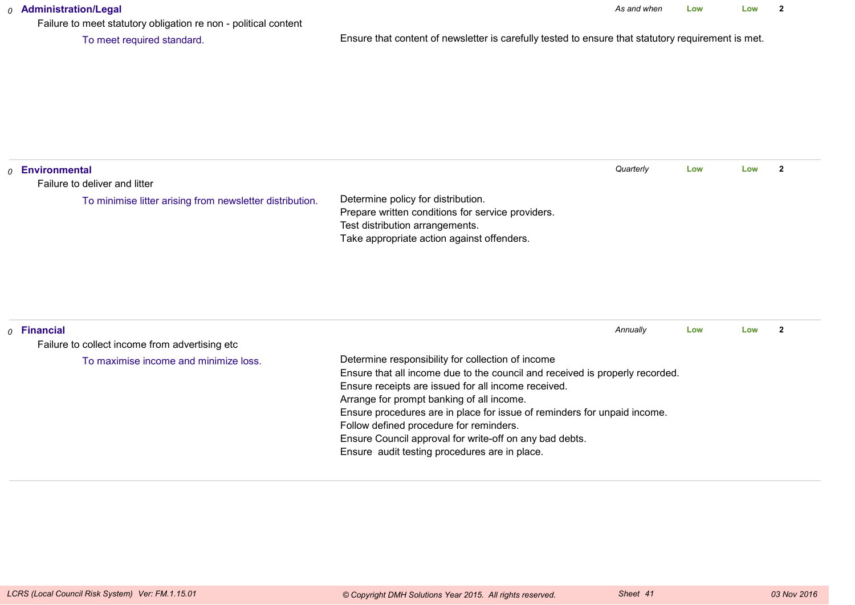#### *0* **Administration/Legal**

Failure to meet statutory obligation re non - political content

To meet required standard.

Ensure that content of newsletter is carefully tested to ensure that statutory requirement is met.

| $_0$ Environmental                                              |                                                                                                                                                                                                                                                                                                                                                                                                                                                                          | Quarterly | Low | Low | $\mathbf{2}$ |
|-----------------------------------------------------------------|--------------------------------------------------------------------------------------------------------------------------------------------------------------------------------------------------------------------------------------------------------------------------------------------------------------------------------------------------------------------------------------------------------------------------------------------------------------------------|-----------|-----|-----|--------------|
| Failure to deliver and litter                                   |                                                                                                                                                                                                                                                                                                                                                                                                                                                                          |           |     |     |              |
| To minimise litter arising from newsletter distribution.        | Determine policy for distribution.<br>Prepare written conditions for service providers.<br>Test distribution arrangements.<br>Take appropriate action against offenders.                                                                                                                                                                                                                                                                                                 |           |     |     |              |
| $0$ Financial<br>Failure to collect income from advertising etc |                                                                                                                                                                                                                                                                                                                                                                                                                                                                          | Annually  | Low | Low | $\mathbf{2}$ |
| To maximise income and minimize loss.                           | Determine responsibility for collection of income<br>Ensure that all income due to the council and received is properly recorded.<br>Ensure receipts are issued for all income received.<br>Arrange for prompt banking of all income.<br>Ensure procedures are in place for issue of reminders for unpaid income.<br>Follow defined procedure for reminders.<br>Ensure Council approval for write-off on any bad debts.<br>Ensure audit testing procedures are in place. |           |     |     |              |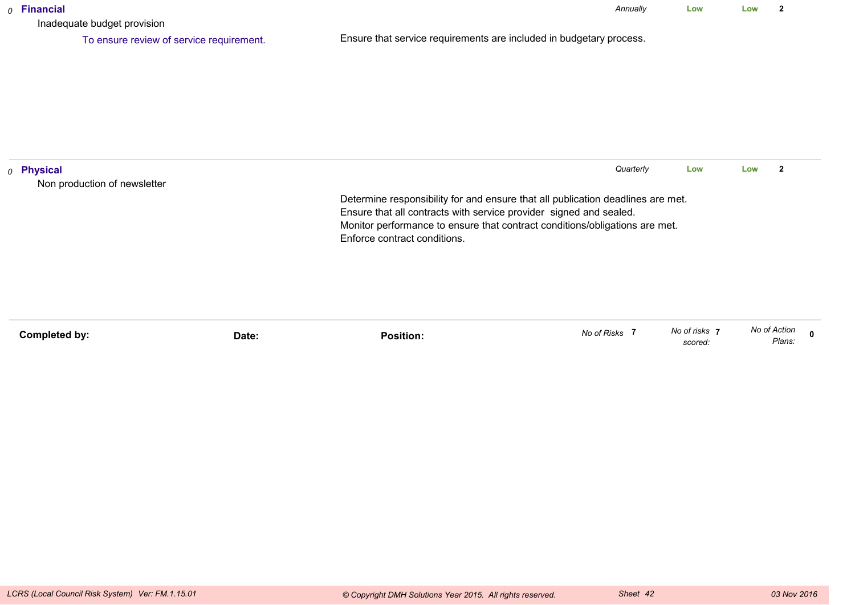| $o$ Financial<br>Inadequate budget provision          |                                                                                                                                                       | Annually  | Low | Low | 2                       |
|-------------------------------------------------------|-------------------------------------------------------------------------------------------------------------------------------------------------------|-----------|-----|-----|-------------------------|
| To ensure review of service requirement.              | Ensure that service requirements are included in budgetary process.                                                                                   |           |     |     |                         |
|                                                       |                                                                                                                                                       |           |     |     |                         |
|                                                       |                                                                                                                                                       |           |     |     |                         |
|                                                       |                                                                                                                                                       |           |     |     |                         |
|                                                       |                                                                                                                                                       |           |     |     |                         |
| <sub>0</sub> Physical<br>Non production of newsletter |                                                                                                                                                       | Quarterly | Low | Low | $\overline{\mathbf{2}}$ |
|                                                       | Determine responsibility for and ensure that all publication deadlines are met.<br>Ensure that all contracts with service provider signed and sealed. |           |     |     |                         |
|                                                       | Monitor performance to ensure that contract conditions/obligations are met.<br>Enforce contract conditions.                                           |           |     |     |                         |
|                                                       |                                                                                                                                                       |           |     |     |                         |
|                                                       |                                                                                                                                                       |           |     |     |                         |
|                                                       |                                                                                                                                                       |           |     |     |                         |

| Completed by: |       | .<br>Position: | No of Risks | No of risks | No of Action |
|---------------|-------|----------------|-------------|-------------|--------------|
|               | Date: |                |             | scored:     | Plans:       |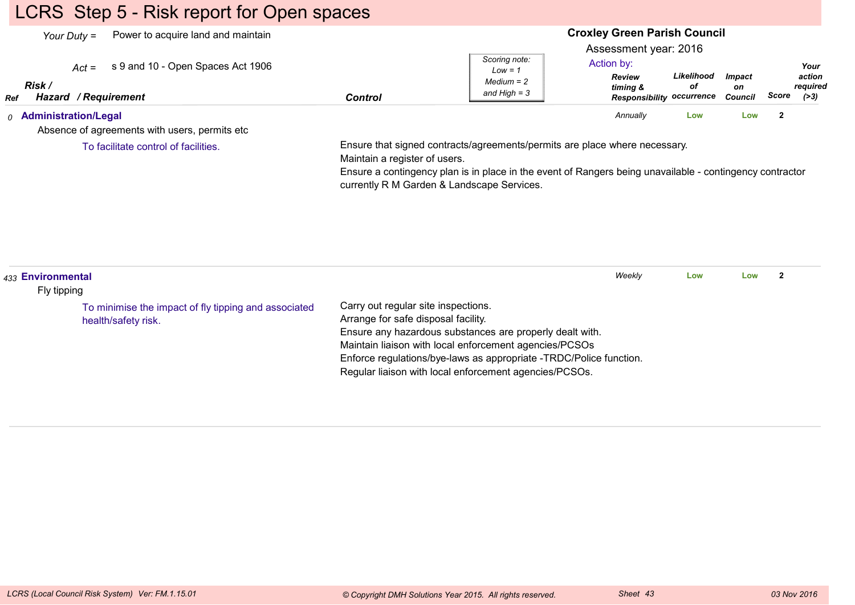# LCRS Step 5 - Risk report for Open spaces

| Power to acquire land and maintain<br>Your Duty $=$<br>s 9 and 10 - Open Spaces Act 1906<br>$Act =$<br>Risk /<br>Hazard / Requirement<br>Ref | <b>Control</b>                | Scoring note:<br>$Low = 1$<br>$Median = 2$<br>and High $=$ 3                                                                                                                                                                         | <b>Croxley Green Parish Council</b><br>Assessment year: 2016<br>Action by:<br>Review<br>timing &<br><b>Responsibility occurrence</b> | Likelihood<br>οf | <b>Impact</b><br>on<br><b>Council</b> | Your<br>action<br>required<br>Score<br>( > 3) |
|----------------------------------------------------------------------------------------------------------------------------------------------|-------------------------------|--------------------------------------------------------------------------------------------------------------------------------------------------------------------------------------------------------------------------------------|--------------------------------------------------------------------------------------------------------------------------------------|------------------|---------------------------------------|-----------------------------------------------|
| <sub>0</sub> Administration/Legal<br>Absence of agreements with users, permits etc.                                                          |                               |                                                                                                                                                                                                                                      | Annually                                                                                                                             | Low              | Low                                   | $\overline{2}$                                |
| To facilitate control of facilities.                                                                                                         | Maintain a register of users. | Ensure that signed contracts/agreements/permits are place where necessary.<br>Ensure a contingency plan is in place in the event of Rangers being unavailable - contingency contractor<br>currently R M Garden & Landscape Services. |                                                                                                                                      |                  |                                       |                                               |
|                                                                                                                                              |                               |                                                                                                                                                                                                                                      |                                                                                                                                      |                  |                                       |                                               |

| 433 Environmental<br>Fly tipping<br>Carry out regular site inspections.<br>To minimise the impact of fly tipping and associated<br>Arrange for safe disposal facility.<br>health/safety risk. |                                                                                                                                                                                                                                                    | Weekly | Low | Low |  |
|-----------------------------------------------------------------------------------------------------------------------------------------------------------------------------------------------|----------------------------------------------------------------------------------------------------------------------------------------------------------------------------------------------------------------------------------------------------|--------|-----|-----|--|
|                                                                                                                                                                                               |                                                                                                                                                                                                                                                    |        |     |     |  |
|                                                                                                                                                                                               | Ensure any hazardous substances are properly dealt with.<br>Maintain liaison with local enforcement agencies/PCSOs<br>Enforce regulations/bye-laws as appropriate -TRDC/Police function.<br>Regular liaison with local enforcement agencies/PCSOs. |        |     |     |  |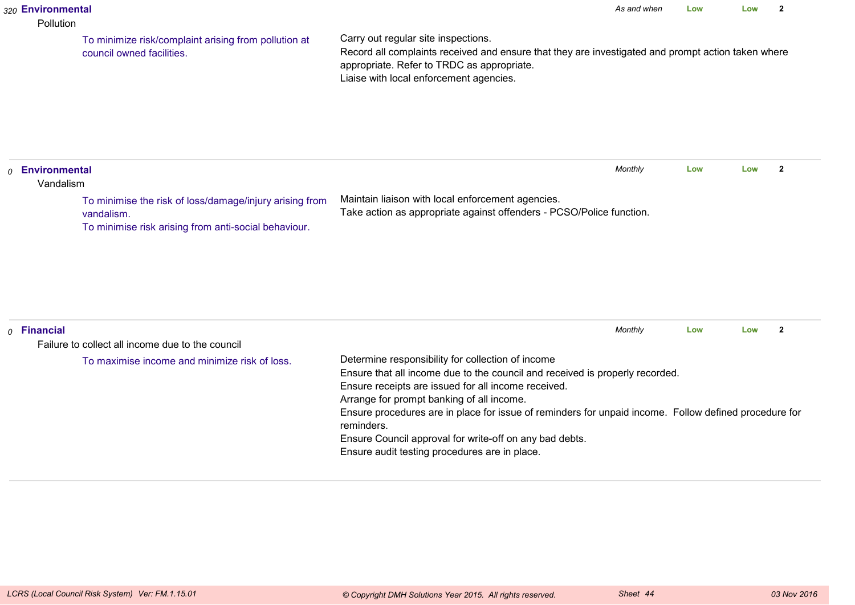#### *320* **Environmental**

#### Pollution

To minimize risk/complaint arising from pollution atcouncil owned facilities.

Carry out regular site inspections.

 Record all complaints received and ensure that they are investigated and prompt action taken whereappropriate. Refer to TRDC as appropriate.Liaise with local enforcement agencies.

*0* **Environmental** VandalismMaintain liaison with local enforcement agencies. Take action as appropriate against offenders - PCSO/Police function.*Monthly* **Low Low <sup>2</sup>** To minimise the risk of loss/damage/injury arising fromvandalism.To minimise risk arising from anti-social behaviour.

|  | $o$ Financial                                    |                                                                                                                     | Monthly | Low | Low |  |  |  |
|--|--------------------------------------------------|---------------------------------------------------------------------------------------------------------------------|---------|-----|-----|--|--|--|
|  | Failure to collect all income due to the council |                                                                                                                     |         |     |     |  |  |  |
|  | To maximise income and minimize risk of loss.    | Determine responsibility for collection of income                                                                   |         |     |     |  |  |  |
|  |                                                  | Ensure that all income due to the council and received is properly recorded.                                        |         |     |     |  |  |  |
|  |                                                  | Ensure receipts are issued for all income received.                                                                 |         |     |     |  |  |  |
|  |                                                  | Arrange for prompt banking of all income.                                                                           |         |     |     |  |  |  |
|  |                                                  | Ensure procedures are in place for issue of reminders for unpaid income. Follow defined procedure for<br>reminders. |         |     |     |  |  |  |
|  |                                                  | Ensure Council approval for write-off on any bad debts.                                                             |         |     |     |  |  |  |
|  |                                                  | Ensure audit testing procedures are in place.                                                                       |         |     |     |  |  |  |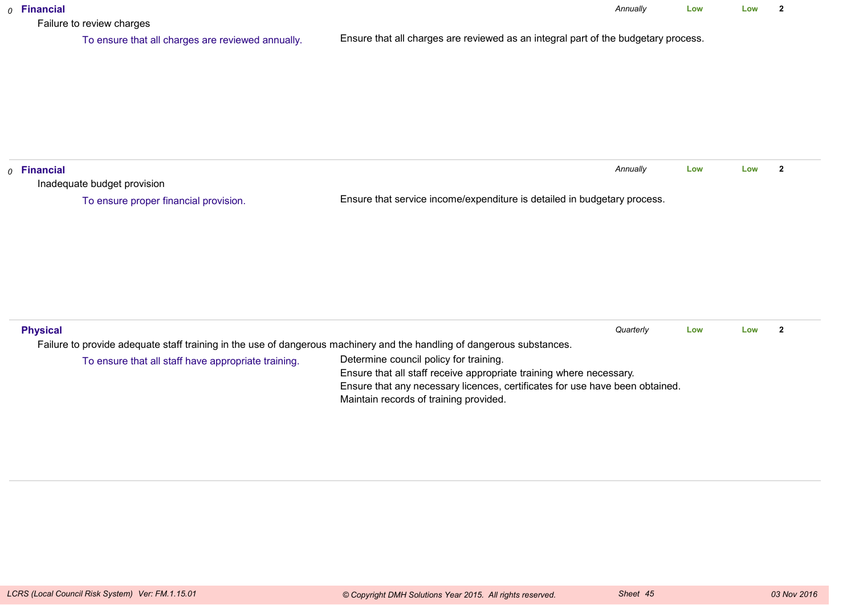| $o$ Financial<br>Failure to review charges                                                                             | Annually                                                                                                               | Low | Low | $\overline{2}$ |  |  |  |
|------------------------------------------------------------------------------------------------------------------------|------------------------------------------------------------------------------------------------------------------------|-----|-----|----------------|--|--|--|
| To ensure that all charges are reviewed annually.                                                                      | Ensure that all charges are reviewed as an integral part of the budgetary process.                                     |     |     |                |  |  |  |
|                                                                                                                        |                                                                                                                        |     |     |                |  |  |  |
|                                                                                                                        |                                                                                                                        |     |     |                |  |  |  |
|                                                                                                                        |                                                                                                                        |     |     |                |  |  |  |
|                                                                                                                        |                                                                                                                        |     |     |                |  |  |  |
| $o$ Financial                                                                                                          | Annually                                                                                                               | Low | Low | $\mathbf{2}$   |  |  |  |
| Inadequate budget provision                                                                                            |                                                                                                                        |     |     |                |  |  |  |
| To ensure proper financial provision.                                                                                  | Ensure that service income/expenditure is detailed in budgetary process.                                               |     |     |                |  |  |  |
|                                                                                                                        |                                                                                                                        |     |     |                |  |  |  |
|                                                                                                                        |                                                                                                                        |     |     |                |  |  |  |
|                                                                                                                        |                                                                                                                        |     |     |                |  |  |  |
|                                                                                                                        |                                                                                                                        |     |     |                |  |  |  |
|                                                                                                                        |                                                                                                                        |     |     |                |  |  |  |
|                                                                                                                        |                                                                                                                        |     |     |                |  |  |  |
| <b>Physical</b>                                                                                                        | Quarterly                                                                                                              | Low | Low | $\overline{2}$ |  |  |  |
| Failure to provide adequate staff training in the use of dangerous machinery and the handling of dangerous substances. |                                                                                                                        |     |     |                |  |  |  |
| To ensure that all staff have appropriate training.                                                                    | Determine council policy for training.                                                                                 |     |     |                |  |  |  |
|                                                                                                                        | Ensure that all staff receive appropriate training where necessary.                                                    |     |     |                |  |  |  |
|                                                                                                                        | Ensure that any necessary licences, certificates for use have been obtained.<br>Maintain records of training provided. |     |     |                |  |  |  |
|                                                                                                                        |                                                                                                                        |     |     |                |  |  |  |
|                                                                                                                        |                                                                                                                        |     |     |                |  |  |  |
|                                                                                                                        |                                                                                                                        |     |     |                |  |  |  |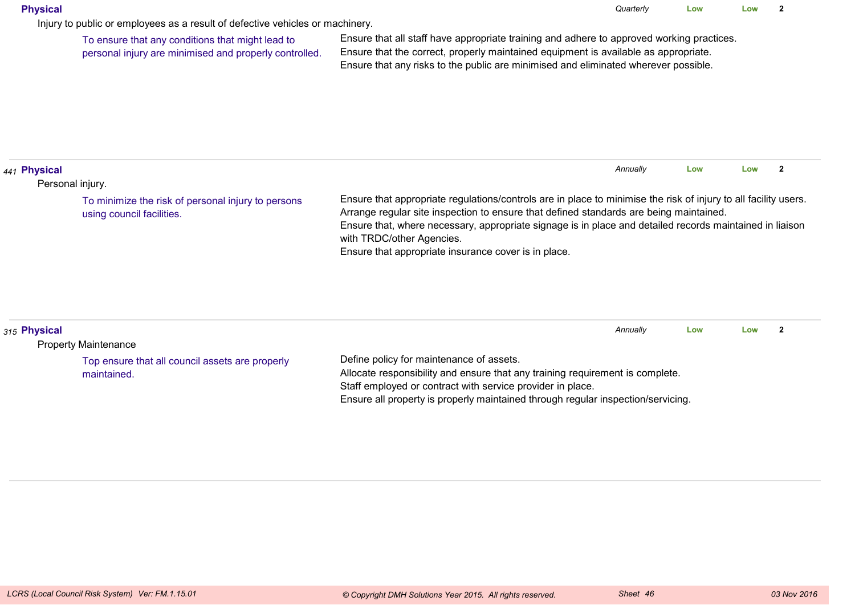#### **Physical**

Injury to public or employees as a result of defective vehicles or machinery.

To ensure that any conditions that might lead topersonal injury are minimised and properly controlled.

Ensure that all staff have appropriate training and adhere to approved working practices.Ensure that the correct, properly maintained equipment is available as appropriate.Ensure that any risks to the public are minimised and eliminated wherever possible.

| 1 <sub>441</sub> Physical                                                       |                                                                                                                                                                                                                                                                                                                                                                                                            | Annually | Low | Low |  |
|---------------------------------------------------------------------------------|------------------------------------------------------------------------------------------------------------------------------------------------------------------------------------------------------------------------------------------------------------------------------------------------------------------------------------------------------------------------------------------------------------|----------|-----|-----|--|
| Personal injury.                                                                |                                                                                                                                                                                                                                                                                                                                                                                                            |          |     |     |  |
| To minimize the risk of personal injury to persons<br>using council facilities. | Ensure that appropriate regulations/controls are in place to minimise the risk of injury to all facility users.<br>Arrange regular site inspection to ensure that defined standards are being maintained.<br>Ensure that, where necessary, appropriate signage is in place and detailed records maintained in liaison<br>with TRDC/other Agencies.<br>Ensure that appropriate insurance cover is in place. |          |     |     |  |

| 315 Physical                                    |                                                                                  | Annually | Low | LOW |  |
|-------------------------------------------------|----------------------------------------------------------------------------------|----------|-----|-----|--|
| <b>Property Maintenance</b>                     |                                                                                  |          |     |     |  |
| Top ensure that all council assets are properly | Define policy for maintenance of assets.                                         |          |     |     |  |
| maintained.                                     | Allocate responsibility and ensure that any training requirement is complete.    |          |     |     |  |
|                                                 | Staff employed or contract with service provider in place.                       |          |     |     |  |
|                                                 | Ensure all property is properly maintained through regular inspection/servicing. |          |     |     |  |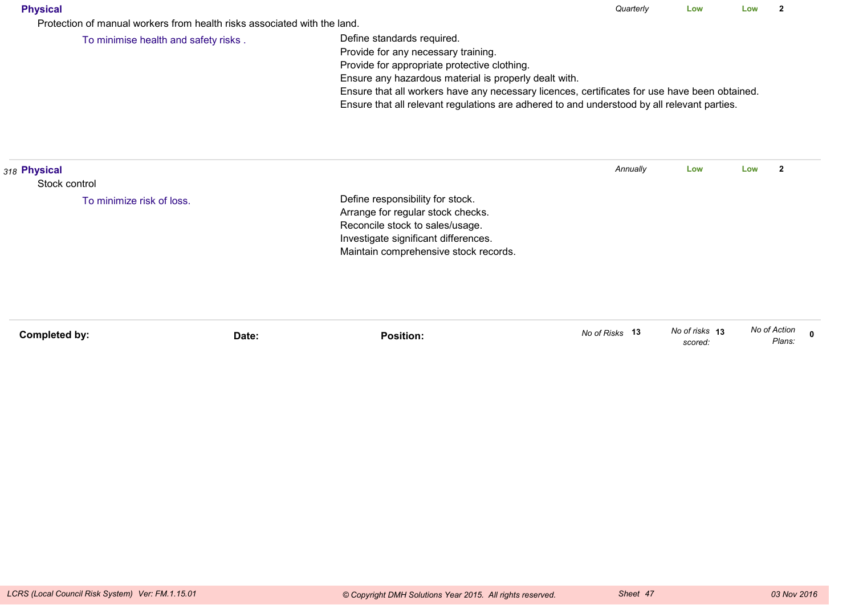| Physical |
|----------|
|----------|

Protection of manual workers from health risks associated with the land.

To minimise health and safety risks .

Define standards required.

Provide for any necessary training.

Provide for appropriate protective clothing.

Ensure any hazardous material is properly dealt with.

Ensure that all workers have any necessary licences, certificates for use have been obtained.

Ensure that all relevant regulations are adhered to and understood by all relevant parties.

| 318 Physical              |       |                                                                                                                                                                                           | Annually       | Low                       | Low<br>2               |  |
|---------------------------|-------|-------------------------------------------------------------------------------------------------------------------------------------------------------------------------------------------|----------------|---------------------------|------------------------|--|
| Stock control             |       |                                                                                                                                                                                           |                |                           |                        |  |
| To minimize risk of loss. |       | Define responsibility for stock.<br>Arrange for regular stock checks.<br>Reconcile stock to sales/usage.<br>Investigate significant differences.<br>Maintain comprehensive stock records. |                |                           |                        |  |
| Completed by:             | Date: | <b>Position:</b>                                                                                                                                                                          | No of Risks 13 | No of risks 13<br>scored: | No of Action<br>Plans: |  |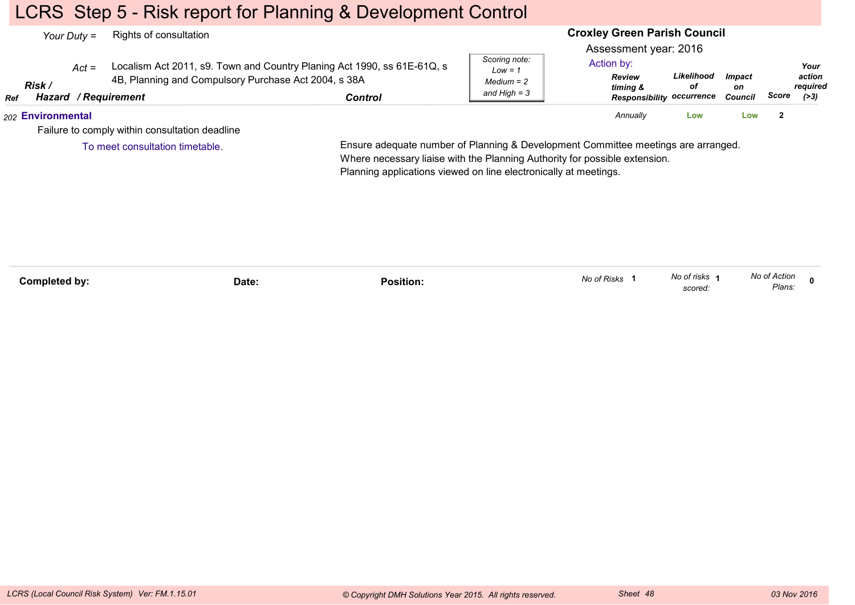## LCRS Step 5 - Risk report for Planning & Development Control

|            | Your Duty $=$     |         | Rights of consultation                                                              |                                                                                    |                                                              | <b>Croxley Green Parish Council</b>                                                                  |                  |                                       |       |                                      |
|------------|-------------------|---------|-------------------------------------------------------------------------------------|------------------------------------------------------------------------------------|--------------------------------------------------------------|------------------------------------------------------------------------------------------------------|------------------|---------------------------------------|-------|--------------------------------------|
| <b>Ref</b> | Risk /            | $Act =$ | 4B, Planning and Compulsory Purchase Act 2004, s 38A<br><b>Hazard / Requirement</b> | Localism Act 2011, s9. Town and Country Planing Act 1990, ss 61E-61Q, s<br>Control | Scoring note:<br>$Low = 1$<br>$Median = 2$<br>and High $=$ 3 | Assessment year: 2016<br>Action by:<br><b>Review</b><br>timing &<br><b>Responsibility occurrence</b> | Likelihood<br>οf | <i><b>Impact</b></i><br>on<br>Council | Score | Your<br>action<br>required<br>( > 3) |
|            | 202 Environmental |         |                                                                                     |                                                                                    |                                                              | Annually                                                                                             | Low              | Low                                   |       |                                      |
|            |                   |         | Failure to comply within consultation deadline                                      |                                                                                    |                                                              |                                                                                                      |                  |                                       |       |                                      |
|            |                   |         | To meet consultation timetable.                                                     | Ensure adequate number of Planning & Development Committee meetings are arranged.  |                                                              |                                                                                                      |                  |                                       |       |                                      |

Ensure adequate number of Planning & Development Committee meetings are arranged.Where necessary liaise with the Planning Authority for possible extension.Planning applications viewed on line electronically at meetings.

| Completed by: | Date: | .<br>Position: | No of Risks | No of risks<br>scored: | No of Action<br>Plans:<br>$\sim$ $\sim$ |  |
|---------------|-------|----------------|-------------|------------------------|-----------------------------------------|--|
|               |       |                |             |                        |                                         |  |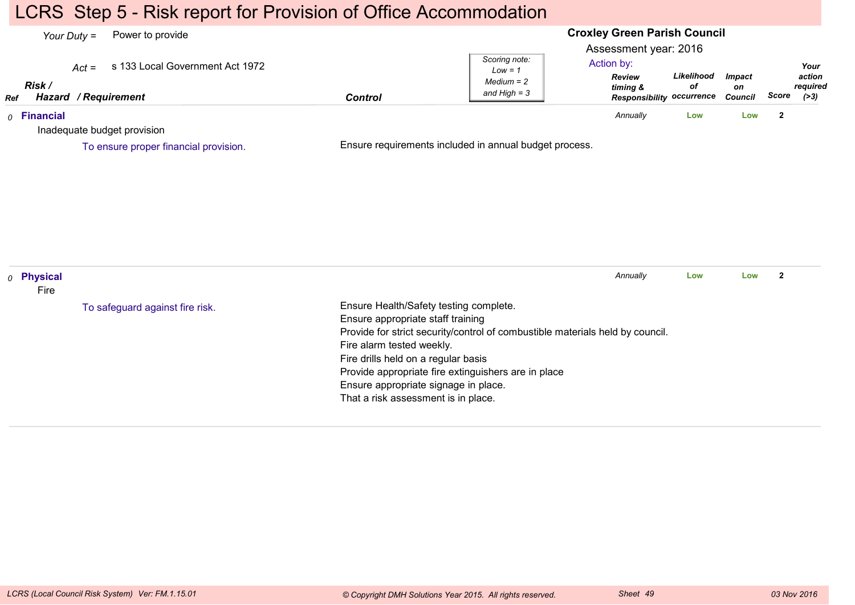## LCRS Step 5 - Risk report for Provision of Office Accommodation

#### **Croxley Green Parish Council**Assessment year: 2016*Your Duty =* Power to provide *Act =* s 133 Local Government Act 1972 *RefRisk / Hazard Control / RequirementReview timing & Responsibility occurrenceLikelihoodofImpacton Council ScoreScoring note:Low = 1 Medium = 2 and High = 3Your action required(>3)*Action by:*0* **Financial** Inadequate budget provisionEnsure requirements included in annual budget process.*Annually* **Low Low <sup>2</sup>** To ensure proper financial provision.*0* **Physical** FireEnsure Health/Safety testing complete.Ensure appropriate staff training Provide for strict security/control of combustible materials held by council.Fire alarm tested weekly.Fire drills held on a regular basis Provide appropriate fire extinguishers are in placeEnsure appropriate signage in place.That a risk assessment is in place.*Annually* **Low Low <sup>2</sup>** To safeguard against fire risk.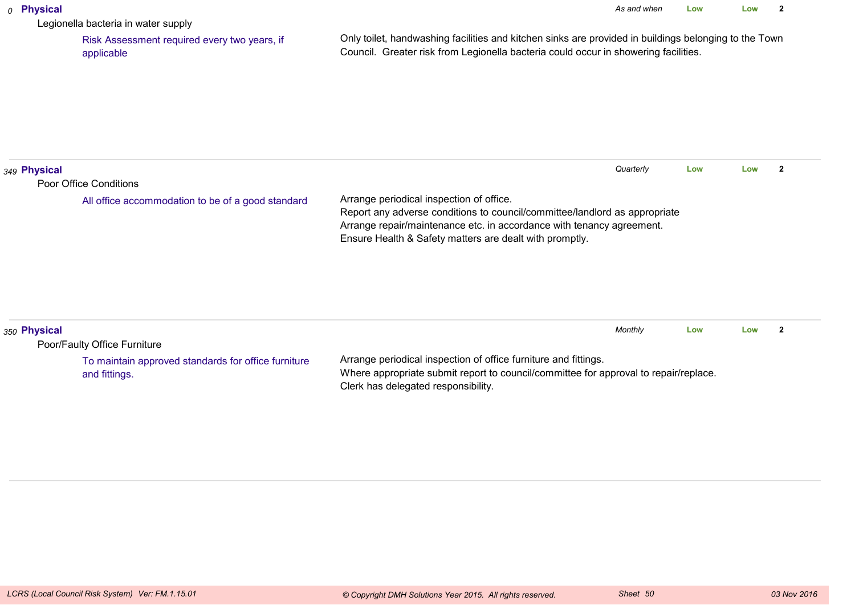#### *0* **Physical**

Legionella bacteria in water supply

 Risk Assessment required every two years, ifapplicable

Only toilet, handwashing facilities and kitchen sinks are provided in buildings belonging to the TownCouncil. Greater risk from Legionella bacteria could occur in showering facilities.

| 349 Physical |                                                                             | Quarterly                                                                                                                                                                                                                                                  | Low | Low |  |
|--------------|-----------------------------------------------------------------------------|------------------------------------------------------------------------------------------------------------------------------------------------------------------------------------------------------------------------------------------------------------|-----|-----|--|
|              | Poor Office Conditions<br>All office accommodation to be of a good standard | Arrange periodical inspection of office.<br>Report any adverse conditions to council/committee/landlord as appropriate<br>Arrange repair/maintenance etc. in accordance with tenancy agreement.<br>Ensure Health & Safety matters are dealt with promptly. |     |     |  |
| 350 Physical | Poor/Faulty Office Furniture                                                | Monthly                                                                                                                                                                                                                                                    | Low | Low |  |
|              | To maintain approved standards for office furniture<br>and fittings.        | Arrange periodical inspection of office furniture and fittings.<br>Where appropriate submit report to council/committee for approval to repair/replace.                                                                                                    |     |     |  |

Clerk has delegated responsibility.

and fittings.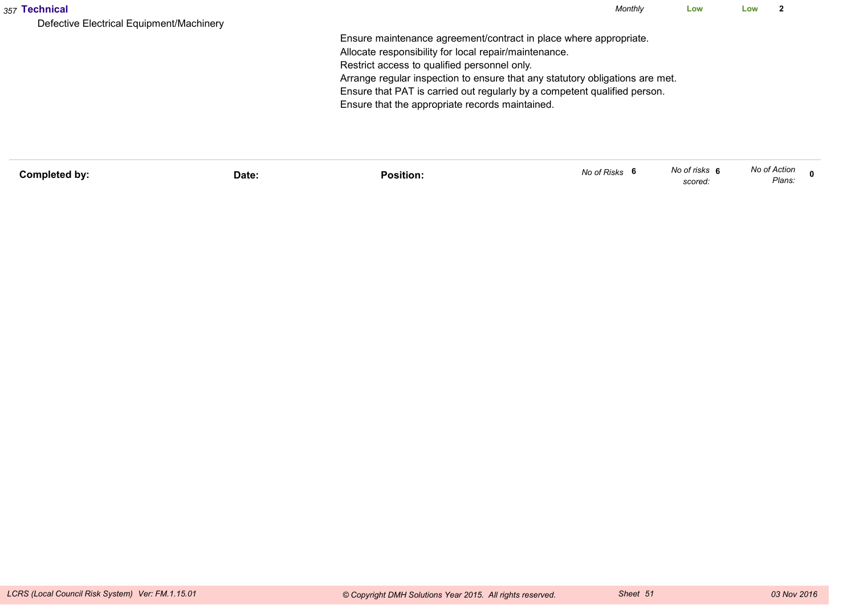| 357 Technical                                                                                         | Monthly | Low | Low | ົ |
|-------------------------------------------------------------------------------------------------------|---------|-----|-----|---|
| Defective Electrical Equipment/Machinery                                                              |         |     |     |   |
| Ensure maintenance agreement/contract in place where appropriate.                                     |         |     |     |   |
| Allocate responsibility for local repair/maintenance.<br>Restrict access to qualified personnel only. |         |     |     |   |
| Arrange regular inspection to ensure that any statutory obligations are met.                          |         |     |     |   |
| Ensure that PAT is carried out regularly by a competent qualified person.                             |         |     |     |   |
| Ensure that the appropriate records maintained.                                                       |         |     |     |   |
|                                                                                                       |         |     |     |   |
|                                                                                                       |         |     |     |   |
|                                                                                                       |         |     |     |   |

| Completed by: | Date: | Position: | No of Risks | No of risks 6<br>scored: | No of Action<br>Plans: |  |
|---------------|-------|-----------|-------------|--------------------------|------------------------|--|
|               |       |           |             |                          |                        |  |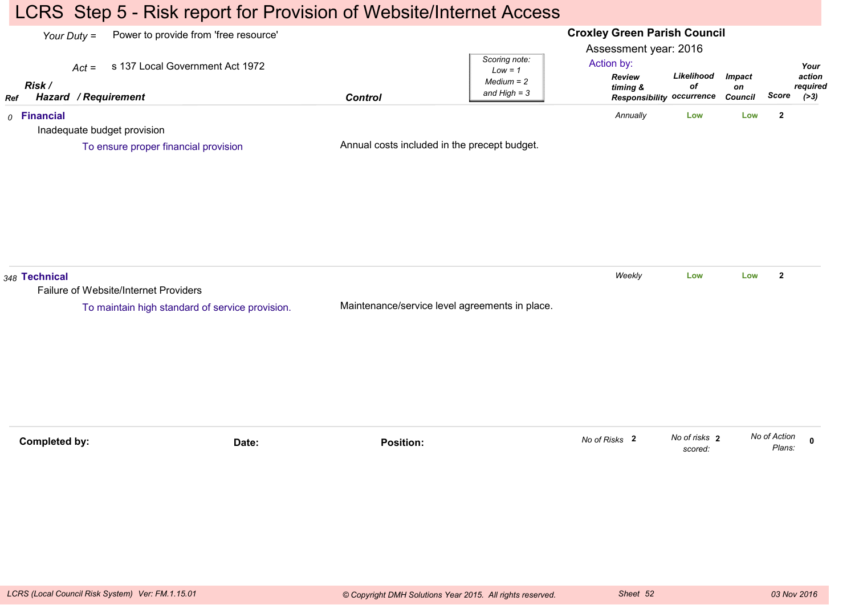## LCRS Step 5 - Risk report for Provision of Website/Internet Access

#### **Croxley Green Parish Council**Assessment year: 2016*Your Duty =* Power to provide from 'free resource' *Act =* s 137 Local Government Act 1972 *RefRisk / Hazard Control / RequirementReview timing & Responsibility occurrenceLikelihoodofImpacton Council ScoreScoring note:Low = 1 Medium = 2 and High = 3Your action required(>3)*Action by:*0* **Financial** Inadequate budget provisionAnnual costs included in the precept budget.*Annually* **Low Low <sup>2</sup>** To ensure proper financial provision*348* **Technical** Failure of Website/Internet ProvidersMaintenance/service level agreements in place.*Weekly* **Low Low <sup>2</sup>** To maintain high standard of service provision.**Completed by: Date: Position: <sup>0</sup>** *No of risks scored:***2** *No of Action Plans:No of Risks* **<sup>2</sup>**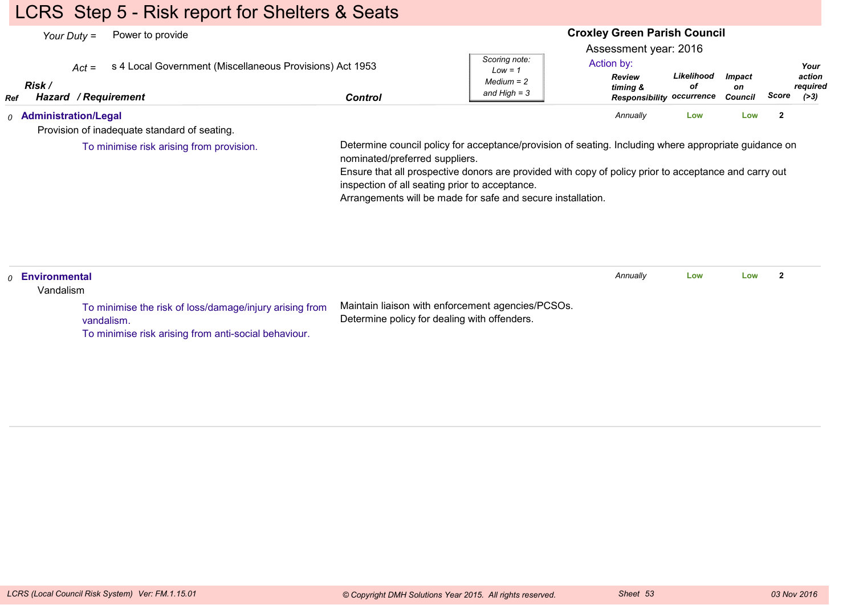## LCRS Step 5 - Risk report for Shelters & Seats

| Power to provide<br>Your Duty $=$                                                                                   |                                                                                                                                                                                                                                                          |                                                              | <b>Croxley Green Parish Council</b>                                                                  |                  |                                       |              |                                      |
|---------------------------------------------------------------------------------------------------------------------|----------------------------------------------------------------------------------------------------------------------------------------------------------------------------------------------------------------------------------------------------------|--------------------------------------------------------------|------------------------------------------------------------------------------------------------------|------------------|---------------------------------------|--------------|--------------------------------------|
| s 4 Local Government (Miscellaneous Provisions) Act 1953<br>$Act =$<br>Risk /<br><b>Hazard / Requirement</b><br>Ref | <b>Control</b>                                                                                                                                                                                                                                           | Scoring note:<br>$Low = 1$<br>$Median = 2$<br>and High $=$ 3 | Assessment year: 2016<br>Action by:<br><b>Review</b><br>timing &<br><b>Responsibility occurrence</b> | Likelihood<br>оf | <i><b>Impact</b></i><br>on<br>Council | Score        | Your<br>action<br>required<br>( > 3) |
| $0$ Administration/Legal                                                                                            |                                                                                                                                                                                                                                                          |                                                              | Annually                                                                                             | Low              | Low                                   | $\mathbf{2}$ |                                      |
| Provision of inadequate standard of seating.                                                                        |                                                                                                                                                                                                                                                          |                                                              |                                                                                                      |                  |                                       |              |                                      |
|                                                                                                                     | nominated/preferred suppliers.<br>Ensure that all prospective donors are provided with copy of policy prior to acceptance and carry out<br>inspection of all seating prior to acceptance.<br>Arrangements will be made for safe and secure installation. |                                                              |                                                                                                      |                  |                                       |              |                                      |
| Environmental<br>$\Omega$<br>Vandalism                                                                              |                                                                                                                                                                                                                                                          |                                                              | Annually                                                                                             | Low              | Low                                   | $\mathbf{2}$ |                                      |
| To minimise the risk of loss/damage/injury arising from<br>vandalism.                                               | Maintain liaison with enforcement agencies/PCSOs.<br>Determine policy for dealing with offenders.                                                                                                                                                        |                                                              |                                                                                                      |                  |                                       |              |                                      |

To minimise risk arising from anti-social behaviour.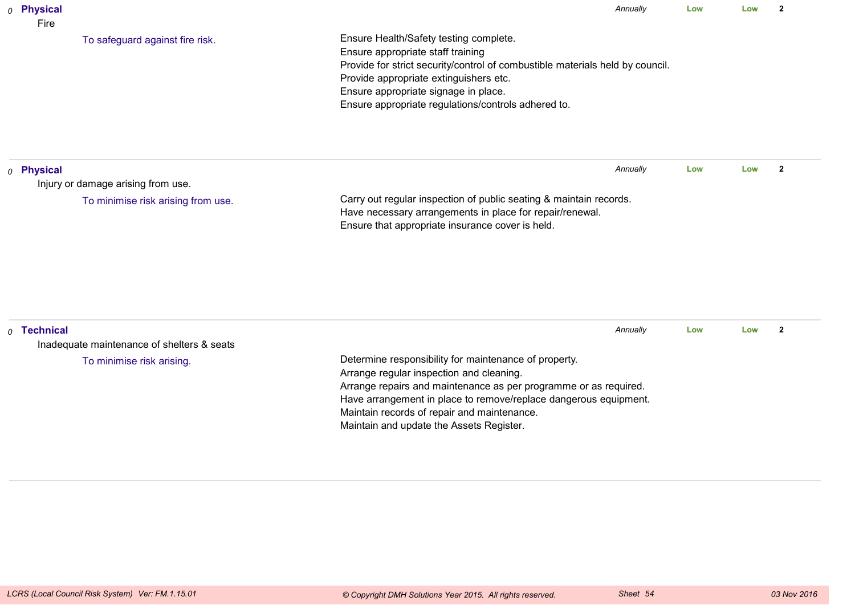| 0 Physical<br>Fire |                                            | Annually                                                                                                                                                                                                                                                                                              | Low | Low | $\overline{2}$ |  |
|--------------------|--------------------------------------------|-------------------------------------------------------------------------------------------------------------------------------------------------------------------------------------------------------------------------------------------------------------------------------------------------------|-----|-----|----------------|--|
|                    | To safeguard against fire risk.            | Ensure Health/Safety testing complete.<br>Ensure appropriate staff training<br>Provide for strict security/control of combustible materials held by council.<br>Provide appropriate extinguishers etc.<br>Ensure appropriate signage in place.<br>Ensure appropriate regulations/controls adhered to. |     |     |                |  |
| $o$ Physical       |                                            | Annually                                                                                                                                                                                                                                                                                              | Low | Low | $\mathbf{2}$   |  |
|                    | Injury or damage arising from use.         |                                                                                                                                                                                                                                                                                                       |     |     |                |  |
|                    | To minimise risk arising from use.         | Carry out regular inspection of public seating & maintain records.<br>Have necessary arrangements in place for repair/renewal.<br>Ensure that appropriate insurance cover is held.                                                                                                                    |     |     |                |  |
| $0$ Technical      | Inadequate maintenance of shelters & seats | Annually                                                                                                                                                                                                                                                                                              | Low | Low | $\overline{2}$ |  |
|                    | To minimise risk arising.                  | Determine responsibility for maintenance of property.<br>Arrange regular inspection and cleaning.<br>Arrange repairs and maintenance as per programme or as required.                                                                                                                                 |     |     |                |  |

Maintain records of repair and maintenance.Maintain and update the Assets Register.

Have arrangement in place to remove/replace dangerous equipment.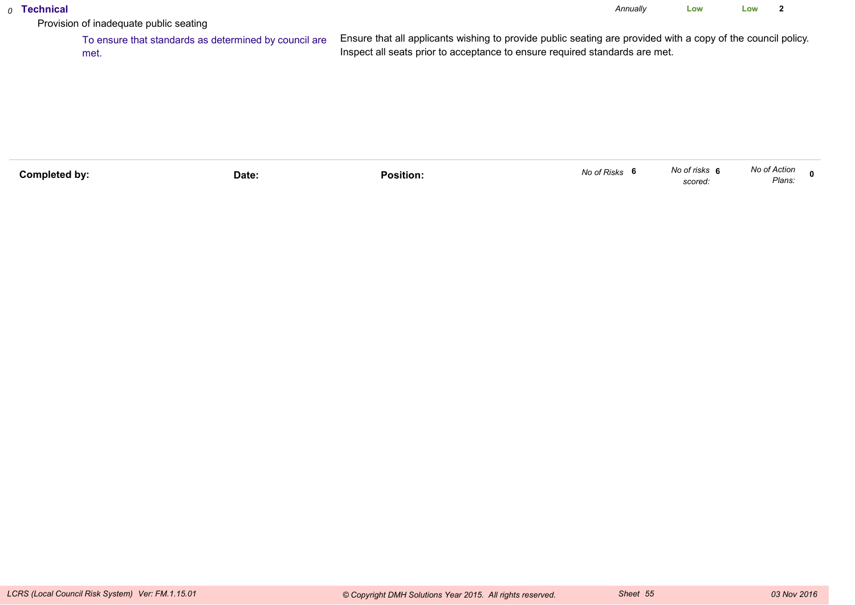## *0* **Technical**

*Annually* **LowLow <sup>2</sup>**

Provision of inadequate public seating

 To ensure that standards as determined by council areEnsure that all applicants wishing to provide public seating are provided with a copy of the council policy.Inspect all seats prior to acceptance to ensure required standards are met.met.

| Completed by: | Date: | .<br>Position: | No of Risks | No of risks<br>scored. | No of Action<br>Plans. |  |
|---------------|-------|----------------|-------------|------------------------|------------------------|--|
|               |       |                |             |                        |                        |  |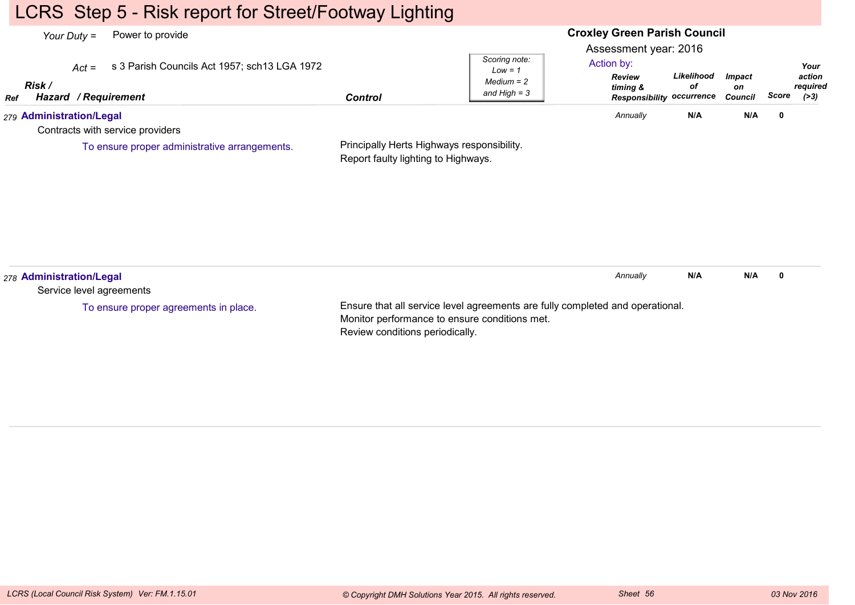## LCRS Step 5 - Risk report for Street/Footway Lighting

#### **Croxley Green Parish Council**Assessment year: 2016*Your Duty =* Power to provide *Act =* s 3 Parish Councils Act 1957; sch13 LGA 1972 *RefRisk / Hazard Control / RequirementReview timing & Responsibility occurrenceLikelihoodofImpacton Council ScoreScoring note:Low = 1 Medium = 2 and High = 3Your action required(>3)*Action by:*279* **Administration/Legal** Contracts with service providersPrincipally Herts Highways responsibility.Report faulty lighting to Highways.*Annually* **N/A N/A <sup>0</sup>** To ensure proper administrative arrangements.*278* **Administration/Legal** Service level agreementsEnsure that all service level agreements are fully completed and operational.Monitor performance to ensure conditions met.*Annually* **N/A N/A <sup>0</sup>** To ensure proper agreements in place.

Review conditions periodically.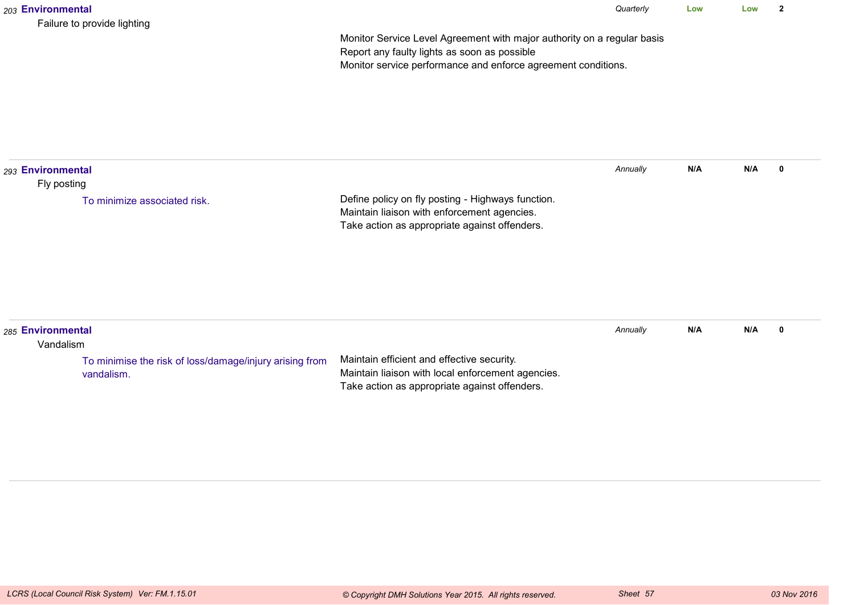| 203 Environmental                | Failure to provide lighting                                           |                                                                                                                                                                                          | Quarterly | Low | Low | $\mathbf{2}$ |
|----------------------------------|-----------------------------------------------------------------------|------------------------------------------------------------------------------------------------------------------------------------------------------------------------------------------|-----------|-----|-----|--------------|
|                                  |                                                                       | Monitor Service Level Agreement with major authority on a regular basis<br>Report any faulty lights as soon as possible<br>Monitor service performance and enforce agreement conditions. |           |     |     |              |
| 293 Environmental<br>Fly posting |                                                                       |                                                                                                                                                                                          | Annually  | N/A | N/A | $\mathbf 0$  |
|                                  | To minimize associated risk.                                          | Define policy on fly posting - Highways function.<br>Maintain liaison with enforcement agencies.<br>Take action as appropriate against offenders.                                        |           |     |     |              |
| 285 Environmental<br>Vandalism   |                                                                       |                                                                                                                                                                                          | Annually  | N/A | N/A | $\mathbf 0$  |
|                                  | To minimise the risk of loss/damage/injury arising from<br>vandalism. | Maintain efficient and effective security.<br>Maintain liaison with local enforcement agencies.<br>Take action as appropriate against offenders.                                         |           |     |     |              |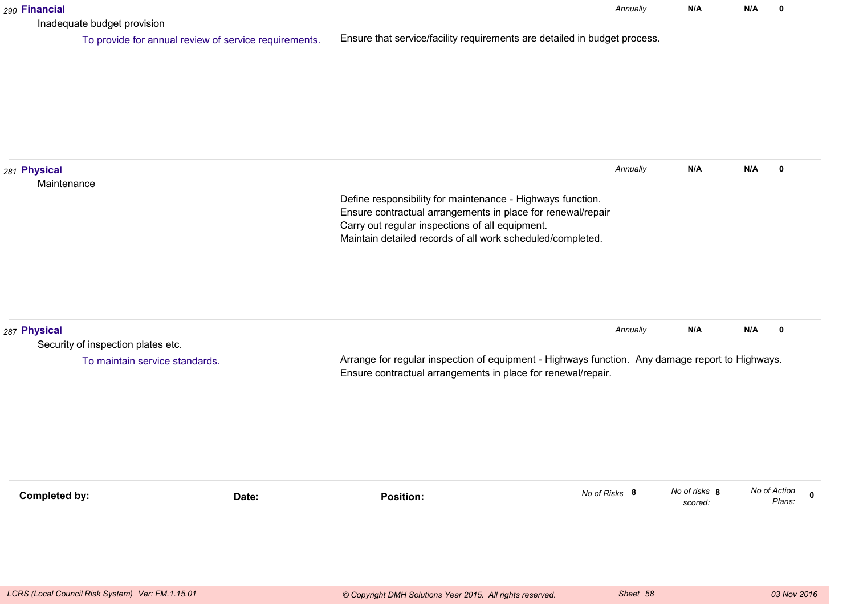| 290 Financial                                                                        |                                                                                                                                                                                                                                            | Annually      | N/A                      | N/A | 0                                     |
|--------------------------------------------------------------------------------------|--------------------------------------------------------------------------------------------------------------------------------------------------------------------------------------------------------------------------------------------|---------------|--------------------------|-----|---------------------------------------|
| Inadequate budget provision<br>To provide for annual review of service requirements. | Ensure that service/facility requirements are detailed in budget process.                                                                                                                                                                  |               |                          |     |                                       |
| 281 Physical<br>Maintenance                                                          | Define responsibility for maintenance - Highways function.<br>Ensure contractual arrangements in place for renewal/repair<br>Carry out regular inspections of all equipment.<br>Maintain detailed records of all work scheduled/completed. | Annually      | N/A                      | N/A | 0                                     |
| 287 Physical<br>Security of inspection plates etc.<br>To maintain service standards. | Arrange for regular inspection of equipment - Highways function. Any damage report to Highways.<br>Ensure contractual arrangements in place for renewal/repair.                                                                            | Annually      | N/A                      | N/A | 0                                     |
| <b>Completed by:</b><br>Date:                                                        | <b>Position:</b>                                                                                                                                                                                                                           | No of Risks 8 | No of risks 8<br>scored: |     | No of Action<br>$\mathbf 0$<br>Plans: |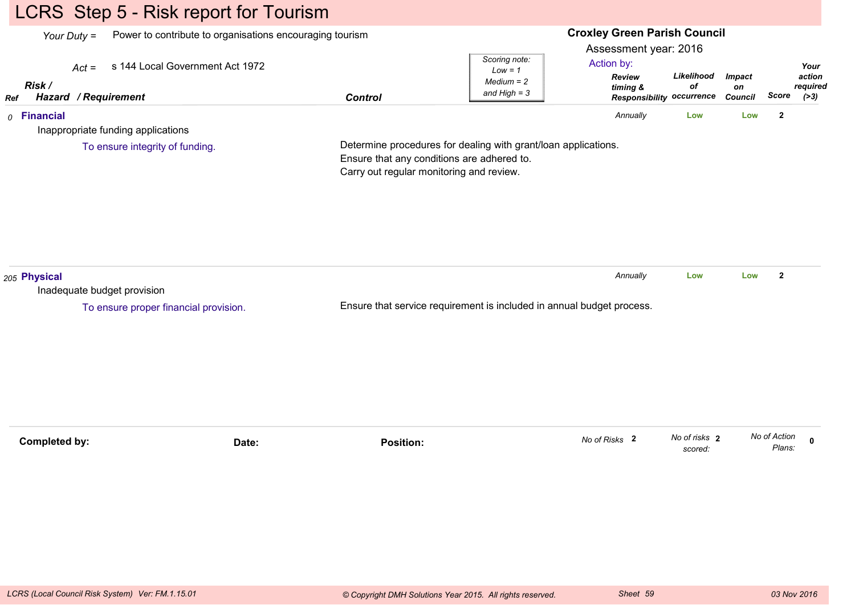# LCRS Step 5 - Risk report for Tourism

| Power to contribute to organisations encouraging tourism<br>Your Duty $=$ |                                       |                                          |                                                                                                              | <b>Croxley Green Parish Council</b>                              |                          |                     |                        |                            |
|---------------------------------------------------------------------------|---------------------------------------|------------------------------------------|--------------------------------------------------------------------------------------------------------------|------------------------------------------------------------------|--------------------------|---------------------|------------------------|----------------------------|
| $Act =$<br>Risk /                                                         | s 144 Local Government Act 1972       |                                          | Scoring note:<br>$Low = 1$<br>$Median = 2$<br>and $High = 3$                                                 | Assessment year: 2016<br>Action by:<br><b>Review</b><br>timing & | Likelihood<br>of         | <b>Impact</b><br>on |                        | Your<br>action<br>required |
| Hazard / Requirement<br><b>Ref</b><br>$0$ Financial                       |                                       | <b>Control</b>                           |                                                                                                              | Responsibility occurrence<br>Annually                            | Low                      | Council<br>Low      | Score<br>$\mathbf{2}$  | ( >3)                      |
| Inappropriate funding applications                                        |                                       |                                          |                                                                                                              |                                                                  |                          |                     |                        |                            |
|                                                                           | To ensure integrity of funding.       | Carry out regular monitoring and review. | Determine procedures for dealing with grant/loan applications.<br>Ensure that any conditions are adhered to. |                                                                  |                          |                     |                        |                            |
| 205 Physical<br>Inadequate budget provision                               |                                       |                                          |                                                                                                              | Annually                                                         | Low                      | Low                 | $\mathbf{2}$           |                            |
|                                                                           | To ensure proper financial provision. |                                          | Ensure that service requirement is included in annual budget process.                                        |                                                                  |                          |                     |                        |                            |
|                                                                           |                                       |                                          |                                                                                                              |                                                                  |                          |                     |                        |                            |
| <b>Completed by:</b>                                                      | Date:                                 | <b>Position:</b>                         |                                                                                                              | No of Risks 2                                                    | No of risks 2<br>scored: |                     | No of Action<br>Plans: | $\Omega$                   |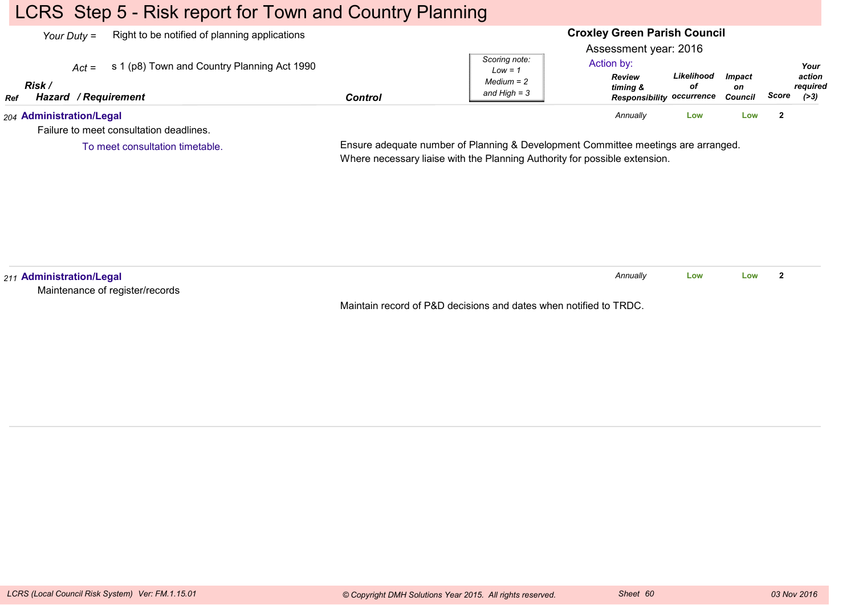## LCRS Step 5 - Risk report for Town and Country Planning

To meet consultation timetable.

| Right to be notified of planning applications<br>Your Duty =        |         |                                             | <b>Croxley Green Parish Council</b>                           |                  |                                |       |                              |
|---------------------------------------------------------------------|---------|---------------------------------------------|---------------------------------------------------------------|------------------|--------------------------------|-------|------------------------------|
| s 1 (p8) Town and Country Planning Act 1990<br>$Act =$              |         | Scoring note:                               | Assessment year: 2016<br>Action by:                           |                  |                                |       | Your                         |
| Risk<br>Hazard / Requirement<br><b>Ref</b>                          | Control | $Low = 1$<br>$Median = 2$<br>and High $=$ 3 | <b>Review</b><br>timing &<br><b>Responsibility occurrence</b> | Likelihood<br>οf | <b>Impact</b><br>on<br>Council | Score | action<br>reauired<br>( > 3) |
| 204 Administration/Legal<br>Failure to meet consultation deadlines. |         |                                             | Annually                                                      | Low              | Low                            |       |                              |

Ensure adequate number of Planning & Development Committee meetings are arranged.

Where necessary liaise with the Planning Authority for possible extension.

*211* **Administration/Legal** Maintenance of register/recordsMaintain record of P&D decisions and dates when notified to TRDC.*Annually* **LowLow <sup>2</sup>**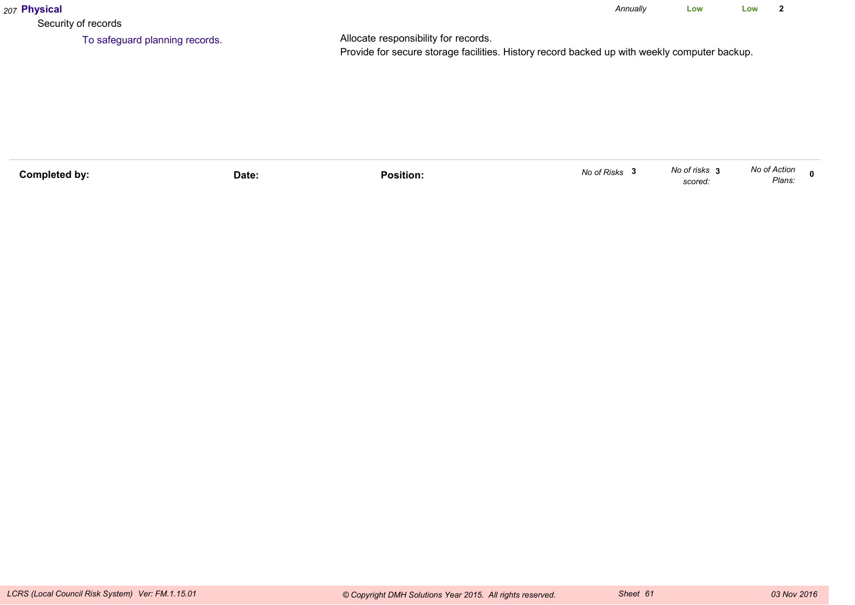| 207 Physical                   |                                                                                                                                      | Annually | Low | Low |  |
|--------------------------------|--------------------------------------------------------------------------------------------------------------------------------------|----------|-----|-----|--|
| Security of records            |                                                                                                                                      |          |     |     |  |
| To safeguard planning records. | Allocate responsibility for records.<br>Provide for secure storage facilities. History record backed up with weekly computer backup. |          |     |     |  |

| Completed bv: | Date: | .<br>Position. | No of Risks | No of risks<br>scored: | No of Action<br>Plans. |  |
|---------------|-------|----------------|-------------|------------------------|------------------------|--|
|               |       |                |             |                        |                        |  |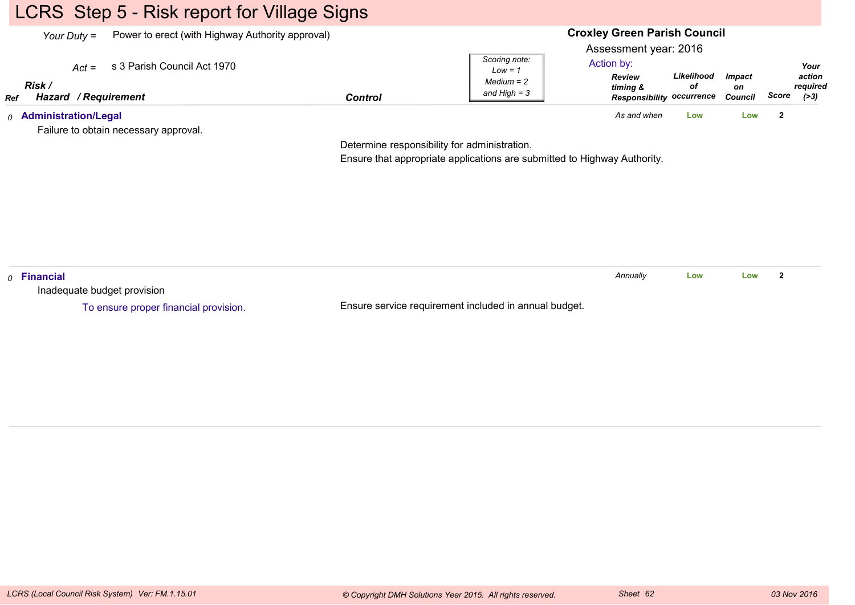# LCRS Step 5 - Risk report for Village Signs

| Power to erect (with Highway Authority approval)<br>Your Duty $=$ |                                       |                | <b>Croxley Green Parish Council</b>                          |                                                                                                      |                  |                                       |       |                                      |
|-------------------------------------------------------------------|---------------------------------------|----------------|--------------------------------------------------------------|------------------------------------------------------------------------------------------------------|------------------|---------------------------------------|-------|--------------------------------------|
| $Act =$<br>Risk<br>Hazard / Requirement<br>Ref                    | s 3 Parish Council Act 1970           | <b>Control</b> | Scoring note:<br>$Low = 1$<br>$Median = 2$<br>and High $=$ 3 | Assessment year: 2016<br>Action by:<br><b>Review</b><br>timing &<br><b>Responsibility occurrence</b> | Likelihood<br>οf | <i><b>Impact</b></i><br>on<br>Council | Score | Your<br>action<br>required<br>( > 3) |
| <sub>0</sub> Administration/Legal                                 | Failure to obtain necessary approval. |                |                                                              | As and when                                                                                          | Low              | Low                                   |       |                                      |

Determine responsibility for administration.

Ensure that appropriate applications are submitted to Highway Authority.

| $\rho$ Financial                      |                                                       | Annuallv | Low | Low |  |
|---------------------------------------|-------------------------------------------------------|----------|-----|-----|--|
| Inadequate budget provision           |                                                       |          |     |     |  |
| To ensure proper financial provision. | Ensure service requirement included in annual budget. |          |     |     |  |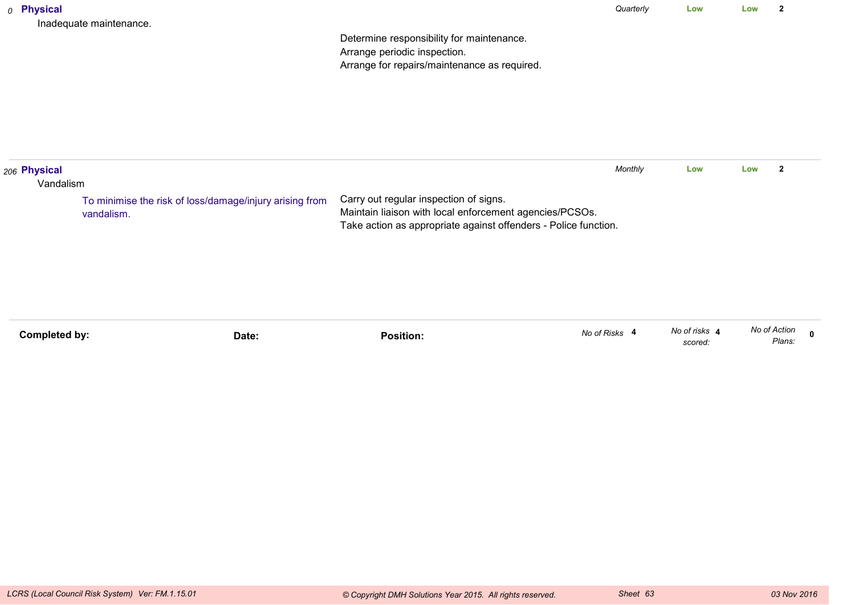|                                    | To minimise the risk of loss/damage/injury arising from<br>vandalism. | Carry out regular inspection of signs.<br>Maintain liaison with local enforcement agencies/PCSOs.<br>Take action as appropriate against offenders - Police function. |           |     |     |                |  |
|------------------------------------|-----------------------------------------------------------------------|----------------------------------------------------------------------------------------------------------------------------------------------------------------------|-----------|-----|-----|----------------|--|
| $_{\rm 206}$ Physical<br>Vandalism |                                                                       |                                                                                                                                                                      | Monthly   | Low | Low | $\overline{2}$ |  |
|                                    | Inadequate maintenance.                                               | Determine responsibility for maintenance.<br>Arrange periodic inspection.<br>Arrange for repairs/maintenance as required.                                            |           |     |     |                |  |
| 0 Physical                         |                                                                       |                                                                                                                                                                      | Quarterly | Low | Low | $\mathbf{2}$   |  |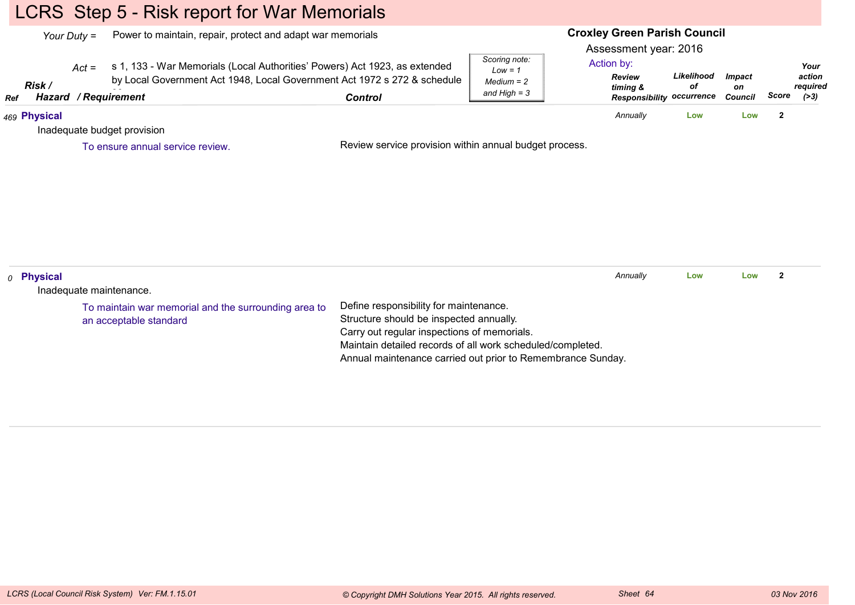# LCRS Step 5 - Risk report for War Memorials

|     | Your Duty $=$         | Power to maintain, repair, protect and adapt war memorials                                                                                                                                |                                                                                                                                                                                                |                                                              |                                                                                                      |                  | <b>Croxley Green Parish Council</b> |                         |                                      |
|-----|-----------------------|-------------------------------------------------------------------------------------------------------------------------------------------------------------------------------------------|------------------------------------------------------------------------------------------------------------------------------------------------------------------------------------------------|--------------------------------------------------------------|------------------------------------------------------------------------------------------------------|------------------|-------------------------------------|-------------------------|--------------------------------------|
| Ref | Risk /                | s 1, 133 - War Memorials (Local Authorities' Powers) Act 1923, as extended<br>$Act =$<br>by Local Government Act 1948, Local Government Act 1972 s 272 & schedule<br>Hazard / Requirement | <b>Control</b>                                                                                                                                                                                 | Scoring note:<br>$Low = 1$<br>$Median = 2$<br>and $High = 3$ | Assessment year: 2016<br>Action by:<br><b>Review</b><br>timing &<br><b>Responsibility occurrence</b> | Likelihood<br>οf | <b>Impact</b><br>on<br>Council      | Score                   | Your<br>action<br>required<br>( > 3) |
|     | 469 Physical          |                                                                                                                                                                                           |                                                                                                                                                                                                |                                                              | Annually                                                                                             | Low              | Low                                 | $\overline{\mathbf{2}}$ |                                      |
|     |                       | Inadequate budget provision                                                                                                                                                               |                                                                                                                                                                                                |                                                              |                                                                                                      |                  |                                     |                         |                                      |
|     |                       | To ensure annual service review.                                                                                                                                                          | Review service provision within annual budget process.                                                                                                                                         |                                                              |                                                                                                      |                  |                                     |                         |                                      |
|     |                       |                                                                                                                                                                                           |                                                                                                                                                                                                |                                                              |                                                                                                      |                  |                                     |                         |                                      |
|     | <sub>0</sub> Physical | Inadequate maintenance.                                                                                                                                                                   |                                                                                                                                                                                                |                                                              | Annually                                                                                             | Low              | Low                                 | $\overline{\mathbf{2}}$ |                                      |
|     |                       | To maintain war memorial and the surrounding area to<br>an acceptable standard                                                                                                            | Define responsibility for maintenance.<br>Structure should be inspected annually.<br>Carry out regular inspections of memorials.<br>Maintain detailed records of all work scheduled/completed. |                                                              |                                                                                                      |                  |                                     |                         |                                      |

Annual maintenance carried out prior to Remembrance Sunday.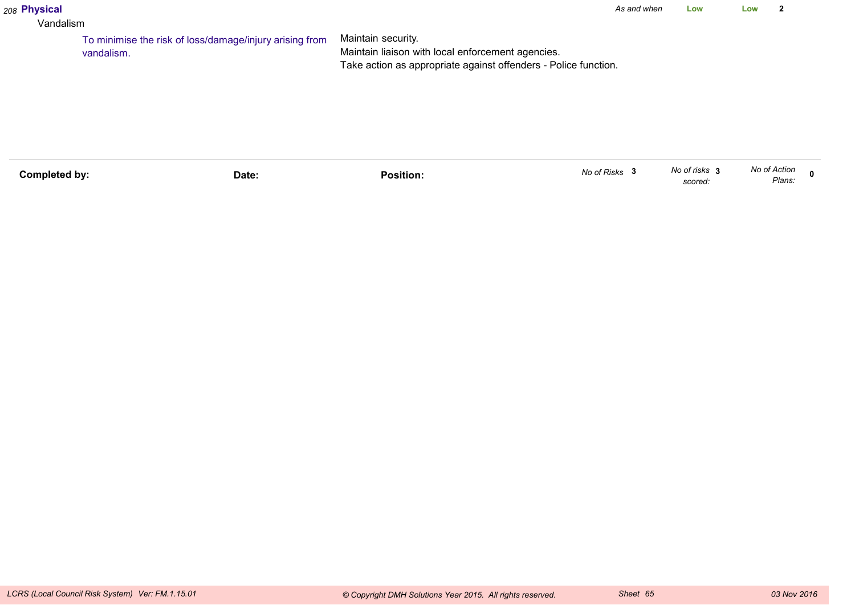## *208* **Physical**

#### Vandalism

Maintain security. Maintain liaison with local enforcement agencies. Take action as appropriate against offenders - Police function.To minimise the risk of loss/damage/injury arising fromvandalism.

| No of Risks<br>Completed by:<br>Position.<br>Date: | No of risks<br>scorea. | No of Action<br>n<br>Plans: |
|----------------------------------------------------|------------------------|-----------------------------|
|----------------------------------------------------|------------------------|-----------------------------|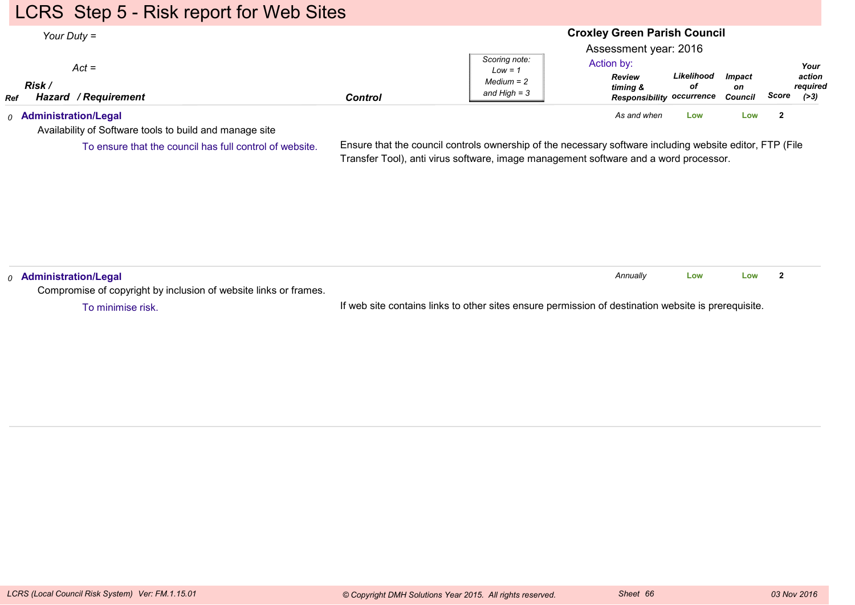## LCRS Step 5 - Risk report for Web Sites

| Your Duty $=$                                                | <b>Croxley Green Parish Council</b> |                                                              |                                                                                                      |                  |                                       |       |                                      |
|--------------------------------------------------------------|-------------------------------------|--------------------------------------------------------------|------------------------------------------------------------------------------------------------------|------------------|---------------------------------------|-------|--------------------------------------|
| $Act =$<br>Risk<br><b>Hazard / Requirement</b><br><b>Ref</b> | <b>Control</b>                      | Scoring note:<br>$Low = 1$<br>$Median = 2$<br>and High $=$ 3 | Assessment year: 2016<br>Action by:<br><b>Review</b><br>timing &<br><b>Responsibility occurrence</b> | Likelihood<br>οf | <i><b>Impact</b></i><br>on<br>Council | Score | Your<br>action<br>required<br>( > 3) |
| <sub>0</sub> Administration/Legal                            |                                     |                                                              | As and when                                                                                          | Low              | Low                                   |       |                                      |

Availability of Software tools to build and manage site

To ensure that the council has full control of website.

Ensure that the council controls ownership of the necessary software including website editor, FTP (FileTransfer Tool), anti virus software, image management software and a word processor.

| $_0$ Administration/Legal                                        |                                                                                                     | Annually | Low | Low |  |
|------------------------------------------------------------------|-----------------------------------------------------------------------------------------------------|----------|-----|-----|--|
| Compromise of copyright by inclusion of website links or frames. |                                                                                                     |          |     |     |  |
| To minimise risk.                                                | If web site contains links to other sites ensure permission of destination website is prerequisite. |          |     |     |  |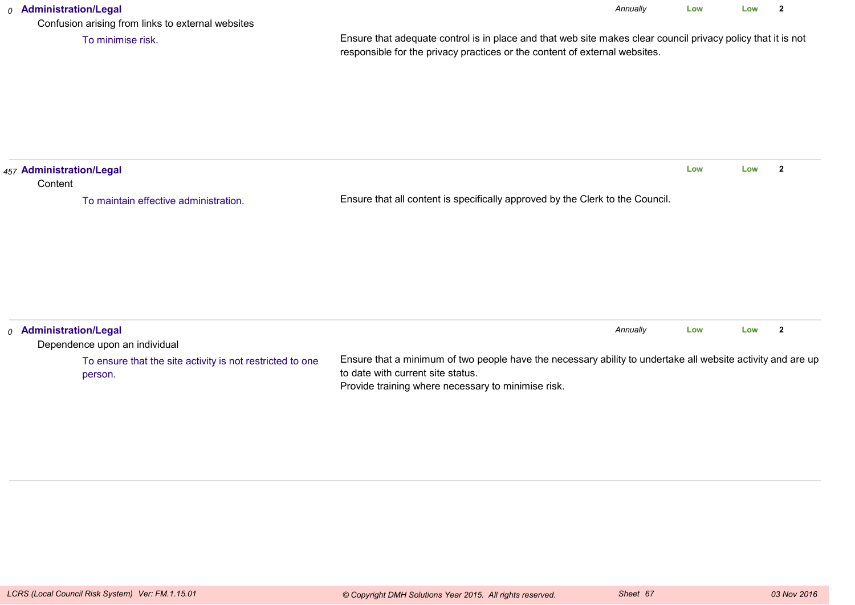## *0* **Administration/Legal** Confusion arising from links to external websitesEnsure that adequate control is in place and that web site makes clear council privacy policy that it is notresponsible for the privacy practices or the content of external websites.*Annually* **Low Low <sup>2</sup>** To minimise risk.*457* **Administration/Legal Content** Ensure that all content is specifically approved by the Clerk to the Council.**Low Low <sup>2</sup>** To maintain effective administration.*0* **Administration/Legal** Dependence upon an individual*Annually* **LowLow <sup>2</sup>**

| Ensure that a minimum of two people have the necessary ability to undertake all website activity and are up<br>to date with current site status.<br>Provide training where necessary to minimise risk. |
|--------------------------------------------------------------------------------------------------------------------------------------------------------------------------------------------------------|
|                                                                                                                                                                                                        |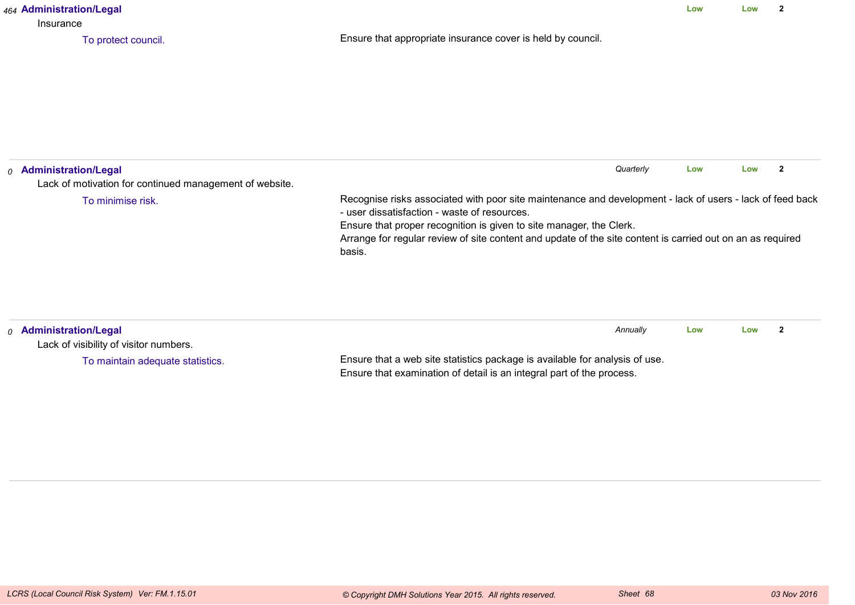| 464 Administration/Legal<br>Insurance                                                                             |                                                                                                                                                                                                                                               | Low | Low | $\mathbf{2}$   |
|-------------------------------------------------------------------------------------------------------------------|-----------------------------------------------------------------------------------------------------------------------------------------------------------------------------------------------------------------------------------------------|-----|-----|----------------|
| To protect council.                                                                                               | Ensure that appropriate insurance cover is held by council.                                                                                                                                                                                   |     |     |                |
| <sub>0</sub> Administration/Legal<br>Lack of motivation for continued management of website.<br>To minimise risk. | Quarterly<br>Recognise risks associated with poor site maintenance and development - lack of users - lack of feed back<br>- user dissatisfaction - waste of resources.<br>Ensure that proper recognition is given to site manager, the Clerk. | Low | Low | $\overline{2}$ |
|                                                                                                                   | Arrange for regular review of site content and update of the site content is carried out on an as required<br>basis.                                                                                                                          |     |     |                |
| 0 Administration/Legal<br>Lack of visibility of visitor numbers.                                                  | Annually                                                                                                                                                                                                                                      | Low | Low | $\mathbf{2}$   |
| To maintain adequate statistics.                                                                                  | Ensure that a web site statistics package is available for analysis of use.<br>Ensure that examination of detail is an integral part of the process.                                                                                          |     |     |                |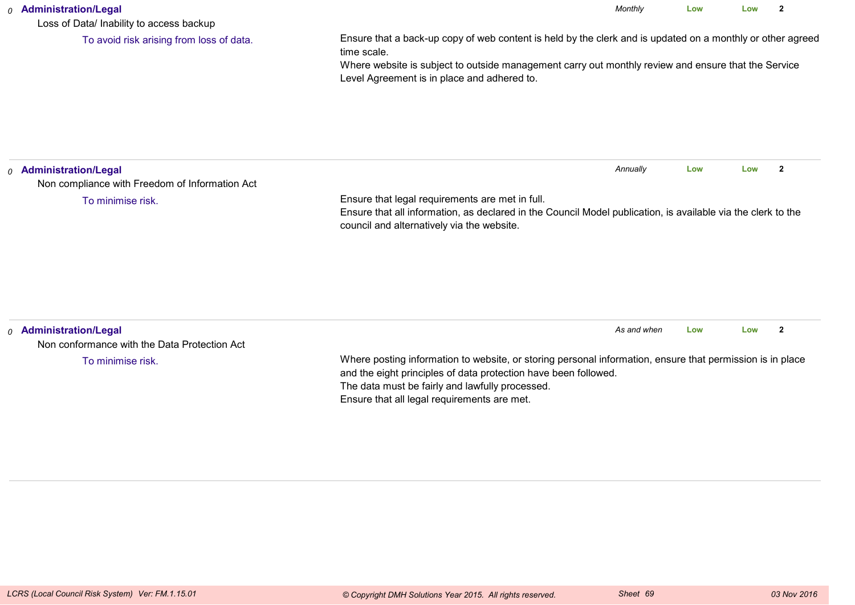### *0* **Administration/Legal**

Loss of Data/ Inability to access backup

To avoid risk arising from loss of data.

Ensure that a back-up copy of web content is held by the clerk and is updated on a monthly or other agreedtime scale.

*Monthly*

**Low**

**Low <sup>2</sup>**

 Where website is subject to outside management carry out monthly review and ensure that the ServiceLevel Agreement is in place and adhered to.

| <sub>0</sub> Administration/Legal<br>Non compliance with Freedom of Information Act |                                                                                                                                                                                                                                                                                | Annually    | Low | Low |              |
|-------------------------------------------------------------------------------------|--------------------------------------------------------------------------------------------------------------------------------------------------------------------------------------------------------------------------------------------------------------------------------|-------------|-----|-----|--------------|
| To minimise risk.                                                                   | Ensure that legal requirements are met in full.<br>Ensure that all information, as declared in the Council Model publication, is available via the clerk to the<br>council and alternatively via the website.                                                                  |             |     |     |              |
|                                                                                     |                                                                                                                                                                                                                                                                                |             |     |     |              |
| <sub>0</sub> Administration/Legal<br>Non conformance with the Data Protection Act   |                                                                                                                                                                                                                                                                                | As and when | Low | Low | $\mathbf{2}$ |
| To minimise risk.                                                                   | Where posting information to website, or storing personal information, ensure that permission is in place<br>and the eight principles of data protection have been followed.<br>The data must be fairly and lawfully processed.<br>Ensure that all legal requirements are met. |             |     |     |              |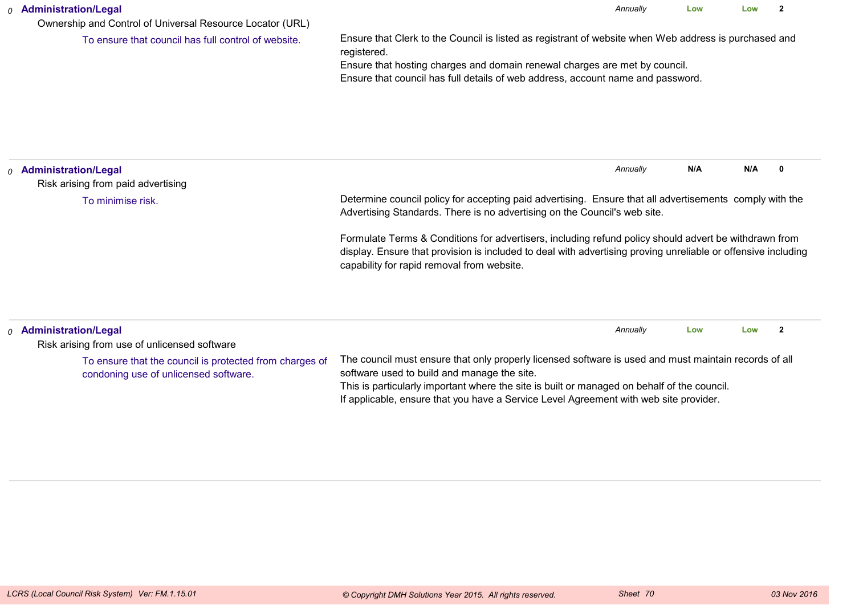| <b>Administration/Legal</b><br>0<br>Ownership and Control of Universal Resource Locator (URL) |                                                                                                                                                                                                                                                                                       | Annually | Low                      | Low  | 2 |
|-----------------------------------------------------------------------------------------------|---------------------------------------------------------------------------------------------------------------------------------------------------------------------------------------------------------------------------------------------------------------------------------------|----------|--------------------------|------|---|
| To ensure that council has full control of website.                                           | Ensure that Clerk to the Council is listed as registrant of website when Web address is purchased and<br>registered.<br>Ensure that hosting charges and domain renewal charges are met by council.<br>Ensure that council has full details of web address, account name and password. |          |                          |      |   |
| <b>Administration/Legal</b><br>$\Omega$<br>Risk arising from paid advertising                 |                                                                                                                                                                                                                                                                                       | Annually | N/A                      | N/A  |   |
| To minimise risk.                                                                             | Determine council policy for accepting paid advertising. Ensure that all advertisements comply with the<br>Advertising Standards. There is no advertising on the Council's web site.                                                                                                  |          |                          |      |   |
|                                                                                               | Formulate Terms & Conditions for advertisers, including refund policy should advert be withdrawn from<br>display. Ensure that provision is included to deal with advertising proving unreliable or offensive including<br>capability for rapid removal from website.                  |          |                          |      |   |
| Adminictration/Logal                                                                          |                                                                                                                                                                                                                                                                                       | Annually | $\overline{\phantom{a}}$ | l ow |   |

| $\alpha$ Administration/Legal                                                                    |                                                                                                                                                                                                                                                                                                                                              | Annually | Low | Low |  |
|--------------------------------------------------------------------------------------------------|----------------------------------------------------------------------------------------------------------------------------------------------------------------------------------------------------------------------------------------------------------------------------------------------------------------------------------------------|----------|-----|-----|--|
| Risk arising from use of unlicensed software                                                     |                                                                                                                                                                                                                                                                                                                                              |          |     |     |  |
| To ensure that the council is protected from charges of<br>condoning use of unlicensed software. | The council must ensure that only properly licensed software is used and must maintain records of all<br>software used to build and manage the site.<br>This is particularly important where the site is built or managed on behalf of the council.<br>If applicable, ensure that you have a Service Level Agreement with web site provider. |          |     |     |  |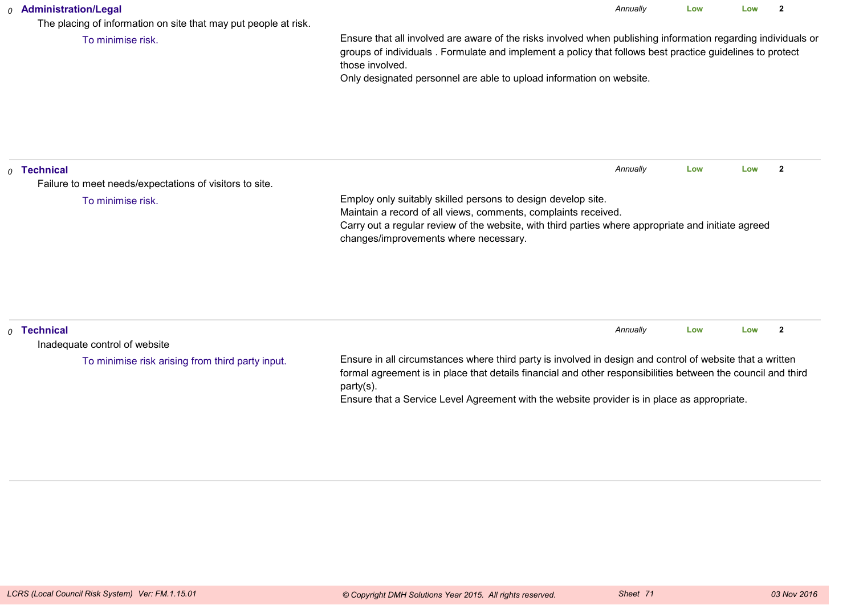## *0* **Administration/Legal**

The placing of information on site that may put people at risk.

To minimise risk.

Ensure that all involved are aware of the risks involved when publishing information regarding individuals orgroups of individuals . Formulate and implement a policy that follows best practice guidelines to protectthose involved.

*Annually*

**Low**

**Low <sup>2</sup>**

Only designated personnel are able to upload information on website.

| $\rho$ Technical<br>Failure to meet needs/expectations of visitors to site. |                                                                                                                                                                                                                                                                                                                                       | Annually | Low | Low |   |
|-----------------------------------------------------------------------------|---------------------------------------------------------------------------------------------------------------------------------------------------------------------------------------------------------------------------------------------------------------------------------------------------------------------------------------|----------|-----|-----|---|
| To minimise risk.                                                           | Employ only suitably skilled persons to design develop site.<br>Maintain a record of all views, comments, complaints received.<br>Carry out a regular review of the website, with third parties where appropriate and initiate agreed<br>changes/improvements where necessary.                                                        |          |     |     |   |
| $\rho$ Technical<br>Inadequate control of website                           |                                                                                                                                                                                                                                                                                                                                       | Annually | Low | Low | 2 |
| To minimise risk arising from third party input.                            | Ensure in all circumstances where third party is involved in design and control of website that a written<br>formal agreement is in place that details financial and other responsibilities between the council and third<br>party(s).<br>Ensure that a Service Level Agreement with the website provider is in place as appropriate. |          |     |     |   |